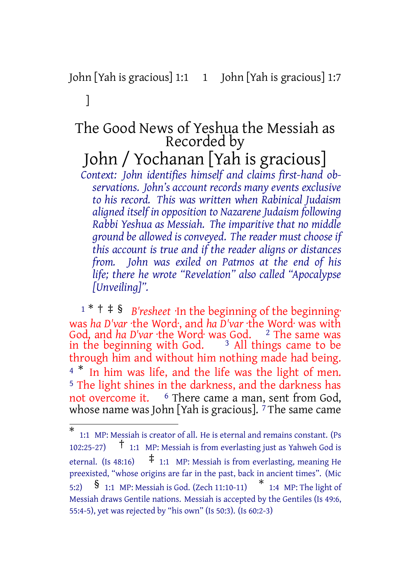# John [Yah is gracious] 1:1 1 John [Yah is gracious] 1:7

## ]

# The Good News of Yeshua the Messiah as Recorded by

John / Yochanan [Yah is gracious]

*Context: John identifies himself and claims first-hand observations. John's account records many events exclusive to his record. This was written when Rabinical Judaism aligned itself in opposition to Nazarene Judaism following Rabbi Yeshua as Messiah. The imparitive that no middle ground be allowed is conveyed. The reader must choose if this account is true and if the reader aligns or distances from. John was exiled on Patmos at the end of his life; there he wrote "Revelation" also called "Apocalypse [Unveiling]".*

<sup>1</sup> \* † ‡ § *B'resheet* ·In the beginning of the beginning· was *ha D'var* ·the Word·, and *ha D'var* ·the Word· was with God, and *ha D'var* ·the Word· was God. <sup>2</sup> The same was in the beginning with God.  $\,$   $\,$   $\,$  3 All things came to be through him and without him nothing made had being. <sup>4</sup> <sup>\*</sup> In him was life, and the life was the light of men. 5 The light shines in the darkness, and the darkness has not overcome it. <sup>6</sup> There came a man, sent from God, whose name was John [Yah is gracious]. <sup>7</sup> The same came

<sup>\*</sup> 1:1 MP: Messiah is creator of all. He is eternal and remains constant. (Ps 102:25-27) † 1:1 MP: Messiah is from everlasting just as Yahweh God is eternal. (Is 48:16)  $\uparrow$  1:1 MP: Messiah is from everlasting, meaning He preexisted, "whose origins are far in the past, back in ancient times". (Mic 5:2) § 1:1 MP: Messiah is God. (Zech 11:10-11) \* 1:4 MP: The light of Messiah draws Gentile nations. Messiah is accepted by the Gentiles (Is 49:6, 55:4-5), yet was rejected by "his own" (Is 50:3). (Is 60:2-3)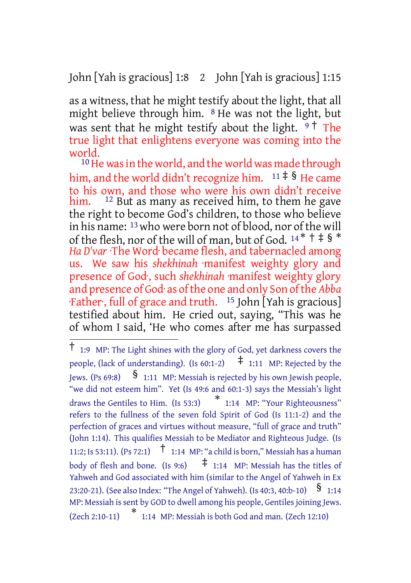John [Yah is gracious] 1:8 2 John [Yah is gracious] 1:15

as a witness, that he might testify about the light, that all might believe through him. 8 He was not the light, but was sent that he might testify about the light.  $9^{\dagger}$  The true light that enlightens everyone was coming into the world.

<sup>10</sup> He was in the world, and the world was made through him, and the world didn't recognize him.  $11 \neq$ § He came to his own, and those who were his own didn't receive him. <sup>12</sup> But as many as received him, to them he gave  $12$  But as many as received him, to them he gave the right to become God's children, to those who believe in his name: 13who were born not of blood, nor of the will of the flesh, nor of the will of man, but of God.  $14 * †$   $\neq$  §  $*$ *Ha D'var* ·The Word· became flesh, and tabernacled among us. We saw his *shekhinah* ·manifest weighty glory and presence of God·, such *shekhinah* ·manifest weighty glory and presence of God· as ofthe one and only Son ofthe *Abba* ·Father·, full of grace and truth. 15 John [Yah is gracious] testified about him. He cried out, saying, "This was he of whom I said, 'He who comes after me has surpassed

<sup>†</sup> 1:9 MP: The Light shines with the glory of God, yet darkness covers the people, (lack of understanding). (Is  $60:1-2$ )  $\uparrow$  1:11 MP: Rejected by the Jews. (Ps 69:8)  $\S$  1:11 MP: Messiah is rejected by his own Jewish people, "we did not esteem him". Yet (Is 49:6 and 60:1-3) says the Messiah's light draws the Gentiles to Him. (Is 53:3) \* 1:14 MP: "Your Righteousness" refers to the fullness of the seven fold Spirit of God (Is 11:1-2) and the perfection of graces and virtues without measure, "full of grace and truth" (John 1:14). This qualifies Messiah to be Mediator and Righteous Judge. (Is 11:2; Is 53:11). (Ps 72:1) † 1:14 MP: "a child is born," Messiah has <sup>a</sup> human body of flesh and bone. (Is 9:6)  $\pm$  1:14 MP: Messiah has the titles of Yahweh and God associated with him (similar to the Angel of Yahweh in Ex 23:20-21). (See also Index: "The Angel of Yahweh). (Is 40:3, 40:b-10)  $\$$  1:14 MP: Messiah is sent by GOD to dwell among his people, Gentiles joining Jews. (Zech 2:10-11) \* 1:14 MP: Messiah is both God and man. (Zech 12:10)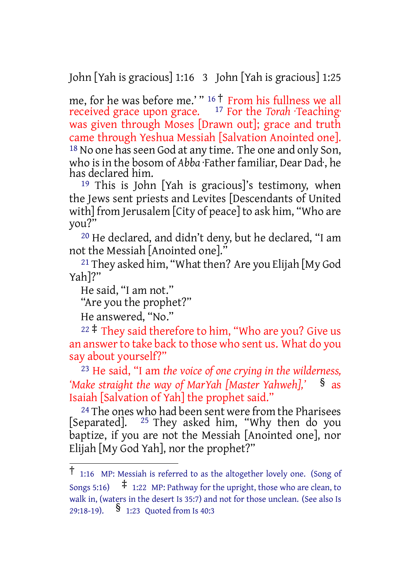John [Yah is gracious] 1:16 3 John [Yah is gracious] 1:25

me, for he was before me.' " <sup>16</sup> † From his fullness we all received grace upon grace. 17 For the *Torah* ·Teaching· was given through Moses [Drawn out]; grace and truth came through Yeshua Messiah [Salvation Anointed one]. <sup>18</sup> No one has seen God at any time. The one and only Son, who is in the bosom of *Abba* ·Father familiar, Dear Dad; he has declared him.

19 This is John [Yah is gracious]'s testimony, when the Jews sent priests and Levites [Descendants of United with] from Jerusalem [City of peace] to ask him, "Who are you?"

20 He declared, and didn't deny, but he declared, "I am not the Messiah [Anointed one]."

21 They asked him, "What then? Are you Elijah [My God Yah]?"

He said, "I am not."

"Are you the prophet?"

He answered, "No."

<sup>22</sup>  $\ddagger$  They said therefore to him, "Who are you? Give us an answer to take back to those who sent us. What do you say about yourself?"

23 He said, "I am *the voice of one crying in the wilderness, 'Make straight the way of MarYah [Master Yahweh],'* § as Isaiah [Salvation of Yah] the prophet said."

24 The ones who had been sent were from the Pharisees [Separated]. <sup>25</sup> They asked him, "Why then do you baptize, if you are not the Messiah [Anointed one], nor Elijah [My God Yah], nor the prophet?"

<sup>†</sup> 1:16 MP: Messiah is referred to as the altogether lovely one. (Song of Songs 5:16)  $\pm$  1:22 MP: Pathway for the upright, those who are clean, to walk in, (waters in the desert Is 35:7) and not for those unclean. (See also Is 29:18-19). § 1:23 Quoted from Is 40:3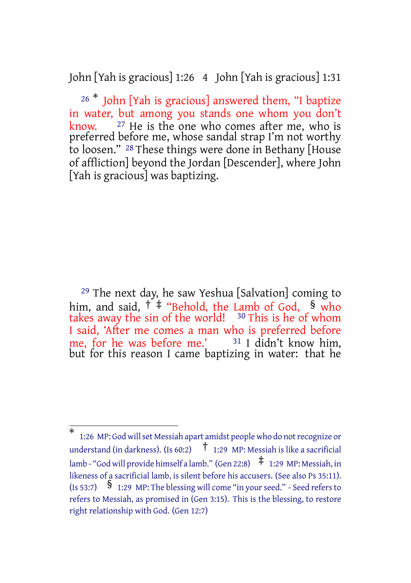John [Yah is gracious] 1:26 4 John [Yah is gracious] 1:31

 $26 *$  John [Yah is gracious] answered them, "I baptize in water, but among you stands one whom you don't know.  $27$  He is the one who comes after me, who is  $27$  He is the one who comes after me, who is preferred before me, whose sandal strap I'm not worthy to loosen." 28 These things were done in Bethany [House of affliction] beyond the Jordan [Descender], where John [Yah is gracious] was baptizing.

29 The next day, he saw Yeshua [Salvation] coming to him, and said,  $\dagger$   $\ddagger$  "Behold, the Lamb of God, § who takes away the sin of the world!  $30$  This is he of whom I said, 'After me comes a man who is preferred before me, for he was before me.'  $31$  I didn't know him, but for this reason I came baptizing in water: that he

<sup>\*</sup> 1:26 MP: God willset Messiah apart amidst people who do notrecognize or understand (in darkness). (Is 60:2)  $\uparrow$  1:29 MP: Messiah is like a sacrificial lamb - "God will provide himself a lamb." (Gen 22:8)  $\pm$  1:29 MP: Messiah, in likeness of a sacrificial lamb, is silent before his accusers. (See also Ps 35:11). (Is 53:7)  $\frac{1}{29}$  MP: The blessing will come "in your seed." - Seed refers to refers to Messiah, as promised in (Gen 3:15). This is the blessing, to restore right relationship with God. (Gen 12:7)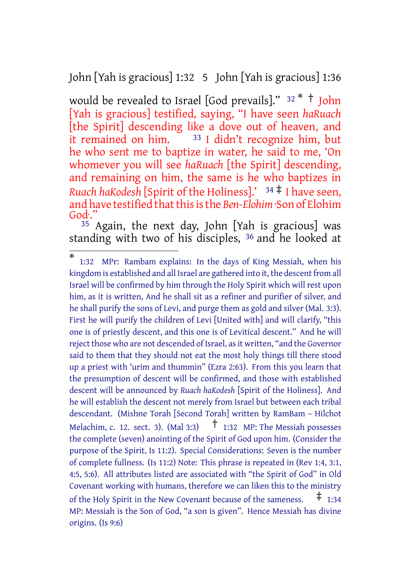John [Yah is gracious] 1:32 5 John [Yah is gracious] 1:36

would be revealed to Israel [God prevails]."  $32 * †$  John [Yah is gracious] testified, saying, "I have seen *haRuach* [the Spirit] descending like a dove out of heaven, and it remained on him.  $33$  I didn't recognize him, but he who sent me to baptize in water, he said to me, 'On whomever you will see *haRuach* [the Spirit] descending, and remaining on him, the same is he who baptizes in *Ruach haKodesh* [Spirit of the Holiness].' <sup>34</sup> ‡ I have seen, and have testified that this is the *Ben-Elohim* · Son of Elohim God<sup>.</sup>

 $35$  Again, the next day, John [Yah is gracious] was standing with two of his disciples, <sup>36</sup> and he looked at

<sup>\*</sup> 1:32 MPr: Rambam explains: In the days of King Messiah, when his kingdom is established and all Israel are gathered into it, the descent from all Israel will be confirmed by him through the Holy Spirit which will rest upon him, as it is written, And he shall sit as a refiner and purifier of silver, and he shall purify the sons of Levi, and purge them as gold and silver (Mal. 3:3). First he will purify the children of Levi [United with] and will clarify, "this one is of priestly descent, and this one is of Levitical descent." And he will reject those who are not descended of Israel, as it written, "and the Governor said to them that they should not eat the most holy things till there stood up a priest with 'urim and thummin" (Ezra 2:63). From this you learn that the presumption of descent will be confirmed, and those with established descent will be announced by *Ruach haKodesh* [Spirit of the Holiness]. And he will establish the descent not merely from Israel but between each tribal descendant. (Mishne Torah [Second Torah] written by RamBam – Hilchot Melachim, c. 12. sect. 3). (Mal 3:3)  $\uparrow$  1:32 MP: The Messiah possesses the complete (seven) anointing of the Spirit of God upon him. (Consider the purpose of the Spirit, Is 11:2). Special Considerations: Seven is the number of complete fullness. (Is 11:2) Note: This phrase is repeated in (Rev 1:4, 3:1, 4:5, 5:6). All attributes listed are associated with "the Spirit of God" in Old Covenant working with humans, therefore we can liken this to the ministry of the Holy Spirit in the New Covenant because of the sameness.  $\pm$  1:34 MP: Messiah is the Son of God, "a son is given". Hence Messiah has divine origins. (Is 9:6)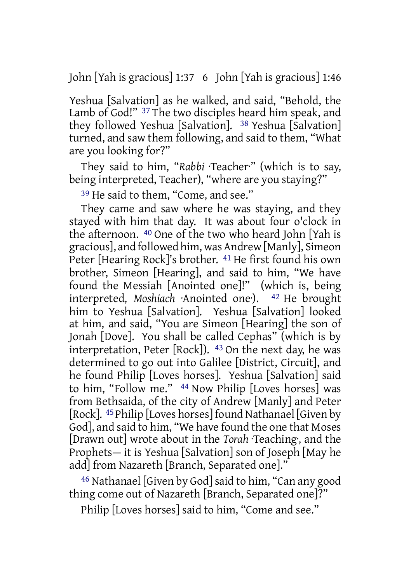John [Yah is gracious] 1:37 6 John [Yah is gracious] 1:46

Yeshua [Salvation] as he walked, and said, "Behold, the Lamb of God!" 37 The two disciples heard him speak, and they followed Yeshua [Salvation]. <sup>38</sup> Yeshua [Salvation] turned, and saw them following, and said to them, "What are you looking for?"

They said to him, "Rabbi ·Teacher" (which is to say, being interpreted, Teacher), "where are you staying?"

39 He said to them, "Come, and see."

They came and saw where he was staying, and they stayed with him that day. It was about four o'clock in the afternoon. 40 One of the two who heard John [Yah is gracious], and followed him, was Andrew [Manly], Simeon Peter [Hearing Rock]'s brother. 41 He first found his own brother, Simeon [Hearing], and said to him, "We have found the Messiah [Anointed one]!" (which is, being interpreted, *Moshiach* ·Anointed one·). 42 He brought him to Yeshua [Salvation]. Yeshua [Salvation] looked at him, and said, "You are Simeon [Hearing] the son of Jonah [Dove]. You shall be called Cephas" (which is by interpretation, Peter  $[Rock]$ ). <sup>43</sup> On the next day, he was determined to go out into Galilee [District, Circuit], and he found Philip [Loves horses]. Yeshua [Salvation] said to him, "Follow me." 44 Now Philip [Loves horses] was from Bethsaida, of the city of Andrew [Manly] and Peter [Rock]. 45 Philip [Loves horses] found Nathanael [Given by God], and said to him, "We have found the one that Moses [Drawn out] wrote about in the *Torah* ·Teaching·, and the Prophets— it is Yeshua [Salvation] son of Joseph [May he add] from Nazareth [Branch, Separated one]."

46 Nathanael [Given by God]said to him, "Can any good thing come out of Nazareth [Branch, Separated one]?"

Philip [Loves horses] said to him, "Come and see."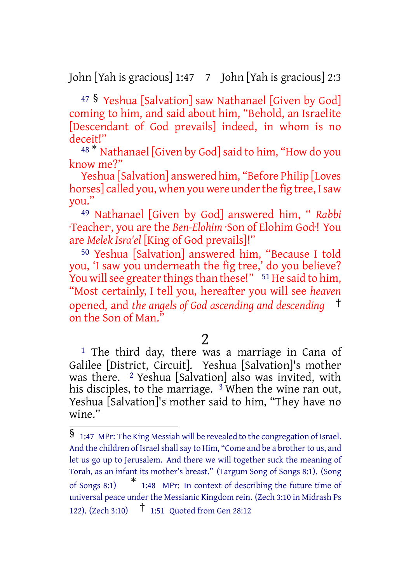John [Yah is gracious] 1:47 7 John [Yah is gracious] 2:3

<sup>47</sup> § Yeshua [Salvation] saw Nathanael [Given by God] coming to him, and said about him, "Behold, an Israelite [Descendant of God prevails] indeed, in whom is no deceit!"

48<sup>\*</sup> Nathanael [Given by God] said to him, "How do you know me?"

Yeshua [Salvation] answered him, "Before Philip [Loves horses] called you, when you were under the fig tree, I saw you."

49 Nathanael [Given by God] answered him, " *Rabbi* ·Teacher·, you are the *Ben-Elohim* ·Son of Elohim God·! You are *Melek Isra'el* [King of God prevails]!"

50 Yeshua [Salvation] answered him, "Because I told you, 'I saw you underneath the fig tree,' do you believe? You will see greater things than these!"  $\frac{51}{1}$  He said to him, "Most certainly, I tell you, hereafter you will see *heaven* opened, and *the angels of God ascending and descending* † on the Son of Man."

## 2

<sup>1</sup> The third day, there was a marriage in Cana of Galilee [District, Circuit]. Yeshua [Salvation]'s mother was there. <sup>2</sup> Yeshua [Salvation] also was invited, with his disciples, to the marriage. <sup>3</sup> When the wine ran out, Yeshua [Salvation]'s mother said to him, "They have no wine."

<sup>§</sup> 1:47 MPr: The King Messiah will be revealed to the congregation of Israel. And the children of Israel shall say to Him, "Come and be a brother to us, and let us go up to Jerusalem. And there we will together suck the meaning of Torah, as an infant its mother's breast." (Targum Song of Songs 8:1). (Song of Songs 8:1) \* 1:48 MPr: In context of describing the future time of universal peace under the Messianic Kingdom rein. (Zech 3:10 in Midrash Ps 122). (Zech 3:10) † 1:51 Quoted from Gen 28:12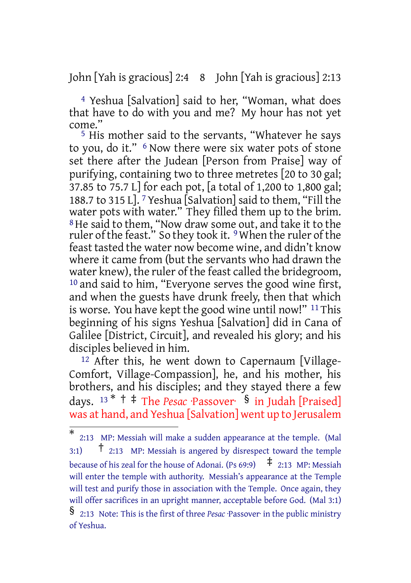John [Yah is gracious] 2:4 8 John [Yah is gracious] 2:13

4 Yeshua [Salvation] said to her, "Woman, what does that have to do with you and me? My hour has not yet come."

5 His mother said to the servants, "Whatever he says to you, do it." <sup>6</sup> Now there were six water pots of stone set there after the Judean [Person from Praise] way of purifying, containing two to three metretes [20 to 30 gal; 37.85 to 75.7 L] for each pot, [a total of 1,200 to 1,800 gal; 188.7 to 315 L]. 7 Yeshua [Salvation] said to them, "Fill the water pots with water." They filled them up to the brim. 8He said to them, "Now draw some out, and take it to the ruler of the feast." So they took it. <sup>9</sup> When the ruler of the feast tasted the water now become wine, and didn't know where it came from (but the servants who had drawn the water knew), the ruler of the feast called the bridegroom, 10 and said to him, "Everyone serves the good wine first, and when the guests have drunk freely, then that which is worse. You have kept the good wine until now!" 11 This beginning of his signs Yeshua [Salvation] did in Cana of Galilee [District, Circuit], and revealed his glory; and his disciples believed in him.

12 After this, he went down to Capernaum [Village-Comfort, Village-Compassion], he, and his mother, his brothers, and his disciples; and they stayed there a few days. <sup>13</sup> \* † ‡ The *Pesac* ·Passover· § in Judah [Praised] was at hand, and Yeshua [Salvation] went up to Jerusalem

<sup>\*</sup> 2:13 MP: Messiah will make a sudden appearance at the temple. (Mal 3:1)  $\uparrow$  2:13 MP: Messiah is angered by disrespect toward the temple because of his zeal for the house of Adonai. (Ps 69:9)  $\pm$  2:13 MP: Messiah will enter the temple with authority. Messiah's appearance at the Temple will test and purify those in association with the Temple. Once again, they will offer sacrifices in an upright manner, acceptable before God. (Mal 3:1) § 2:13 Note: This is the first of three *Pesac* ·Passover· in the public ministry of Yeshua.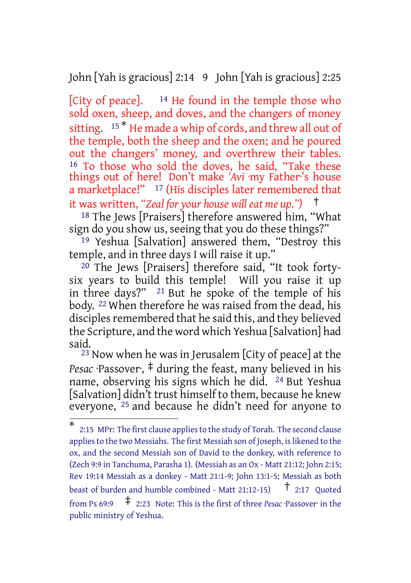John [Yah is gracious] 2:14 9 John [Yah is gracious] 2:25

[City of peace].  $14$  He found in the temple those who sold oxen, sheep, and doves, and the changers of money sitting. 15<sup>\*</sup> He made a whip of cords, and threw all out of the temple, both the sheep and the oxen; and he poured out the changers' money, and overthrew their tables. <sup>16</sup> To those who sold the doves, he said, "Take these things out of here! Don't make *'Avi* ·my Father·'s house a marketplace!" <sup>17</sup> (His disciples later remembered that it was written, *"Zeal for your house will eat me up.")* †

18 The Jews [Praisers] therefore answered him, "What sign do you show us, seeing that you do these things?"

<sup>19</sup> Yeshua [Salvation] answered them, "Destroy this temple, and in three days I will raise it up."

20 The Jews [Praisers] therefore said, "It took fortysix years to build this temple! Will you raise it up in three days?" 21 But he spoke of the temple of his body. 22 When therefore he was raised from the dead, his disciples remembered that he said this, and they believed the Scripture, and the word which Yeshua [Salvation] had said.

23 Now when he was in Jerusalem [City of peace] at the *Pesac* ·Passover·, ‡ during the feast, many believed in his name, observing his signs which he did. 24 But Yeshua [Salvation] didn't trust himself to them, because he knew everyone, <sup>25</sup> and because he didn't need for anyone to

<sup>\*</sup> 2:15 MPr: The first clause appliesto the study of Torah. The second clause applies to the two Messiahs. The first Messiah son of Joseph, is likened to the ox, and the second Messiah son of David to the donkey, with reference to (Zech 9:9 in Tanchuma, Parasha 1). (Messiah as an Ox - Matt 21:12; John 2:15; Rev 19:14 Messiah as a donkey - Matt 21:1-9; John 13:1-5; Messiah as both beast of burden and humble combined - Matt 21:12-15) † 2:17 Quoted from Ps 69:9 ‡ 2:23 Note: This is the first of three *Pesac* ·Passover· in the public ministry of Yeshua.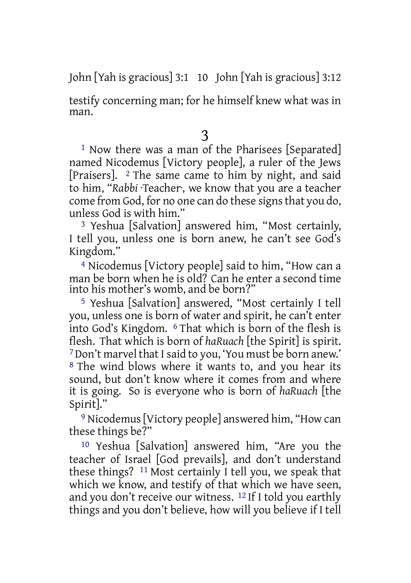John [Yah is gracious] 3:1 10 John [Yah is gracious] 3:12

testify concerning man; for he himself knew what was in man.

## 3

1 Now there was a man of the Pharisees [Separated] named Nicodemus [Victory people], a ruler of the Jews [Praisers]. 2 The same came to him by night, and said to him, "*Rabbi* ·Teacher·, we know that you are a teacher come from God, for no one can do these signs that you do, unless God is with him."

3 Yeshua [Salvation] answered him, "Most certainly, I tell you, unless one is born anew, he can't see God's Kingdom."

4 Nicodemus [Victory people] said to him, "How can a man be born when he is old? Can he enter a second time into his mother's womb, and be born?"

5 Yeshua [Salvation] answered, "Most certainly I tell you, unless one is born of water and spirit, he can't enter into God's Kingdom. 6 That which is born of the flesh is flesh. That which is born of *haRuach* [the Spirit] is spirit. 7Don't marvel that Isaid to you, 'You must be born anew.' 8 The wind blows where it wants to, and you hear its sound, but don't know where it comes from and where it is going. So is everyone who is born of *haRuach* [the Spirit]."

9 Nicodemus[Victory people] answered him, "How can these things be?"

10 Yeshua [Salvation] answered him, "Are you the teacher of Israel [God prevails], and don't understand these things? 11 Most certainly I tell you, we speak that which we know, and testify of that which we have seen, and you don't receive our witness. 12 If I told you earthly things and you don't believe, how will you believe if I tell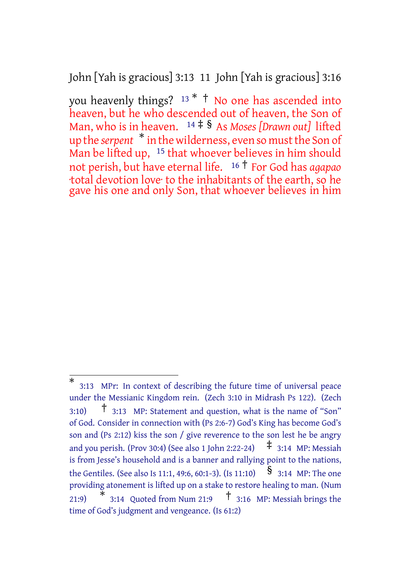John [Yah is gracious] 3:13 11 John [Yah is gracious] 3:16

you heavenly things? <sup>13</sup> \* † No one has ascended into heaven, but he who descended out of heaven, the Son of Man, who is in heaven. <sup>14</sup> ‡ § As *Moses [Drawn out]* lifted up the *serpent* \* in the wilderness, even so mustthe Son of Man be lifted up, <sup>15</sup> that whoever believes in him should not perish, but have eternal life. <sup>16</sup> † For God has *agapao* ·total devotion love· to the inhabitants of the earth, so he gave his one and only Son, that whoever believes in him

<sup>\*</sup> 3:13 MPr: In context of describing the future time of universal peace under the Messianic Kingdom rein. (Zech 3:10 in Midrash Ps 122). (Zech 3:10) † 3:13 MP: Statement and question, what is the name of "Son" of God. Consider in connection with (Ps 2:6-7) God's King has become God's son and (Ps 2:12) kiss the son / give reverence to the son lest he be angry and you perish. (Prov 30:4) (See also 1 John 2:22-24)  $\uparrow$  3:14 MP: Messiah is from Jesse's household and is a banner and rallying point to the nations, the Gentiles. (See also Is 11:1, 49:6, 60:1-3). (Is 11:10)  $\S$  3:14 MP: The one providing atonement is lifted up on a stake to restore healing to man. (Num  $21:9)$  $\frac{1}{3}$  3:14 Quoted from Num 21:9  $\frac{1}{3}$  3:16 MP: Messiah brings the time of God's judgment and vengeance. (Is 61:2)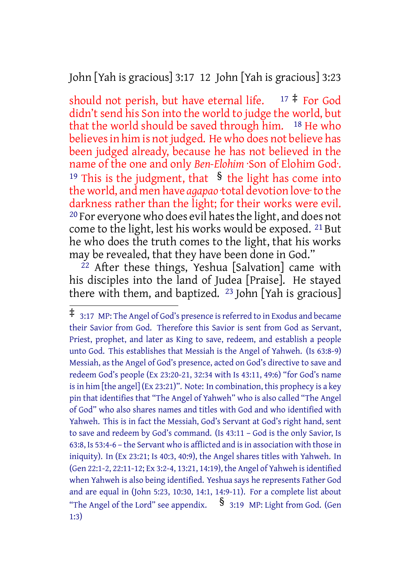John [Yah is gracious] 3:17 12 John [Yah is gracious] 3:23

should not perish, but have eternal life.  $17 \div$  For God didn't send his Son into the world to judge the world, but that the world should be saved through him. 18 He who believes in him is not judged. He who does not believe has been judged already, because he has not believed in the name of the one and only *Ben-Elohim* ·Son of Elohim God·. <sup>19</sup> This is the judgment, that  $\delta$  the light has come into the world, and men have *agapao* ·total devotion love·to the darkness rather than the light; for their works were evil. <sup>20</sup> For everyone who does evil hates the light, and does not come to the light, lest his works would be exposed. 21 But he who does the truth comes to the light, that his works may be revealed, that they have been done in God."

 $^{22}$  After these things, Yeshua [Salvation] came with his disciples into the land of Judea [Praise]. He stayed there with them, and baptized.  $^{23}$  John [Yah is gracious]

<sup>‡</sup> 3:17 MP: The Angel of God's presence isreferred to in Exodus and became their Savior from God. Therefore this Savior is sent from God as Servant, Priest, prophet, and later as King to save, redeem, and establish a people unto God. This establishes that Messiah is the Angel of Yahweh. (Is 63:8-9) Messiah, as the Angel of God's presence, acted on God's directive to save and redeem God's people (Ex 23:20-21, 32:34 with Is 43:11, 49:6) "for God's name isin him [the angel] (Ex 23:21)". Note: In combination, this prophecy is a key pin that identifies that "The Angel of Yahweh" who is also called "The Angel of God" who also shares names and titles with God and who identified with Yahweh. This is in fact the Messiah, God's Servant at God's right hand, sent to save and redeem by God's command. (Is 43:11 – God is the only Savior, Is 63:8, Is 53:4-6 – the Servant who is afflicted and isin association with those in iniquity). In (Ex 23:21; Is 40:3, 40:9), the Angel shares titles with Yahweh. In (Gen 22:1-2, 22:11-12; Ex 3:2-4, 13:21, 14:19), the Angel of Yahweh isidentified when Yahweh is also being identified. Yeshua says he represents Father God and are equal in (John 5:23, 10:30, 14:1, 14:9-11). For a complete list about "The Angel of the Lord" see appendix.  $\S$  3:19 MP: Light from God. (Gen 1:3)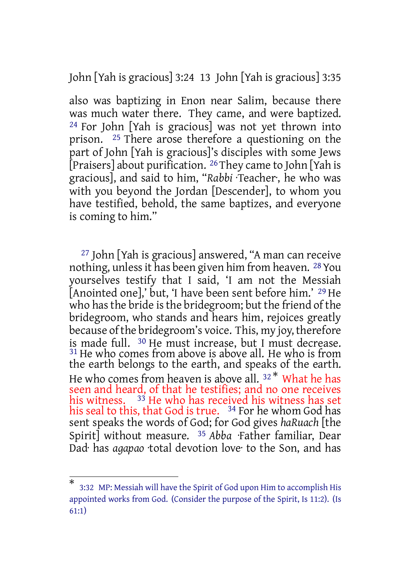John [Yah is gracious] 3:24 13 John [Yah is gracious] 3:35

also was baptizing in Enon near Salim, because there was much water there. They came, and were baptized. 24 For John [Yah is gracious] was not yet thrown into prison. 25 There arose therefore a questioning on the part of John [Yah is gracious]'s disciples with some Jews [Praisers] about purification. 26 They came to John [Yah is gracious], and said to him, "*Rabbi* ·Teacher·, he who was with you beyond the Jordan [Descender], to whom you have testified, behold, the same baptizes, and everyone is coming to him."

27 John [Yah is gracious] answered, "A man can receive nothing, unlessit has been given him from heaven. 28You yourselves testify that I said, 'I am not the Messiah [Anointed one],' but, 'I have been sent before him.' 29 He who has the bride is the bridegroom; but the friend of the bridegroom, who stands and hears him, rejoices greatly because of the bridegroom's voice. This, my joy, therefore is made full. 30 He must increase, but I must decrease. <sup>31</sup> He who comes from above is above all. He who is from the earth belongs to the earth, and speaks of the earth. He who comes from heaven is above all.  $32 *$  What he has seen and heard, of that he testifies; and no one receives his witness.  $\frac{33}{3}$  He who has received his witness has set his seal to this, that God is true. <sup>34</sup> For he whom God has sent speaks the words of God; for God gives *haRuach* [the Spirit] without measure. 35 *Abba* ·Father familiar, Dear Dad· has *agapao* ·total devotion love· to the Son, and has

<sup>\*</sup> 3:32 MP: Messiah will have the Spirit of God upon Him to accomplish His appointed works from God. (Consider the purpose of the Spirit, Is 11:2). (Is 61:1)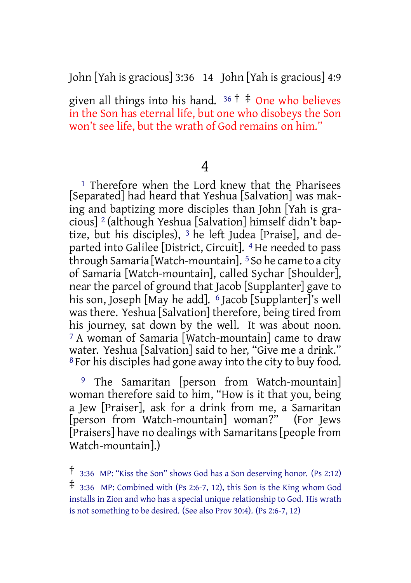John [Yah is gracious] 3:36 14 John [Yah is gracious] 4:9

given all things into his hand.  $36 \dagger \ddagger$  One who believes in the Son has eternal life, but one who disobeys the Son won't see life, but the wrath of God remains on him."

## 4

<sup>1</sup> Therefore when the Lord knew that the Pharisees [Separated] had heard that Yeshua [Salvation] was making and baptizing more disciples than John [Yah is gracious] 2 (although Yeshua [Salvation] himself didn't baptize, but his disciples), 3 he left Judea [Praise], and departed into Galilee [District, Circuit]. 4 He needed to pass through Samaria [Watch-mountain]. 5So he came to a city of Samaria [Watch-mountain], called Sychar [Shoulder], near the parcel of ground that Jacob [Supplanter] gave to his son, Joseph [May he add]. <sup>6</sup> Jacob [Supplanter]'s well was there. Yeshua [Salvation] therefore, being tired from his journey, sat down by the well. It was about noon. 7 A woman of Samaria [Watch-mountain] came to draw water. Yeshua [Salvation] said to her, "Give me a drink." 8 For his disciples had gone away into the city to buy food.

9 The Samaritan [person from Watch-mountain] woman therefore said to him, "How is it that you, being a Jew [Praiser], ask for a drink from me, a Samaritan [person from Watch-mountain] woman?" (For Jews [Praisers] have no dealings with Samaritans [people from Watch-mountain].)

<sup>†</sup> 3:36 MP: "Kiss the Son" shows God has <sup>a</sup> Son deserving honor. (Ps 2:12)

<sup>‡</sup> 3:36 MP: Combined with (Ps 2:6-7, 12), this Son is the King whom God installs in Zion and who has a special unique relationship to God. His wrath is not something to be desired. (See also Prov 30:4). (Ps 2:6-7, 12)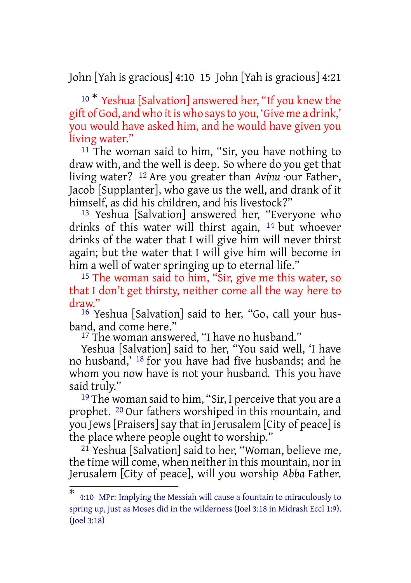John [Yah is gracious] 4:10 15 John [Yah is gracious] 4:21

<sup>10 \*</sup> Yeshua [Salvation] answered her, "If you knew the gift of God, and who it is who says to you, 'Give me a drink,' you would have asked him, and he would have given you living water."

11 The woman said to him, "Sir, you have nothing to draw with, and the well is deep. So where do you get that living water? 12 Are you greater than *Avinu* ·our Father·, Jacob [Supplanter], who gave us the well, and drank of it himself, as did his children, and his livestock?"

13 Yeshua [Salvation] answered her, "Everyone who drinks of this water will thirst again, 14 but whoever drinks of the water that I will give him will never thirst again; but the water that I will give him will become in him a well of water springing up to eternal life."

<sup>15</sup> The woman said to him, "Sir, give me this water, so that I don't get thirsty, neither come all the way here to draw."

16 Yeshua [Salvation] said to her, "Go, call your husband, and come here."

<sup>17</sup> The woman answered, "I have no husband."

Yeshua [Salvation] said to her, "You said well, 'I have no husband,' 18 for you have had five husbands; and he whom you now have is not your husband. This you have said truly."

<sup>19</sup> The woman said to him, "Sir, I perceive that you are a prophet. 20 Our fathers worshiped in this mountain, and you Jews [Praisers] say that in Jerusalem [City of peace] is the place where people ought to worship."

 $21$  Yeshua [Salvation] said to her, "Woman, believe me, the time will come, when neither in this mountain, nor in Jerusalem [City of peace], will you worship *Abba* Father.

<sup>\*</sup> 4:10 MPr: Implying the Messiah will cause a fountain to miraculously to spring up, just as Moses did in the wilderness (Joel 3:18 in Midrash Eccl 1:9). (Joel 3:18)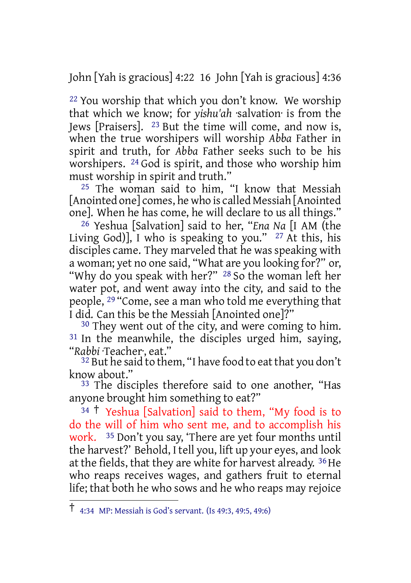John [Yah is gracious] 4:22 16 John [Yah is gracious] 4:36

22 You worship that which you don't know. We worship that which we know; for *yishu'ah* ·salvation· is from the Jews [Praisers]. 23 But the time will come, and now is, when the true worshipers will worship *Abba* Father in spirit and truth, for *Abba* Father seeks such to be his worshipers. 24 God is spirit, and those who worship him must worship in spirit and truth."

25 The woman said to him, "I know that Messiah [Anointed one] comes, he who is called Messiah [Anointed one]. When he has come, he will declare to us all things."

26 Yeshua [Salvation] said to her, "*Ena Na* [I AM (the Living God)], I who is speaking to you."  $27$  At this, his disciples came. They marveled that he was speaking with a woman; yet no one said, "What are you looking for?" or, "Why do you speak with her?" 28 So the woman left her water pot, and went away into the city, and said to the people, 29 "Come, see a man who told me everything that I did. Can this be the Messiah [Anointed one]?"

<sup>30</sup> They went out of the city, and were coming to him. <sup>31</sup> In the meanwhile, the disciples urged him, saying, "*Rabbi* ·Teacher·, eat."

 $32$  But he said to them, "I have food to eat that you don't know about."

33 The disciples therefore said to one another, "Has anyone brought him something to eat?"

<sup>34</sup> † Yeshua [Salvation] said to them, "My food is to do the will of him who sent me, and to accomplish his work. 35 Don't you say, 'There are yet four months until the harvest?' Behold, I tell you, lift up your eyes, and look at the fields, that they are white for harvest already. <sup>36</sup> He who reaps receives wages, and gathers fruit to eternal life; that both he who sows and he who reaps may rejoice

<sup>†</sup> 4:34 MP: Messiah is God's servant. (Is 49:3, 49:5, 49:6)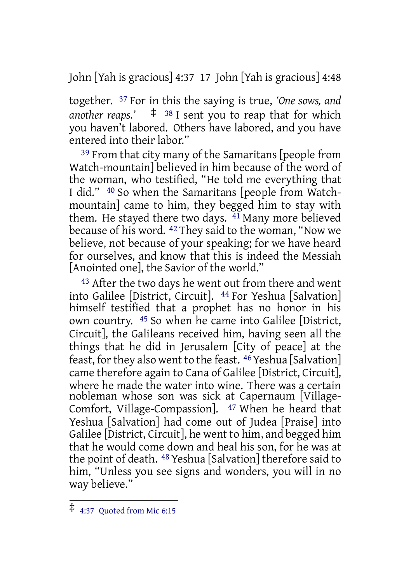John [Yah is gracious] 4:37 17 John [Yah is gracious] 4:48

together. 37 For in this the saying is true, *'One sows, and another reaps.'* ‡ <sup>38</sup> I sent you to reap that for which you haven't labored. Others have labored, and you have entered into their labor."

<sup>39</sup> From that city many of the Samaritans [people from Watch-mountain] believed in him because of the word of the woman, who testified, "He told me everything that I did." 40 So when the Samaritans [people from Watchmountain] came to him, they begged him to stay with them. He stayed there two days. <sup>41</sup> Many more believed because of his word. 42 They said to the woman, "Now we believe, not because of your speaking; for we have heard for ourselves, and know that this is indeed the Messiah [Anointed one], the Savior of the world."

<sup>43</sup> After the two days he went out from there and went into Galilee [District, Circuit]. 44 For Yeshua [Salvation] himself testified that a prophet has no honor in his own country. 45 So when he came into Galilee [District, Circuit], the Galileans received him, having seen all the things that he did in Jerusalem [City of peace] at the feast, for they also went to the feast. <sup>46</sup> Yeshua [Salvation] came therefore again to Cana of Galilee [District, Circuit], where he made the water into wine. There was a certain nobleman whose son was sick at Capernaum [Village-Comfort, Village-Compassion]. 47 When he heard that Yeshua [Salvation] had come out of Judea [Praise] into Galilee [District, Circuit], he went to him, and begged him that he would come down and heal his son, for he was at the point of death. 48 Yeshua [Salvation] therefore said to him, "Unless you see signs and wonders, you will in no way believe."

<sup>‡</sup> 4:37 Quoted from Mic 6:15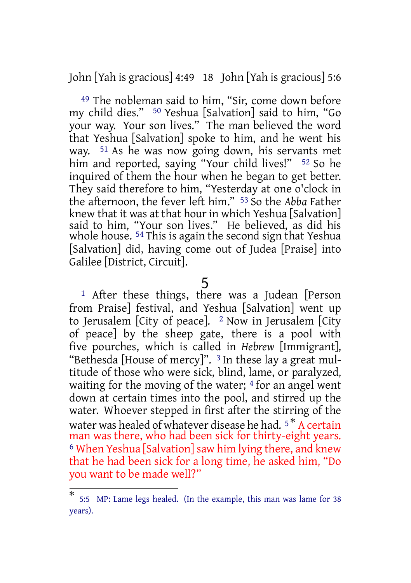John [Yah is gracious] 4:49 18 John [Yah is gracious] 5:6

49 The nobleman said to him, "Sir, come down before my child dies." 50 Yeshua [Salvation] said to him, "Go your way. Your son lives." The man believed the word that Yeshua [Salvation] spoke to him, and he went his way. 51 As he was now going down, his servants met him and reported, saying "Your child lives!" <sup>52</sup> So he inquired of them the hour when he began to get better. They said therefore to him, "Yesterday at one o'clock in the afternoon, the fever left him." 53 So the *Abba* Father knew that it was at that hour in which Yeshua [Salvation] said to him, "Your son lives." He believed, as did his whole house. 54 This is again the second sign that Yeshua [Salvation] did, having come out of Judea [Praise] into Galilee [District, Circuit].

1 After these things, there was a Judean [Person from Praise] festival, and Yeshua [Salvation] went up to Jerusalem [City of peace].  $2$  Now in Jerusalem [City of peace] by the sheep gate, there is a pool with five pourches, which is called in *Hebrew* [Immigrant], "Bethesda [House of mercy]". <sup>3</sup> In these lay a great multitude of those who were sick, blind, lame, or paralyzed, waiting for the moving of the water;  $4$  for an angel went down at certain times into the pool, and stirred up the water. Whoever stepped in first after the stirring of the water was healed of whatever disease he had. <sup>5\*</sup> A certain man was there, who had been sick for thirty-eight years. <sup>6</sup> When Yeshua [Salvation] saw him lying there, and knew that he had been sick for a long time, he asked him, "Do you want to be made well?"

<sup>5</sup>

<sup>\*</sup> 5:5 MP: Lame legs healed. (In the example, this man was lame for 38 years).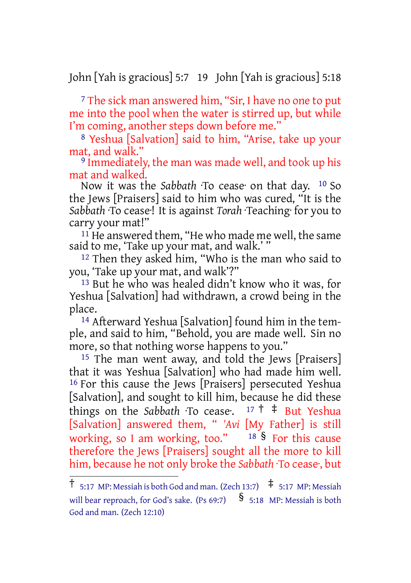John [Yah is gracious] 5:7 19 John [Yah is gracious] 5:18

<sup>7</sup> The sick man answered him, "Sir, I have no one to put me into the pool when the water is stirred up, but while I'm coming, another steps down before me."

8 Yeshua [Salvation] said to him, "Arise, take up your mat, and walk."

9 Immediately, the man was made well, and took up his mat and walked.

Now it was the *Sabbath* ·To cease· on that day. 10 So the Jews [Praisers] said to him who was cured, "It is the *Sabbath* ·To cease·! It is against *Torah* ·Teaching· for you to carry your mat!"

<sup>11</sup> He answered them, "He who made me well, the same said to me, 'Take up your mat, and walk.'

12 Then they asked him, "Who is the man who said to you, 'Take up your mat, and walk'?"

13 But he who was healed didn't know who it was, for Yeshua [Salvation] had withdrawn, a crowd being in the place.

14 Afterward Yeshua [Salvation] found him in the temple, and said to him, "Behold, you are made well. Sin no more, so that nothing worse happens to you."

<sup>15</sup> The man went away, and told the Jews [Praisers] that it was Yeshua [Salvation] who had made him well. 16 For this cause the Jews [Praisers] persecuted Yeshua [Salvation], and sought to kill him, because he did these things on the *Sabbath* ·To cease:  $17 \dagger \dagger$  But Yeshua [Salvation] answered them, " *'Avi* [My Father] is still working, so I am working, too."  $18 \text{ S}$  For this cause therefore the Jews [Praisers] sought all the more to kill him, because he not only broke the *Sabbath* ·To cease·, but

 $\dagger$  5:17 MP: Messiah is both God and man. (Zech 13:7)  $\ddagger$  5:17 MP: Messiah will bear reproach, for God's sake. (Ps 69:7)  $\S$  5:18 MP: Messiah is both God and man. (Zech 12:10)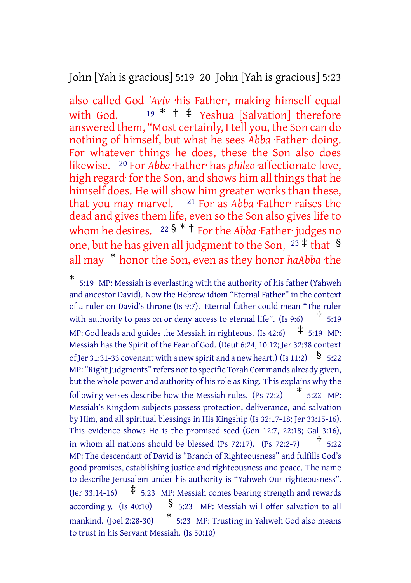John [Yah is gracious] 5:19 20 John [Yah is gracious] 5:23

also called God *'Aviv* ·his Father·, making himself equal with God.  $19 * †$   $\ddagger$  Yeshua [Salvation] therefore answered them, "Most certainly, I tell you, the Son can do nothing of himself, but what he sees *Abba* ·Father· doing. For whatever things he does, these the Son also does likewise. 20 For *Abba* ·Father· has *phileo* ·affectionate love, high regard· for the Son, and shows him all things that he himself does. He will show him greater works than these, that you may marvel. 21 For as *Abba* ·Father· raises the dead and gives them life, even so the Son also gives life to whom he desires. <sup>22</sup> § \* <sup>†</sup> For the *Abba* ·Father· judges no one, but he has given all judgment to the Son,  $2\overline{3} \pm \overline{1}$  that § all may \* honor the Son, even as they honor *haAbba* ·the

<sup>\*</sup> 5:19 MP: Messiah is everlasting with the authority of his father (Yahweh and ancestor David). Now the Hebrew idiom "Eternal Father" in the context of a ruler on David's throne (Is 9:7). Eternal father could mean "The ruler with authority to pass on or deny access to eternal life". (Is 9:6)  $\bar{t}$  5:19 MP: God leads and guides the Messiah in righteous. (Is  $42:6$ )  $\pm$  5:19 MP: Messiah has the Spirit of the Fear of God. (Deut 6:24, 10:12; Jer 32:38 context of Jer 31:31-33 covenant with a new spirit and a new heart.) (Is 11:2)  $\frac{\$}{\$}$  5:22 MP: "Right Judgments" refers not to specific Torah Commands already given, but the whole power and authority of his role as King. This explains why the following verses describe how the Messiah rules. (Ps 72:2) \* 5:22 MP: Messiah's Kingdom subjects possess protection, deliverance, and salvation by Him, and all spiritual blessings in His Kingship (Is 32:17-18; Jer 33:15-16). This evidence shows He is the promised seed (Gen 12:7, 22:18; Gal 3:16), in whom all nations should be blessed (Ps 72:17). (Ps 72:2-7)  $\uparrow$  5:22 MP: The descendant of David is "Branch of Righteousness" and fulfills God's good promises, establishing justice and righteousness and peace. The name to describe Jerusalem under his authority is "Yahweh Our righteousness". (Jer 33:14-16)  $\pm$  5:23 MP: Messiah comes bearing strength and rewards accordingly. (Is 40:10)  $\frac{6}{5:23}$  MP: Messiah will offer salvation to all mankind. (Joel 2:28-30) \* 5:23 MP: Trusting in Yahweh God also means to trust in his Servant Messiah. (Is 50:10)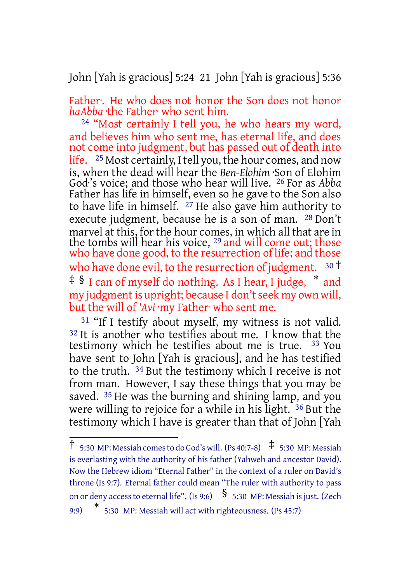John [Yah is gracious] 5:24 21 John [Yah is gracious] 5:36

Father. He who does not honor the Son does not honor *haAbba* ·the Father· who sent him.

24 "Most certainly I tell you, he who hears my word, and believes him who sent me, has eternal life, and does not come into judgment, but has passed out of death into life. <sup>25</sup> Most certainly, I tell you, the hour comes, and now is, when the dead will hear the *Ben-Elohim* ·Son of Elohim God·'s voice; and those who hear will live. 26 For as *Abba* Father has life in himself, even so he gave to the Son also to have life in himself. 27 He also gave him authority to execute judgment, because he is a son of man. 28 Don't marvel at this, for the hour comes, in which all that are in the tombs will hear his voice, <sup>29</sup> and will come out; those who have done good, to the resurrection of life; and those who have done evil, to the resurrection of judgment.  $30<sup>†</sup>$ ‡ § I can of myself do nothing. As I hear, I judge, \* and my judgment is upright; because I don't seek my own will, but the will of *'Avi* ·my Father· who sent me.

<sup>31</sup> "If I testify about myself, my witness is not valid. <sup>32</sup> It is another who testifies about me. I know that the testimony which he testifies about me is true. 33 You have sent to John [Yah is gracious], and he has testified to the truth. 34 But the testimony which I receive is not from man. However, I say these things that you may be saved. <sup>35</sup> He was the burning and shining lamp, and you were willing to rejoice for a while in his light. 36 But the testimony which I have is greater than that of John [Yah

 $\uparrow$  5:30 MP: Messiah comes to do God's will. (Ps 40:7-8)  $\uparrow$  5:30 MP: Messiah is everlasting with the authority of his father (Yahweh and ancestor David). Now the Hebrew idiom "Eternal Father" in the context of a ruler on David's throne (Is 9:7). Eternal father could mean "The ruler with authority to pass on or deny access to eternal life". (Is 9:6)  $\frac{1}{5}$  5:30 MP: Messiah is just. (Zech

 $9:9$ 5:30 MP: Messiah will act with righteousness. (Ps 45:7)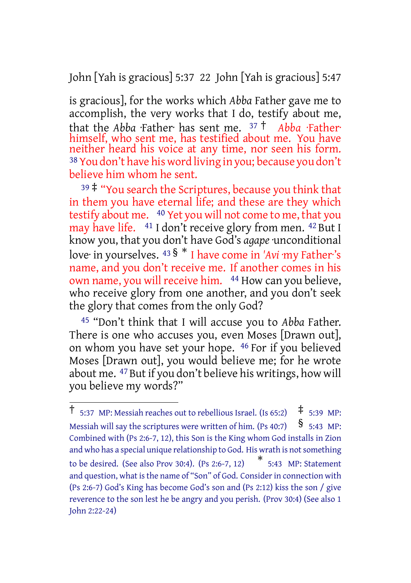John [Yah is gracious] 5:37 22 John [Yah is gracious] 5:47

is gracious], for the works which *Abba* Father gave me to accomplish, the very works that I do, testify about me, that the *Abba* ·Father· has sent me. <sup>37</sup> † *Abba* ·Father· himself, who sent me, has testified about me. You have neither heard his voice at any time, nor seen his form. 38 You don't have his word living in you; because you don't believe him whom he sent.

 $39\overset{+}{\pm}$  "You search the Scriptures, because you think that in them you have eternal life; and these are they which testify about me. 40 Yet you will not come to me, that you may have life. 41 I don't receive glory from men. 42 But I know you, that you don't have God's *agape* ·unconditional love· in yourselves. <sup>43</sup> § \* I have come in *'Avi* ·my Father·'s name, and you don't receive me. If another comes in his own name, you will receive him. 44 How can you believe, who receive glory from one another, and you don't seek the glory that comes from the only God?

45 "Don't think that I will accuse you to *Abba* Father. There is one who accuses you, even Moses [Drawn out], on whom you have set your hope. 46 For if you believed Moses [Drawn out], you would believe me; for he wrote about me. 47But if you don't believe his writings, how will you believe my words?"

 $\dagger$  5:37 MP: Messiah reaches out to rebellious Israel. (Is 65:2)  $\uparrow$  5:39 MP: Messiah will say the scriptures were written of him. (Ps 40:7)  $\frac{\$}{\$}$  5:43 MP: Combined with (Ps 2:6-7, 12), this Son is the King whom God installs in Zion and who has a special unique relationship to God. His wrath is not something to be desired. (See also Prov 30:4). (Ps 2:6-7, 12) \* 5:43 MP: Statement and question, what is the name of "Son" of God. Consider in connection with (Ps 2:6-7) God's King has become God's son and (Ps 2:12) kiss the son / give reverence to the son lest he be angry and you perish. (Prov 30:4) (See also 1 John 2:22-24)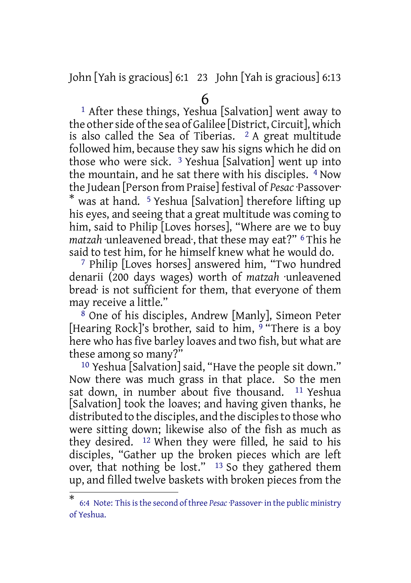John [Yah is gracious] 6:1 23 John [Yah is gracious] 6:13

#### 6

1 After these things, Yeshua [Salvation] went away to the other side of the sea of Galilee [District, Circuit], which is also called the Sea of Tiberias.  $2A$  great multitude followed him, because they saw his signs which he did on those who were sick.  $3$  Yeshua [Salvation] went up into the mountain, and he sat there with his disciples. 4 Now the Judean [Person from Praise] festival of *Pesac*·Passover· \* was at hand. 5 Yeshua [Salvation] therefore lifting up his eyes, and seeing that a great multitude was coming to him, said to Philip [Loves horses], "Where are we to buy *matzah* ·unleavened bread·, that these may eat?" 6 This he said to test him, for he himself knew what he would do.

7 Philip [Loves horses] answered him, "Two hundred denarii (200 days wages) worth of *matzah* ·unleavened bread· is not sufficient for them, that everyone of them may receive a little."

8 One of his disciples, Andrew [Manly], Simeon Peter [Hearing Rock]'s brother, said to him, 9 "There is a boy here who has five barley loaves and two fish, but what are these among so many?"

10 Yeshua [Salvation] said, "Have the people sit down." Now there was much grass in that place. So the men sat down, in number about five thousand. <sup>11</sup> Yeshua [Salvation] took the loaves; and having given thanks, he distributed to the disciples, and the disciples to those who were sitting down; likewise also of the fish as much as they desired. 12 When they were filled, he said to his disciples, "Gather up the broken pieces which are left over, that nothing be lost." 13 So they gathered them up, and filled twelve baskets with broken pieces from the

<sup>\*</sup> 6:4 Note: Thisisthe second of three *Pesac*·Passover· in the public ministry of Yeshua.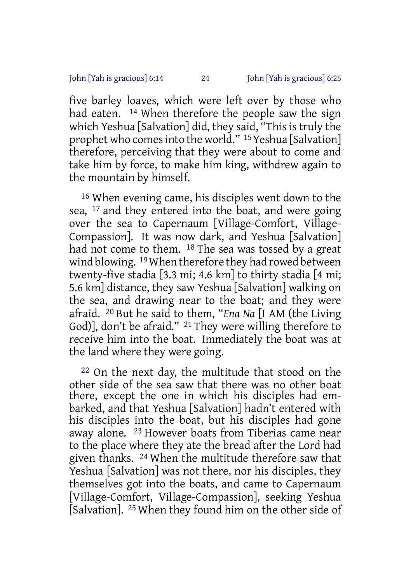five barley loaves, which were left over by those who had eaten. <sup>14</sup> When therefore the people saw the sign which Yeshua [Salvation] did, they said, "This is truly the prophet who comes into the world." <sup>15</sup> Yeshua [Salvation] therefore, perceiving that they were about to come and take him by force, to make him king, withdrew again to the mountain by himself.

16 When evening came, his disciples went down to the sea, 17 and they entered into the boat, and were going over the sea to Capernaum [Village-Comfort, Village-Compassion]. It was now dark, and Yeshua [Salvation] had not come to them. 18 The sea was tossed by a great wind blowing. 19When therefore they had rowed between twenty-five stadia [3.3 mi; 4.6 km] to thirty stadia [4 mi; 5.6 km] distance, they saw Yeshua [Salvation] walking on the sea, and drawing near to the boat; and they were afraid. 20 But he said to them, "*Ena Na* [I AM (the Living God)], don't be afraid." 21 They were willing therefore to receive him into the boat. Immediately the boat was at the land where they were going.

22 On the next day, the multitude that stood on the other side of the sea saw that there was no other boat there, except the one in which his disciples had embarked, and that Yeshua [Salvation] hadn't entered with his disciples into the boat, but his disciples had gone away alone. 23 However boats from Tiberias came near to the place where they ate the bread after the Lord had given thanks. 24 When the multitude therefore saw that Yeshua [Salvation] was not there, nor his disciples, they themselves got into the boats, and came to Capernaum [Village-Comfort, Village-Compassion], seeking Yeshua [Salvation]. 25 When they found him on the other side of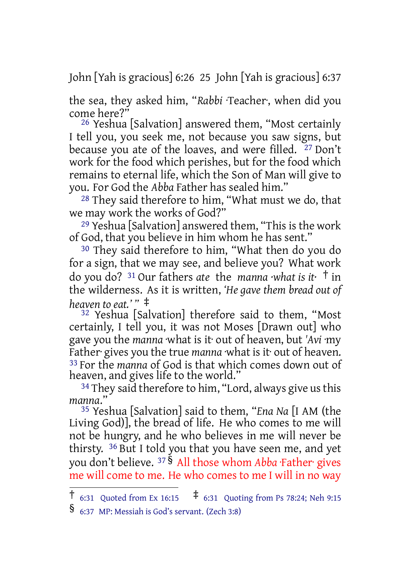John [Yah is gracious] 6:26 25 John [Yah is gracious] 6:37

the sea, they asked him, "*Rabbi* ·Teacher·, when did you come here?"

26 Yeshua [Salvation] answered them, "Most certainly I tell you, you seek me, not because you saw signs, but because you ate of the loaves, and were filled. <sup>27</sup> Don't work for the food which perishes, but for the food which remains to eternal life, which the Son of Man will give to you. For God the *Abba* Father has sealed him."

28 They said therefore to him, "What must we do, that we may work the works of God?"

29 Yeshua [Salvation] answered them, "This is the work of God, that you believe in him whom he has sent."

30 They said therefore to him, "What then do you do for a sign, that we may see, and believe you? What work do you do? <sup>31</sup> Our fathers *ate* the *manna ·what is it·* † in the wilderness. As it is written, *'He gave them bread out of heaven to eat.' "* ‡

32 Yeshua [Salvation] therefore said to them, "Most certainly, I tell you, it was not Moses [Drawn out] who gave you the *manna* ·what is it· out of heaven, but *'Avi* ·my Father gives you the true *manna* what is it out of heaven. 33 For the *manna* of God is that which comes down out of heaven, and gives life to the world."

<sup>34</sup> They said therefore to him, "Lord, always give us this *manna*."

35 Yeshua [Salvation] said to them, "*Ena Na* [I AM (the Living God)], the bread of life. He who comes to me will not be hungry, and he who believes in me will never be thirsty. 36 But I told you that you have seen me, and yet you don't believe. <sup>37</sup> § All those whom *Abba* ·Father· gives me will come to me. He who comes to me I will in no way

<sup>†</sup> 6:31 Quoted from Ex 16:15 ‡ 6:31 Quoting from Ps 78:24; Neh 9:15

<sup>§</sup> 6:37 MP: Messiah is God's servant. (Zech 3:8)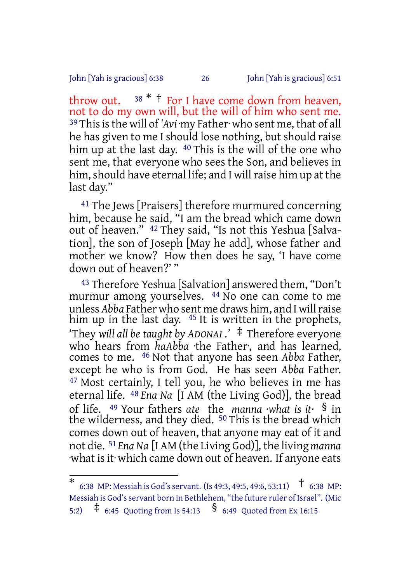#### John [Yah is gracious] 6:38 26 John [Yah is gracious] 6:51

throw out.  $38 * †$  For I have come down from heaven, not to do my own will, but the will of him who sent me. <sup>39</sup> This is the will of 'Avi ·my Father· who sent me, that of all he has given to me I should lose nothing, but should raise him up at the last day. <sup>40</sup> This is the will of the one who sent me, that everyone who sees the Son, and believes in him, should have eternal life; and I will raise him up at the last day."

<sup>41</sup> The Jews [Praisers] therefore murmured concerning him, because he said, "I am the bread which came down out of heaven." 42 They said, "Is not this Yeshua [Salvation], the son of Joseph [May he add], whose father and mother we know? How then does he say, 'I have come down out of heaven?' "

43 Therefore Yeshua [Salvation] answered them, "Don't murmur among yourselves. 44 No one can come to me unless *Abba* Father who sent me draws him, and I willraise him up in the last day. <sup>45</sup> It is written in the prophets, 'They *will all be taught by ADONAI .'* ‡ Therefore everyone who hears from *haAbba* ·the Father·, and has learned, comes to me. 46 Not that anyone has seen *Abba* Father, except he who is from God. He has seen *Abba* Father. 47 Most certainly, I tell you, he who believes in me has eternal life. 48 *Ena Na* [I AM (the Living God)], the bread of life. <sup>49</sup> Your fathers *ate* the *manna ·what is it·* § in the wilderness, and they died. <sup>50</sup> This is the bread which comes down out of heaven, that anyone may eat of it and not die. 51 *Ena Na* [I AM (the Living God)], the living *manna* what is it which came down out of heaven. If anyone eats

<sup>\*</sup> 6:38 MP: Messiah is God'sservant. (Is 49:3, 49:5, 49:6, 53:11) † 6:38 MP: Messiah is God's servant born in Bethlehem, "the future ruler of Israel". (Mic 5:2) ‡ 6:45 Quoting from Is 54:13 § 6:49 Quoted from Ex 16:15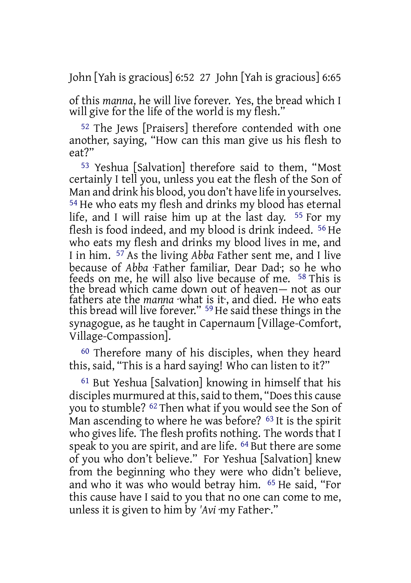John [Yah is gracious] 6:52 27 John [Yah is gracious] 6:65

of this *manna*, he will live forever. Yes, the bread which I will give for the life of the world is my flesh."

52 The Jews [Praisers] therefore contended with one another, saying, "How can this man give us his flesh to eat?"

53 Yeshua [Salvation] therefore said to them, "Most certainly I tell you, unless you eat the flesh of the Son of Man and drink his blood, you don't have life in yourselves. 54 He who eats my flesh and drinks my blood has eternal life, and I will raise him up at the last day. 55 For my flesh is food indeed, and my blood is drink indeed. 56 He who eats my flesh and drinks my blood lives in me, and I in him. 57 As the living *Abba* Father sent me, and I live because of *Abba* ·Father familiar, Dear Dad·; so he who feeds on me, he will also live because of me. 58 This is the bread which came down out of heaven— not as our fathers ate the *manna* ·what is it·, and died. He who eats this bread will live forever." 59He said these things in the synagogue, as he taught in Capernaum [Village-Comfort, Village-Compassion].

60 Therefore many of his disciples, when they heard this, said, "This is a hard saying! Who can listen to it?"

61 But Yeshua [Salvation] knowing in himself that his disciples murmured at this, said to them, "Does this cause you to stumble? 62 Then what if you would see the Son of Man ascending to where he was before? <sup>63</sup> It is the spirit who gives life. The flesh profits nothing. The words that I speak to you are spirit, and are life. 64 But there are some of you who don't believe." For Yeshua [Salvation] knew from the beginning who they were who didn't believe, and who it was who would betray him. 65 He said, "For this cause have I said to you that no one can come to me, unless it is given to him by *'Avi* ·my Father·."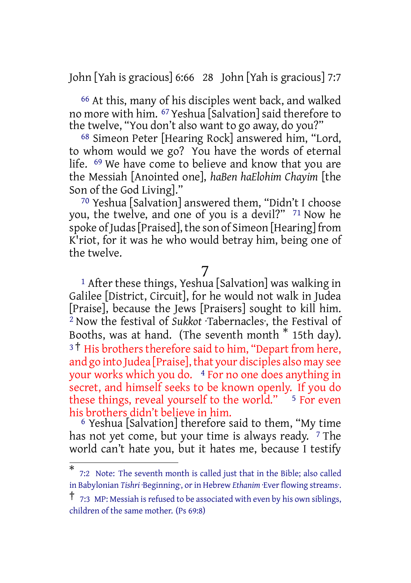John [Yah is gracious] 6:66 28 John [Yah is gracious] 7:7

66 At this, many of his disciples went back, and walked no more with him. 67 Yeshua [Salvation] said therefore to the twelve, "You don't also want to go away, do you?"

68 Simeon Peter [Hearing Rock] answered him, "Lord, to whom would we go? You have the words of eternal life. 69 We have come to believe and know that you are the Messiah [Anointed one], *haBen haElohim Chayim* [the Son of the God Living]."

70 Yeshua [Salvation] answered them, "Didn't I choose you, the twelve, and one of you is a devil?" 71 Now he spoke of Judas [Praised], the son of Simeon [Hearing] from K'riot, for it was he who would betray him, being one of the twelve.

#### 7

<sup>1</sup> After these things, Yeshua [Salvation] was walking in Galilee [District, Circuit], for he would not walk in Judea [Praise], because the Jews [Praisers] sought to kill him. 2 Now the festival of *Sukkot* ·Tabernacles·, the Festival of Booths, was at hand. (The seventh month \* 15th day). <sup>3†</sup> His brothers therefore said to him, "Depart from here, and go into Judea [Praise], that your disciples also may see your works which you do. 4 For no one does anything in secret, and himself seeks to be known openly. If you do these things, reveal yourself to the world."  $\frac{5}{5}$  For even his brothers didn't believe in him.

6 Yeshua [Salvation] therefore said to them, "My time has not yet come, but your time is always ready.  $7$  The world can't hate you, but it hates me, because I testify

<sup>\*</sup> 7:2 Note: The seventh month is called just that in the Bible; also called in Babylonian *Tishri* ·Beginning·, orin Hebrew *Ethanim* ·Ever flowing streams·.

 $\dagger$  7:3 MP: Messiah is refused to be associated with even by his own siblings, children of the same mother. (Ps 69:8)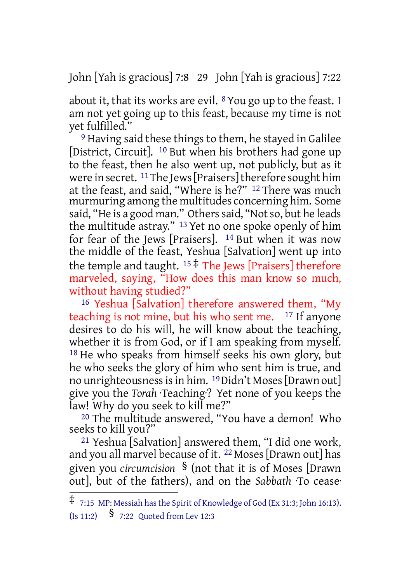John [Yah is gracious] 7:8 29 John [Yah is gracious] 7:22

about it, that its works are evil.  $8$  You go up to the feast. I am not yet going up to this feast, because my time is not yet fulfilled."

9 Having said these things to them, he stayed in Galilee [District, Circuit]. 10 But when his brothers had gone up to the feast, then he also went up, not publicly, but as it were in secret. <sup>11</sup>The Jews [Praisers] therefore sought him at the feast, and said, "Where is he?" 12 There was much murmuring among the multitudes concerning him. Some said, "He is a good man." Others said, "Not so, but he leads the multitude astray."<sup>13</sup> Yet no one spoke openly of him for fear of the Jews [Praisers]. 14 But when it was now the middle of the feast, Yeshua [Salvation] went up into the temple and taught.  $15 \pm$  The Jews [Praisers] therefore marveled, saying, "How does this man know so much, without having studied?"

16 Yeshua [Salvation] therefore answered them, "My teaching is not mine, but his who sent me. <sup>17</sup> If anyone desires to do his will, he will know about the teaching, whether it is from God, or if I am speaking from myself. 18 He who speaks from himself seeks his own glory, but he who seeks the glory of him who sent him is true, and no unrighteousnessisin him. 19Didn't Moses[Drawn out] give you the *Torah* ·Teaching·? Yet none of you keeps the law! Why do you seek to kill me?"

20 The multitude answered, "You have a demon! Who seeks to kill you?"

21 Yeshua [Salvation] answered them, "I did one work, and you all marvel because of it. 22 Moses[Drawn out] has given you *circumcision* § (not that it is of Moses [Drawn out], but of the fathers), and on the *Sabbath* ·To cease·

<sup>‡</sup> 7:15 MP: Messiah hasthe Spirit of Knowledge of God (Ex 31:3; John 16:13).  $(I<sub>S</sub> 11:2)$   $\frac{1}{2}$  7:22 Ouoted from Lev 12:3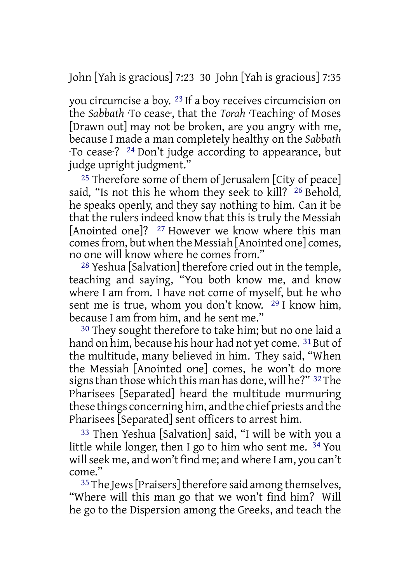John [Yah is gracious] 7:23 30 John [Yah is gracious] 7:35

you circumcise a boy. 23 If a boy receives circumcision on the *Sabbath* ·To cease·, that the *Torah* ·Teaching· of Moses [Drawn out] may not be broken, are you angry with me, because I made a man completely healthy on the *Sabbath* ·To cease·? 24 Don't judge according to appearance, but judge upright judgment."

<sup>25</sup> Therefore some of them of Jerusalem  $[City of peace]$ said, "Is not this he whom they seek to kill? <sup>26</sup> Behold, he speaks openly, and they say nothing to him. Can it be that the rulers indeed know that this is truly the Messiah [Anointed one]? 27 However we know where this man comes from, but when the Messiah [Anointed one] comes, no one will know where he comes from."

28 Yeshua [Salvation] therefore cried out in the temple, teaching and saying, "You both know me, and know where I am from. I have not come of myself, but he who sent me is true, whom you don't know. 29 I know him, because I am from him, and he sent me."

30 They sought therefore to take him; but no one laid a hand on him, because his hour had not yet come. <sup>31</sup> But of the multitude, many believed in him. They said, "When the Messiah [Anointed one] comes, he won't do more signsthan those which this man has done, will he?" 32The Pharisees [Separated] heard the multitude murmuring these things concerning him, and the chief priests and the Pharisees [Separated] sent officers to arrest him.

33 Then Yeshua [Salvation] said, "I will be with you a little while longer, then I go to him who sent me. 34 You will seek me, and won't find me; and where I am, you can't come."

<sup>35</sup> The Jews [Praisers] therefore said among themselves, "Where will this man go that we won't find him? Will he go to the Dispersion among the Greeks, and teach the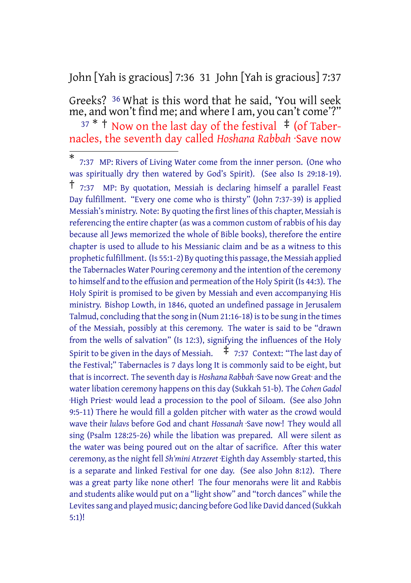John [Yah is gracious] 7:36 31 John [Yah is gracious] 7:37

Greeks? 36 What is this word that he said, 'You will seek me, and won't find me; and where I am, you can't come'?"  $37 *$  † Now on the last day of the festival  $\pm$  (of Taber-

nacles, the seventh day called *Hoshana Rabbah* ·Save now

<sup>\*</sup> 7:37 MP: Rivers of Living Water come from the inner person. (One who was spiritually dry then watered by God's Spirit). (See also Is 29:18-19). † 7:37 MP: By quotation, Messiah is declaring himself <sup>a</sup> parallel Feast Day fulfillment. "Every one come who is thirsty" (John 7:37-39) is applied Messiah's ministry. Note: By quoting the first lines of this chapter, Messiah is referencing the entire chapter (as was a common custom of rabbis of his day because all Jews memorized the whole of Bible books), therefore the entire chapter is used to allude to his Messianic claim and be as a witness to this prophetic fulfillment. (Is 55:1-2) By quoting this passage, the Messiah applied the Tabernacles Water Pouring ceremony and the intention of the ceremony to himself and to the effusion and permeation of the Holy Spirit (Is 44:3). The Holy Spirit is promised to be given by Messiah and even accompanying His ministry. Bishop Lowth, in 1846, quoted an undefined passage in Jerusalem Talmud, concluding that the song in (Num 21:16-18) isto be sung in the times of the Messiah, possibly at this ceremony. The water is said to be "drawn from the wells of salvation" (Is 12:3), signifying the influences of the Holy Spirit to be given in the days of Messiah.  $\pm$  7:37 Context: "The last day of the Festival;" Tabernacles is 7 days long It is commonly said to be eight, but that isincorrect. The seventh day is *Hoshana Rabbah* ·Save now Great· and the water libation ceremony happens on this day (Sukkah 51-b). The *Cohen Gadol* ·High Priest· would lead a procession to the pool of Siloam. (See also John 9:5-11) There he would fill a golden pitcher with water as the crowd would wave their *lulavs* before God and chant *Hossanah* ·Save now·! They would all sing (Psalm 128:25-26) while the libation was prepared. All were silent as the water was being poured out on the altar of sacrifice. After this water ceremony, asthe night fell *Sh'mini Atrzeret* ·Eighth day Assembly·started, this is a separate and linked Festival for one day. (See also John 8:12). There was a great party like none other! The four menorahs were lit and Rabbis and students alike would put on a "light show" and "torch dances" while the Levites sang and played music; dancing before God like David danced (Sukkah 5:1)!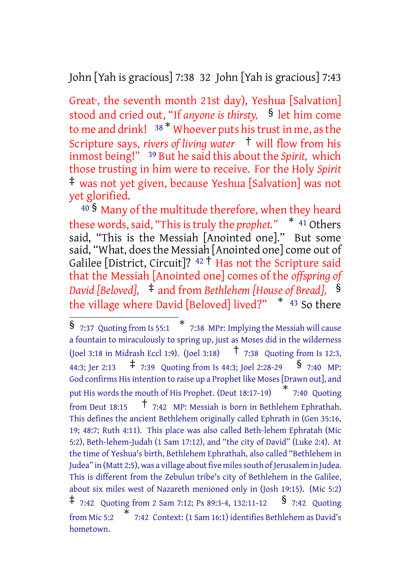John [Yah is gracious] 7:38 32 John [Yah is gracious] 7:43

Great<sup>,</sup> the seventh month 21st day), Yeshua [Salvation] stood and cried out, "If *anyone is thirsty,* § let him come to me and drink! <sup>38 \*</sup> Whoever puts his trust in me, as the Scripture says, *rivers of living water* † will flow from his inmost being!" 39 But he said this about the *Spirit,* which those trusting in him were to receive. For the Holy *Spirit* ‡ was not yet given, because Yeshua [Salvation] was not yet glorified.

<sup>40</sup> § Many of the multitude therefore, when they heard these words, said, "This is truly the *prophet."* \* <sup>41</sup> Others said, "This is the Messiah [Anointed one]." But some said, "What, does the Messiah [Anointed one] come out of Galilee [District, Circuit]?  $42 \dagger$  Has not the Scripture said that the Messiah [Anointed one] comes of the *offspring of David [Beloved],* ‡ and from *Bethlehem [House of Bread],* § the village where David [Beloved] lived?"  $*$  43 So there

<sup>§</sup> 7:37 Quoting from Is 55:1 \* 7:38 MPr: Implying the Messiah will cause a fountain to miraculously to spring up, just as Moses did in the wilderness (Joel 3:18 in Midrash Eccl 1:9). (Joel 3:18) † 7:38 Quoting from Is 12:3, 44:3; Jer 2:13  $\uparrow$  7:39 Quoting from Is 44:3; Joel 2:28-29  $\frac{\$}{\$}$  7:40 MP: God confirms Hisintention to raise up a Prophet like Moses[Drawn out], and put His words the mouth of His Prophet. (Deut 18:17-19) \* 7:40 Quoting from Deut 18:15  $\uparrow$  7:42 MP: Messiah is born in Bethlehem Ephrathah. This defines the ancient Bethlehem originally called Ephrath in (Gen 35:16, 19; 48:7; Ruth 4:11). This place was also called Beth-lehem Ephratah (Mic 5:2), Beth-lehem-Judah (1 Sam 17:12), and "the city of David" (Luke 2:4). At the time of Yeshua's birth, Bethlehem Ephrathah, also called "Bethlehem in Judea" in (Matt 2:5), was a village about five miles south of Jerusalem in Judea. This is different from the Zebulun tribe's city of Bethlehem in the Galilee, about six miles west of Nazareth menioned only in (Josh 19:15). (Mic 5:2)  $\ddagger$  7:42 Quoting from 2 Sam 7:12; Ps 89:3-4, 132:11-12  $\frac{\$}{\$}$  7:42 Quoting from Mic 5:2 \* 7:42 Context: (1 Sam 16:1) identifies Bethlehem as David's hometown.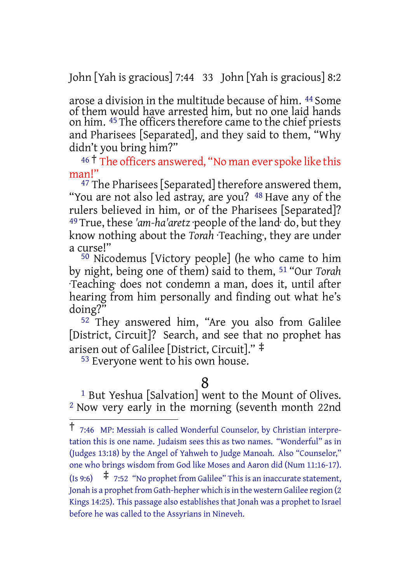John [Yah is gracious] 7:44 33 John [Yah is gracious] 8:2

arose a division in the multitude because of him. 44 Some of them would have arrested him, but no one laid hands on him. <sup>45</sup> The officers therefore came to the chief priests and Pharisees [Separated], and they said to them, "Why didn't you bring him?"

## 46<sup>†</sup> The officers answered, "No man ever spoke like this man!"

<sup>47</sup> The Pharisees [Separated] therefore answered them, "You are not also led astray, are you? <sup>48</sup> Have any of the rulers believed in him, or of the Pharisees [Separated]? 49 True, these *'am-ha'aretz* ·people of the land· do, but they know nothing about the *Torah* ·Teaching·, they are under a curse!"

50 Nicodemus [Victory people] (he who came to him by night, being one of them) said to them, 51 "Our *Torah* ·Teaching· does not condemn a man, does it, until after hearing from him personally and finding out what he's doing?"

52 They answered him, "Are you also from Galilee [District, Circuit]? Search, and see that no prophet has arisen out of Galilee [District, Circuit]." ‡

53 Everyone went to his own house.

## 8

1 But Yeshua [Salvation] went to the Mount of Olives. 2 Now very early in the morning (seventh month 22nd

<sup>†</sup> 7:46 MP: Messiah is called Wonderful Counselor, by Christian interpretation this is one name. Judaism sees this as two names. "Wonderful" as in (Judges 13:18) by the Angel of Yahweh to Judge Manoah. Also "Counselor," one who brings wisdom from God like Moses and Aaron did (Num 11:16-17). (Is 9:6)  $\uparrow$  7:52 "No prophet from Galilee" This is an inaccurate statement, Jonah is a prophet from Gath-hepher which is in the western Galilee region (2 Kings 14:25). This passage also establishes that Jonah was a prophet to Israel before he was called to the Assyrians in Nineveh.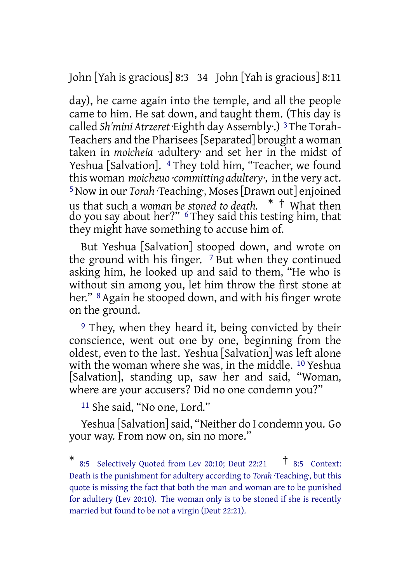John [Yah is gracious] 8:3 34 John [Yah is gracious] 8:11

day), he came again into the temple, and all the people came to him. He sat down, and taught them. (This day is called *Sh'mini Atrzeret* ·Eighth day Assembly·.) 3The Torah-Teachers and the Pharisees[Separated] brought a woman taken in *moicheia* ·adultery· and set her in the midst of Yeshua [Salvation]. <sup>4</sup> They told him, "Teacher, we found this woman *moicheuo ·committing adultery·,* in the very act. 5Now in our *Torah* ·Teaching·, Moses[Drawn out] enjoined us that such a *woman be stoned to death.* \* † What then do you say about her?" 6 They said this testing him, that they might have something to accuse him of.

But Yeshua [Salvation] stooped down, and wrote on the ground with his finger.  $\frac{7}{7}$  But when they continued asking him, he looked up and said to them, "He who is without sin among you, let him throw the first stone at her." <sup>8</sup> Again he stooped down, and with his finger wrote on the ground.

9 They, when they heard it, being convicted by their conscience, went out one by one, beginning from the oldest, even to the last. Yeshua [Salvation] was left alone with the woman where she was, in the middle. 10 Yeshua [Salvation], standing up, saw her and said, "Woman, where are your accusers? Did no one condemn you?"

11 She said, "No one, Lord."

Yeshua [Salvation]said, "Neither do I condemn you. Go your way. From now on, sin no more."

<sup>\*</sup> 8:5 Selectively Quoted from Lev 20:10; Deut 22:21 † 8:5 Context: Death is the punishment for adultery according to *Torah* ·Teaching·, but this quote is missing the fact that both the man and woman are to be punished for adultery (Lev 20:10). The woman only is to be stoned if she is recently married but found to be not a virgin (Deut 22:21).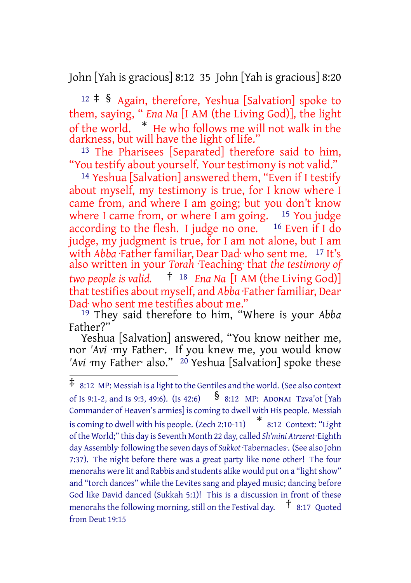John [Yah is gracious] 8:12 35 John [Yah is gracious] 8:20

 $12 \div$  § Again, therefore, Yeshua [Salvation] spoke to them, saying, " *Ena Na* [I AM (the Living God)], the light of the world. \* He who follows me will not walk in the darkness, but will have the light of life."

13 The Pharisees [Separated] therefore said to him, "You testify about yourself. Your testimony is not valid."

14 Yeshua [Salvation] answered them, "Even if I testify about myself, my testimony is true, for I know where I came from, and where I am going; but you don't know where I came from, or where I am going. <sup>15</sup> You judge according to the flesh. I judge no one. <sup>16</sup> Even if I do judge, my judgment is true, for I am not alone, but I am with *Abba* ·Father familiar, Dear Dad<sup>.</sup> who sent me. <sup>17</sup> It's also written in your *Torah* ·Teaching· that *the testimony of two people is valid.* † <sup>18</sup> *Ena Na* [I AM (the Living God)] that testifies about myself, and *Abba* ·Father familiar, Dear Dad· who sent me testifies about me."

19 They said therefore to him, "Where is your *Abba* Father?"

Yeshua [Salvation] answered, "You know neither me, nor *'Avi* ·my Father·. If you knew me, you would know *'Avi* ·my Father· also." 20 Yeshua [Salvation] spoke these

<sup>‡</sup> 8:12 MP: Messiah is <sup>a</sup> lightto the Gentiles and the world. (See also context of Is 9:1-2, and Is 9:3, 49:6). (Is 42:6)  $\frac{1}{8}$  8:12 MP: ADONAI Tzva'ot [Yah Commander of Heaven's armies] is coming to dwell with His people. Messiah is coming to dwell with his people. (Zech 2:10-11) \* 8:12 Context: "Light ofthe World;" this day is Seventh Month 22 day, called *Sh'mini Atrzeret* ·Eighth day Assembly· following the seven days of *Sukkot* ·Tabernacles·. (See also John 7:37). The night before there was a great party like none other! The four menorahs were lit and Rabbis and students alike would put on a "light show" and "torch dances" while the Levites sang and played music; dancing before God like David danced (Sukkah 5:1)! This is a discussion in front of these menorahs the following morning, still on the Festival day.  $\bar{t}$  8:17 Quoted from Deut 19:15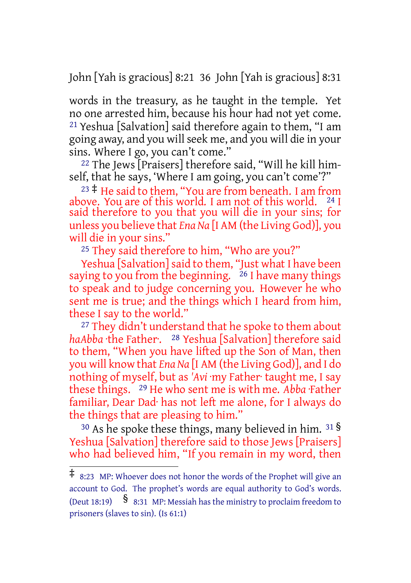John [Yah is gracious] 8:21 36 John [Yah is gracious] 8:31

words in the treasury, as he taught in the temple. Yet no one arrested him, because his hour had not yet come. 21 Yeshua [Salvation] said therefore again to them, "I am going away, and you will seek me, and you will die in your sins. Where I go, you can't come."

22 The Jews [Praisers] therefore said, "Will he kill himself, that he says, 'Where I am going, you can't come'?"

 $^{23}$  ‡ He said to them, "You are from beneath. I am from above. You are of this world. I am not of this world.  $^{24}$  I said therefore to you that you will die in your sins; for unless you believe that *Ena Na* [I AM (the Living God)], you will die in your sins."

<sup>25</sup> They said therefore to him, "Who are you?"

Yeshua [Salvation] said to them, "Just what I have been saying to you from the beginning.  $26$  I have many things to speak and to judge concerning you. However he who sent me is true; and the things which I heard from him, these I say to the world."

27 They didn't understand that he spoke to them about *haAbba* ·the Father·. 28 Yeshua [Salvation] therefore said to them, "When you have lifted up the Son of Man, then you will know that *Ena Na* [I AM (the Living God)], and I do nothing of myself, but as *'Avi* ·my Father· taught me, I say these things. 29 He who sent me is with me. *Abba* ·Father familiar, Dear Dad· has not left me alone, for I always do the things that are pleasing to him."

 $30$  As he spoke these things, many believed in him.  $31\frac{S}{S}$ Yeshua [Salvation] therefore said to those Jews [Praisers] who had believed him, "If you remain in my word, then

<sup>‡</sup> 8:23 MP: Whoever does not honor the words of the Prophet will give an account to God. The prophet's words are equal authority to God's words. (Deut 18:19)  $\frac{1}{8}$  8:31 MP: Messiah has the ministry to proclaim freedom to prisoners (slaves to sin). (Is 61:1)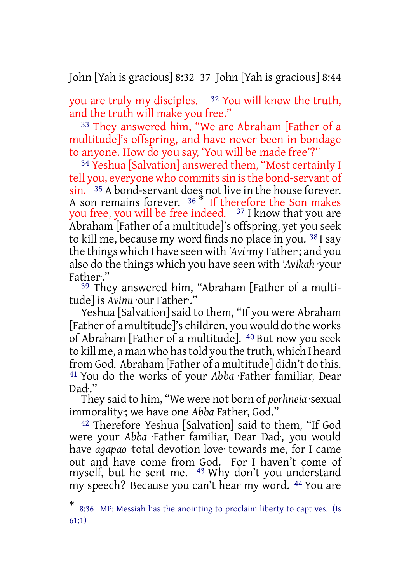John [Yah is gracious] 8:32 37 John [Yah is gracious] 8:44

you are truly my disciples. 32 You will know the truth, and the truth will make you free."

33 They answered him, "We are Abraham [Father of a multitude]'s offspring, and have never been in bondage to anyone. How do you say, 'You will be made free'?"

34 Yeshua [Salvation] answered them, "Most certainly I tell you, everyone who commits sin is the bond-servant of sin. 35 A bond-servant does not live in the house forever. A son remains forever. <sup>36 \*</sup> If therefore the Son makes you free, you will be free indeed. <sup>37</sup> I know that you are Abraham [Father of a multitude]'s offspring, yet you seek to kill me, because my word finds no place in you. 38 I say the things which I have seen with *'Avi* ·my Father·; and you also do the things which you have seen with *'Avikah* ·your Father·."

<sup>39</sup> They answered him, "Abraham [Father of a multitude] is *Avinu* ·our Father·."

Yeshua [Salvation] said to them, "If you were Abraham [Father of a multitude]'s children, you would do the works of Abraham [Father of a multitude]. 40 But now you seek to kill me, a man who hastold you the truth, which I heard from God. Abraham [Father of a multitude] didn't do this. 41 You do the works of your *Abba* ·Father familiar, Dear Dad·."

They said to him, "We were not born of *porhneia* ·sexual immorality·; we have one *Abba* Father, God."

42 Therefore Yeshua [Salvation] said to them, "If God were your *Abba* ·Father familiar, Dear Dad·, you would have *agapao* ·total devotion love· towards me, for I came out and have come from God. For I haven't come of myself, but he sent me. 43 Why don't you understand my speech? Because you can't hear my word. 44 You are

<sup>\*</sup> 8:36 MP: Messiah has the anointing to proclaim liberty to captives. (Is 61:1)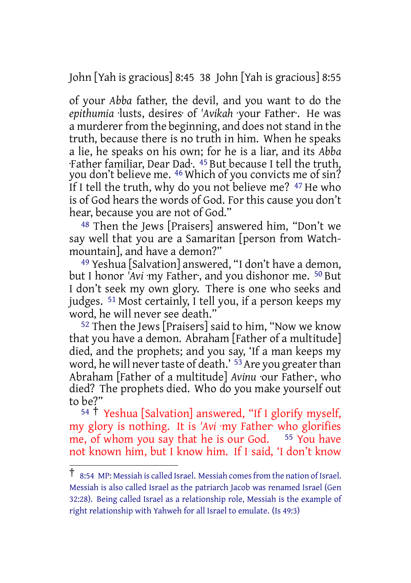John [Yah is gracious] 8:45 38 John [Yah is gracious] 8:55

of your *Abba* father, the devil, and you want to do the *epithumia* ·lusts, desires· of *'Avikah* ·your Father·. He was a murderer from the beginning, and does not stand in the truth, because there is no truth in him. When he speaks a lie, he speaks on his own; for he is a liar, and its *Abba* ·Father familiar, Dear Dad·. 45 But because I tell the truth, you don't believe me. 46 Which of you convicts me of sin? If I tell the truth, why do you not believe me? <sup>47</sup> He who is of God hears the words of God. For this cause you don't hear, because you are not of God."

48 Then the Jews [Praisers] answered him, "Don't we say well that you are a Samaritan [person from Watchmountain], and have a demon?"

49 Yeshua [Salvation] answered, "I don't have a demon, but I honor 'Avi ·my Father·, and you dishonor me. <sup>50</sup> But I don't seek my own glory. There is one who seeks and judges. 51 Most certainly, I tell you, if a person keeps my word, he will never see death."

52 Then the Jews [Praisers] said to him, "Now we know that you have a demon. Abraham [Father of a multitude] died, and the prophets; and you say, 'If a man keeps my word, he will never taste of death.' <sup>53</sup> Are you greater than Abraham [Father of a multitude] *Avinu* ·our Father·, who died? The prophets died. Who do you make yourself out to be?"

<sup>54</sup> † Yeshua [Salvation] answered, "If I glorify myself, my glory is nothing. It is *'Avi* ·my Father· who glorifies me, of whom you say that he is our God. <sup>55</sup> You have not known him, but I know him. If I said, 'I don't know

<sup>†</sup> 8:54 MP: Messiah is called Israel. Messiah comesfrom the nation of Israel. Messiah is also called Israel as the patriarch Jacob was renamed Israel (Gen 32:28). Being called Israel as a relationship role, Messiah is the example of right relationship with Yahweh for all Israel to emulate. (Is 49:3)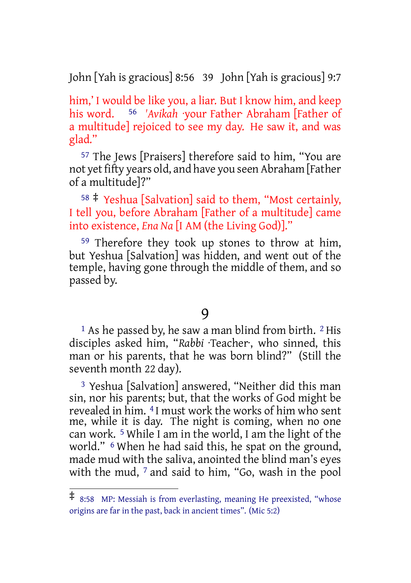John [Yah is gracious] 8:56 39 John [Yah is gracious] 9:7

him,' I would be like you, a liar. But I know him, and keep his word. 56 *'Avikah* ·your Father· Abraham [Father of a multitude] rejoiced to see my day. He saw it, and was glad."

57 The Jews [Praisers] therefore said to him, "You are not yet fifty years old, and have you seen Abraham [Father of a multitude]?"

<sup>58</sup> ‡ Yeshua [Salvation] said to them, "Most certainly, I tell you, before Abraham [Father of a multitude] came into existence, *Ena Na* [I AM (the Living God)]."

59 Therefore they took up stones to throw at him, but Yeshua [Salvation] was hidden, and went out of the temple, having gone through the middle of them, and so passed by.

#### 9

<sup>1</sup> As he passed by, he saw a man blind from birth. <sup>2</sup> His disciples asked him, "*Rabbi* ·Teacher·, who sinned, this man or his parents, that he was born blind?" (Still the seventh month 22 day).

3 Yeshua [Salvation] answered, "Neither did this man sin, nor his parents; but, that the works of God might be revealed in him. 4 I must work the works of him who sent me, while it is day. The night is coming, when no one can work. 5 While I am in the world, I am the light of the world." 6 When he had said this, he spat on the ground, made mud with the saliva, anointed the blind man's eyes with the mud,  $7$  and said to him, "Go, wash in the pool

<sup>‡</sup> 8:58 MP: Messiah is from everlasting, meaning He preexisted, "whose origins are far in the past, back in ancient times". (Mic 5:2)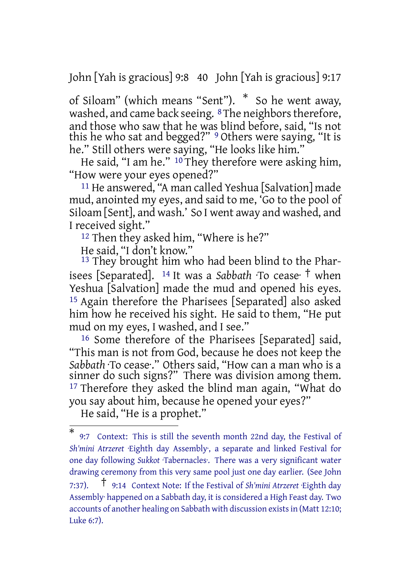John [Yah is gracious] 9:8 40 John [Yah is gracious] 9:17

of Siloam" (which means "Sent"). \* So he went away, washed, and came back seeing. <sup>8</sup>The neighbors therefore, and those who saw that he was blind before, said, "Is not this he who sat and begged?" <sup>9</sup> Others were saying, "It is he." Still others were saying, "He looks like him."

He said, "I am he." <sup>10</sup> They therefore were asking him, "How were your eyes opened?"

11 He answered, "A man called Yeshua [Salvation] made mud, anointed my eyes, and said to me, 'Go to the pool of Siloam [Sent], and wash.' So I went away and washed, and I received sight."

<sup>12</sup> Then they asked him, "Where is he?"

He said, "I don't know."

<sup>13</sup> They brought him who had been blind to the Pharisees [Separated]. <sup>14</sup> It was a *Sabbath* ·To cease· † when Yeshua [Salvation] made the mud and opened his eyes. 15 Again therefore the Pharisees [Separated] also asked him how he received his sight. He said to them, "He put mud on my eyes, I washed, and I see."

16 Some therefore of the Pharisees [Separated] said, "This man is not from God, because he does not keep the *Sabbath* ·To cease·." Others said, "How can a man who is a sinner do such signs?" There was division among them. <sup>17</sup> Therefore they asked the blind man again, "What do you say about him, because he opened your eyes?"

He said, "He is a prophet."

<sup>\*</sup> 9:7 Context: This is still the seventh month 22nd day, the Festival of *Sh'mini Atrzeret* ·Eighth day Assembly·, a separate and linked Festival for one day following *Sukkot* ·Tabernacles·. There was a very significant water drawing ceremony from this very same pool just one day earlier. (See John 7:37). † 9:14 Context Note: If the Festival of *Sh'mini Atrzeret* ·Eighth day Assembly· happened on a Sabbath day, it is considered a High Feast day. Two accounts of another healing on Sabbath with discussion existsin (Matt 12:10; Luke 6:7).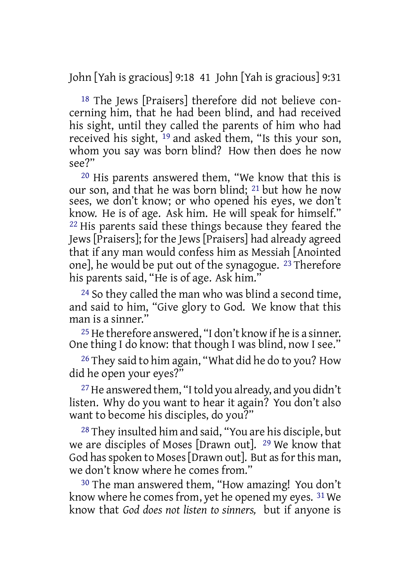John [Yah is gracious] 9:18 41 John [Yah is gracious] 9:31

18 The Jews [Praisers] therefore did not believe concerning him, that he had been blind, and had received his sight, until they called the parents of him who had received his sight, 19 and asked them, "Is this your son, whom you say was born blind? How then does he now see?"

20 His parents answered them, "We know that this is our son, and that he was born blind; 21 but how he now sees, we don't know; or who opened his eyes, we don't know. He is of age. Ask him. He will speak for himself." 22 His parents said these things because they feared the Jews [Praisers]; for the Jews [Praisers] had already agreed that if any man would confess him as Messiah [Anointed one], he would be put out of the synagogue. 23 Therefore his parents said, "He is of age. Ask him."

24 So they called the man who was blind a second time, and said to him, "Give glory to God. We know that this man is a sinner."

25 He therefore answered, "I don't know if he is a sinner. One thing I do know: that though I was blind, now I see."

26 They said to him again, "What did he do to you? How did he open your eyes?"

27 He answered them, "Itold you already, and you didn't listen. Why do you want to hear it again? You don't also want to become his disciples, do you?"

28 They insulted him and said, "You are his disciple, but we are disciples of Moses [Drawn out]. 29 We know that God has spoken to Moses [Drawn out]. But as for this man, we don't know where he comes from."

30 The man answered them, "How amazing! You don't know where he comes from, yet he opened my eyes. 31 We know that *God does not listen to sinners,* but if anyone is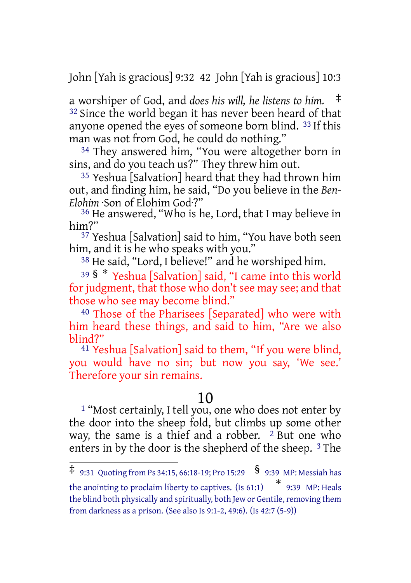John [Yah is gracious] 9:32 42 John [Yah is gracious] 10:3

a worshiper of God, and *does his will, he listens to him.* ‡ <sup>32</sup> Since the world began it has never been heard of that anyone opened the eyes of someone born blind. 33 If this man was not from God, he could do nothing."

34 They answered him, "You were altogether born in sins, and do you teach us?" They threw him out.

35 Yeshua [Salvation] heard that they had thrown him out, and finding him, he said, "Do you believe in the *Ben-Elohim* ·Son of Elohim God·?"

36 He answered, "Who is he, Lord, that I may believe in him?"

37 Yeshua [Salvation] said to him, "You have both seen him, and it is he who speaks with you."

38 He said, "Lord, I believe!" and he worshiped him.

<sup>39</sup> § \* Yeshua [Salvation] said, "I came into this world for judgment, that those who don't see may see; and that those who see may become blind."

40 Those of the Pharisees [Separated] who were with him heard these things, and said to him, "Are we also blind?"

41 Yeshua [Salvation] said to them, "If you were blind, you would have no sin; but now you say, 'We see.' Therefore your sin remains.

## 10

1 "Most certainly, I tell you, one who does not enter by the door into the sheep fold, but climbs up some other way, the same is a thief and a robber.  $2$  But one who enters in by the door is the shepherd of the sheep. 3 The

 $\frac{1}{4}$  9:31 Quoting from Ps 34:15, 66:18-19; Pro 15:29 § 9:39 MP: Messiah has the anointing to proclaim liberty to captives. (Is 61:1) \* 9:39 MP: Heals the blind both physically and spiritually, both Jew or Gentile, removing them from darkness as a prison. (See also Is 9:1-2, 49:6). (Is 42:7 (5-9))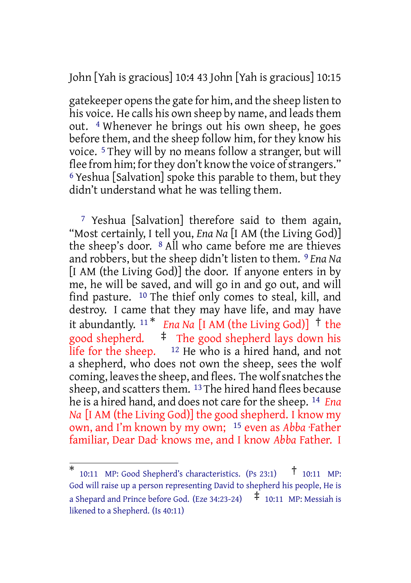John [Yah is gracious] 10:4 43 John [Yah is gracious] 10:15

gatekeeper opensthe gate for him, and the sheep listen to his voice. He calls his own sheep by name, and leads them out. 4 Whenever he brings out his own sheep, he goes before them, and the sheep follow him, for they know his voice. 5 They will by no means follow a stranger, but will flee from him; for they don't know the voice of strangers." 6 Yeshua [Salvation] spoke this parable to them, but they didn't understand what he was telling them.

7 Yeshua [Salvation] therefore said to them again, "Most certainly, I tell you, *Ena Na* [I AM (the Living God)] the sheep's door. 8 All who came before me are thieves and robbers, but the sheep didn't listen to them. 9 *Ena Na* [I AM (the Living God)] the door. If anyone enters in by me, he will be saved, and will go in and go out, and will find pasture. 10 The thief only comes to steal, kill, and destroy. I came that they may have life, and may have it abundantly.  $11 *$  *Ena Na* [I AM (the Living God)]  $\dagger$  the good shepherd. ‡ The good shepherd lays down his life for the sheep.  $12$  He who is a hired hand, and not a shepherd, who does not own the sheep, sees the wolf coming, leaves the sheep, and flees. The wolf snatches the sheep, and scatters them. 13 The hired hand flees because he is a hired hand, and does not care forthe sheep. 14 *Ena Na* [I AM (the Living God)] the good shepherd. I know my own, and I'm known by my own; 15 even as *Abba* ·Father familiar, Dear Dad· knows me, and I know *Abba* Father. I

<sup>\*</sup> 10:11 MP: Good Shepherd's characteristics. (Ps 23:1)  $\uparrow$  10:11 MP: God will raise up a person representing David to shepherd his people, He is a Shepard and Prince before God. (Eze 34:23-24)  $\pm$  10:11 MP: Messiah is likened to a Shepherd. (Is 40:11)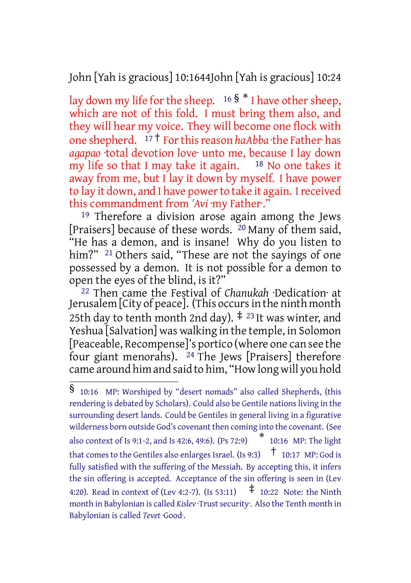John [Yah is gracious] 10:1644John [Yah is gracious] 10:24

lay down my life for the sheep.  $16 \frac{1}{9}$  \* I have other sheep, which are not of this fold. I must bring them also, and they will hear my voice. They will become one flock with one shepherd. <sup>17</sup> † Forthisreason *haAbba* ·the Father· has *agapao* ·total devotion love· unto me, because I lay down my life so that I may take it again. <sup>18</sup> No one takes it away from me, but I lay it down by myself. I have power to lay it down, and I have power to take it again. I received this commandment from 'Avi ·my Father·.'

<sup>19</sup> Therefore a division arose again among the Jews [Praisers] because of these words. 20 Many of them said, "He has a demon, and is insane! Why do you listen to him?" <sup>21</sup> Others said, "These are not the sayings of one possessed by a demon. It is not possible for a demon to open the eyes of the blind, is it?"

22 Then came the Festival of *Chanukah* ·Dedication· at Jerusalem [City of peace]. (This occursin the ninth month 25th day to tenth month 2nd day).  $\ddagger$  <sup>23</sup> It was winter, and Yeshua [Salvation] was walking in the temple, in Solomon [Peaceable, Recompense]'s portico (where one can see the four giant menorahs). 24 The Jews [Praisers] therefore came around him and said to him, "How long will you hold

<sup>§</sup> 10:16 MP: Worshiped by "desert nomads" also called Shepherds, (this rendering is debated by Scholars). Could also be Gentile nations living in the surrounding desert lands. Could be Gentiles in general living in a figurative wilderness born outside God's covenant then coming into the covenant. (See also context of Is 9:1-2, and Is 42:6, 49:6). (Ps 72:9) \* 10:16 MP: The light that comes to the Gentiles also enlarges Israel. (Is 9:3)  $\uparrow$  10:17 MP: God is fully satisfied with the suffering of the Messiah. By accepting this, it infers the sin offering is accepted. Acceptance of the sin offering is seen in (Lev 4:20). Read in context of (Lev 4:2-7). (Is 53:11)  $\uparrow$  10:22 Note: the Ninth month in Babylonian is called *Kislev* · Trust security . Also the Tenth month in Babylonian is called *Tevet* ·Good·.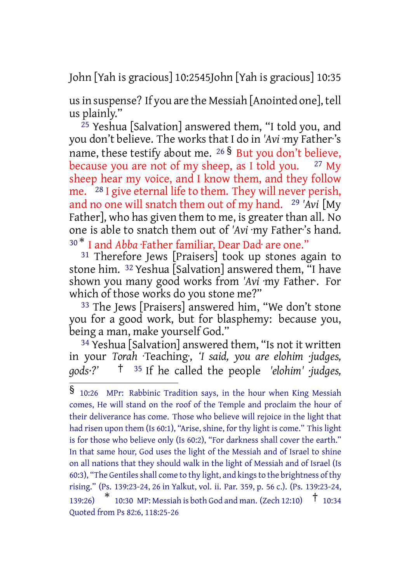John [Yah is gracious] 10:2545John [Yah is gracious] 10:35

usin suspense? If you are the Messiah [Anointed one], tell us plainly."

25 Yeshua [Salvation] answered them, "I told you, and you don't believe. The works that I do in *'Avi* ·my Father·'s name, these testify about me. <sup>26</sup> § But you don't believe, because you are not of my sheep, as I told you.  $27 \text{ My}$ sheep hear my voice, and I know them, and they follow me. 28 I give eternal life to them. They will never perish, and no one will snatch them out of my hand. 29 *'Avi* [My Father, who has given them to me, is greater than all. No one is able to snatch them out of *'Avi* ·my Father·'s hand. <sup>30</sup> \* I and *Abba* ·Father familiar, Dear Dad· are one."

31 Therefore Jews [Praisers] took up stones again to stone him. 32 Yeshua [Salvation] answered them, "I have shown you many good works from *'Avi* ·my Father·. For which of those works do you stone me?"

33 The Jews [Praisers] answered him, "We don't stone you for a good work, but for blasphemy: because you, being a man, make yourself God."

34 Yeshua [Salvation] answered them, "Is not it written in your *Torah* ·Teaching·, *'I said, you are elohim ·judges, gods·?'* † <sup>35</sup> If he called the people *'elohim' ·judges,*

<sup>§</sup> 10:26 MPr: Rabbinic Tradition says, in the hour when King Messiah comes, He will stand on the roof of the Temple and proclaim the hour of their deliverance has come. Those who believe will rejoice in the light that had risen upon them (Is 60:1), "Arise, shine, for thy light is come." This light is for those who believe only (Is 60:2), "For darkness shall cover the earth." In that same hour, God uses the light of the Messiah and of Israel to shine on all nations that they should walk in the light of Messiah and of Israel (Is 60:3), "The Gentiles shall come to thy light, and kings to the brightness of thy rising." (Ps. 139:23-24, 26 in Yalkut, vol. ii. Par. 359, p. 56 c.). (Ps. 139:23-24, 139:26) \* 10:30 MP: Messiah is both God and man. (Zech 12:10) † 10:34 Quoted from Ps 82:6, 118:25-26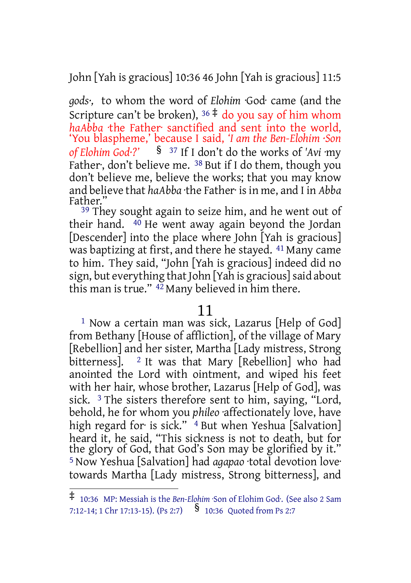John [Yah is gracious] 10:36 46 John [Yah is gracious] 11:5

*gods·,* to whom the word of *Elohim* ·God· came (and the Scripture can't be broken),  $36 \neq$  do you say of him whom *haAbba* ·the Father· sanctified and sent into the world, 'You blaspheme,' because I said, *'I am the Ben-Elohim ·Son of Elohim God·?'* § <sup>37</sup> If I don't do the works of *'Avi* ·my Father, don't believe me. <sup>38</sup> But if I do them, though you don't believe me, believe the works; that you may know and believe that *haAbba* ·the Father· is in me, and I in *Abba* Father."

<sup>39</sup> They sought again to seize him, and he went out of their hand. 40 He went away again beyond the Jordan [Descender] into the place where John [Yah is gracious] was baptizing at first, and there he stayed. 41 Many came to him. They said, "John [Yah is gracious] indeed did no sign, but everything that John [Yah is gracious] said about this man is true." 42 Many believed in him there.

## 11

1 Now a certain man was sick, Lazarus [Help of God] from Bethany [House of affliction], of the village of Mary [Rebellion] and her sister, Martha [Lady mistress, Strong bitterness]. <sup>2</sup> It was that Mary [Rebellion] who had anointed the Lord with ointment, and wiped his feet with her hair, whose brother, Lazarus [Help of God], was sick. 3 The sisters therefore sent to him, saying, "Lord, behold, he for whom you *phileo* ·affectionately love, have high regard for is sick." <sup>4</sup> But when Yeshua [Salvation] heard it, he said, "This sickness is not to death, but for the glory of God, that God's Son may be glorified by it." 5 Now Yeshua [Salvation] had *agapao* ·total devotion love· towards Martha [Lady mistress, Strong bitterness], and

<sup>‡</sup> 10:36 MP: Messiah is the *Ben-Elohim* ·Son of Elohim God·. (See also <sup>2</sup> Sam 7:12-14; 1 Chr 17:13-15). (Ps 2:7)  $\frac{\$}$  10:36 Quoted from Ps 2:7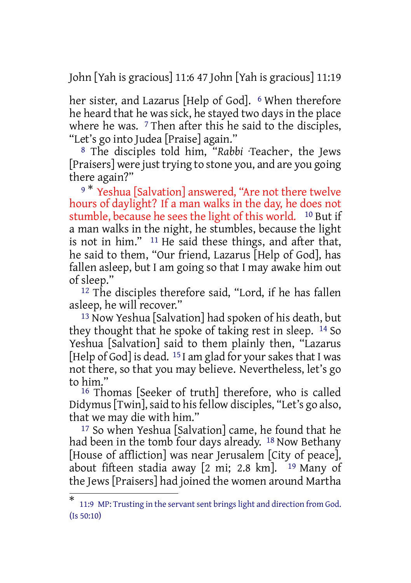John [Yah is gracious] 11:6 47 John [Yah is gracious] 11:19

her sister, and Lazarus [Help of God]. <sup>6</sup> When therefore he heard that he was sick, he stayed two days in the place where he was. <sup>7</sup> Then after this he said to the disciples, "Let's go into Judea [Praise] again."

8 The disciples told him, "*Rabbi* ·Teacher·, the Jews [Praisers] were just trying to stone you, and are you going there again?"

9<sup>\*</sup> Yeshua [Salvation] answered, "Are not there twelve hours of daylight? If a man walks in the day, he does not stumble, because he sees the light of this world. <sup>10</sup> But if a man walks in the night, he stumbles, because the light is not in him." 11 He said these things, and after that, he said to them, "Our friend, Lazarus [Help of God], has fallen asleep, but I am going so that I may awake him out of sleep."

12 The disciples therefore said, "Lord, if he has fallen asleep, he will recover."

13 Now Yeshua [Salvation] had spoken of his death, but they thought that he spoke of taking rest in sleep. 14 So Yeshua [Salvation] said to them plainly then, "Lazarus [Help of God] is dead.  $15$  I am glad for your sakes that I was not there, so that you may believe. Nevertheless, let's go to him."

16 Thomas [Seeker of truth] therefore, who is called Didymus [Twin], said to his fellow disciples, "Let's go also, that we may die with him."

17 So when Yeshua [Salvation] came, he found that he had been in the tomb four days already. <sup>18</sup> Now Bethany [House of affliction] was near Jerusalem [City of peace], about fifteen stadia away  $[2 \text{ mi}; 2.8 \text{ km}]$ . <sup>19</sup> Many of the Jews [Praisers] had joined the women around Martha

<sup>\*</sup> 11:9 MP: Trusting in the servantsent bringslight and direction from God. (Is 50:10)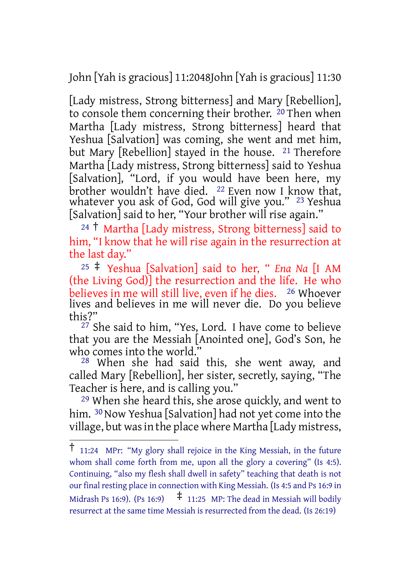John [Yah is gracious] 11:2048John [Yah is gracious] 11:30

[Lady mistress, Strong bitterness] and Mary [Rebellion], to console them concerning their brother. 20 Then when Martha [Lady mistress, Strong bitterness] heard that Yeshua [Salvation] was coming, she went and met him, but Mary [Rebellion] stayed in the house. <sup>21</sup> Therefore Martha [Lady mistress, Strong bitterness] said to Yeshua [Salvation], "Lord, if you would have been here, my brother wouldn't have died. <sup>22</sup> Even now I know that, whatever you ask of God, God will give you." 23 Yeshua [Salvation] said to her, "Your brother will rise again."

<sup>24</sup> † Martha [Lady mistress, Strong bitterness] said to him, "I know that he will rise again in the resurrection at the last day."

<sup>25</sup> ‡ Yeshua [Salvation] said to her, " *Ena Na* [I AM (the Living God)] the resurrection and the life. He who believes in me will still live, even if he dies. <sup>26</sup> Whoever lives and believes in me will never die. Do you believe this?"

27 She said to him, "Yes, Lord. I have come to believe that you are the Messiah [Anointed one], God's Son, he who comes into the world."

28 When she had said this, she went away, and called Mary [Rebellion], her sister, secretly, saying, "The Teacher is here, and is calling you."

29 When she heard this, she arose quickly, and went to him. <sup>30</sup> Now Yeshua [Salvation] had not yet come into the village, but was in the place where Martha [Lady mistress,

<sup>†</sup> 11:24 MPr: "My glory shall rejoice in the King Messiah, in the future whom shall come forth from me, upon all the glory a covering" (Is 4:5). Continuing, "also my flesh shall dwell in safety" teaching that death is not our final resting place in connection with King Messiah. (Is 4:5 and Ps 16:9 in Midrash Ps 16:9). (Ps 16:9)  $\frac{1}{7}$  11:25 MP: The dead in Messiah will bodily resurrect at the same time Messiah is resurrected from the dead. (Is 26:19)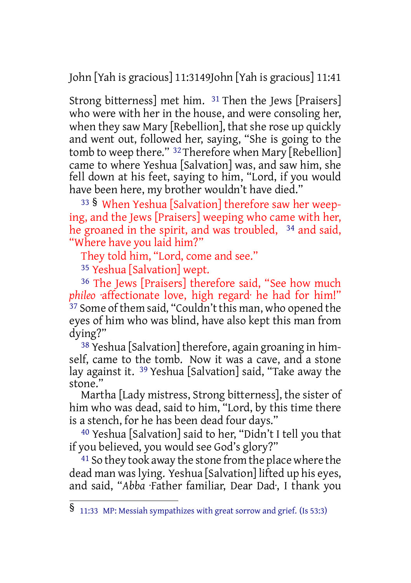John [Yah is gracious] 11:3149John [Yah is gracious] 11:41

Strong bitterness] met him. 31 Then the Jews [Praisers] who were with her in the house, and were consoling her, when they saw Mary [Rebellion], that she rose up quickly and went out, followed her, saying, "She is going to the tomb to weep there." 32 Therefore when Mary [Rebellion] came to where Yeshua [Salvation] was, and saw him, she fell down at his feet, saying to him, "Lord, if you would have been here, my brother wouldn't have died."

<sup>33</sup> § When Yeshua [Salvation] therefore saw her weeping, and the Jews [Praisers] weeping who came with her, he groaned in the spirit, and was troubled, 34 and said, "Where have you laid him?"

They told him, "Lord, come and see."

35 Yeshua [Salvation] wept.

<sup>36</sup> The Jews [Praisers] therefore said, "See how much *phileo* ·affectionate love, high regard· he had for him!" <sup>37</sup> Some of them said, "Couldn't this man, who opened the eyes of him who was blind, have also kept this man from dying?"

38 Yeshua [Salvation] therefore, again groaning in himself, came to the tomb. Now it was a cave, and a stone lay against it. 39 Yeshua [Salvation] said, "Take away the stone."

Martha [Lady mistress, Strong bitterness], the sister of him who was dead, said to him, "Lord, by this time there is a stench, for he has been dead four days."

40 Yeshua [Salvation] said to her, "Didn't I tell you that if you believed, you would see God's glory?"

<sup>41</sup> So they took away the stone from the place where the dead man waslying. Yeshua [Salvation] lifted up his eyes, and said, "*Abba* ·Father familiar, Dear Dad·, I thank you

<sup>§</sup> 11:33 MP: Messiah sympathizes with great sorrow and grief. (Is 53:3)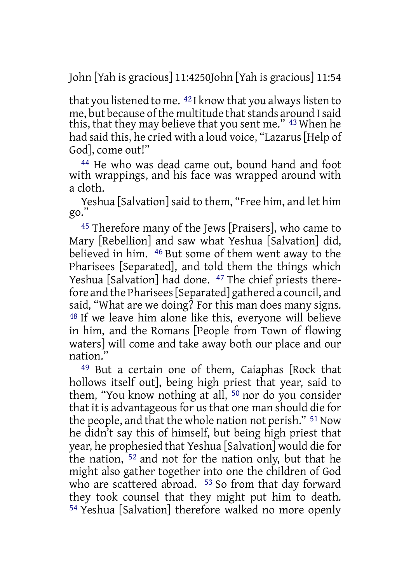John [Yah is gracious] 11:4250John [Yah is gracious] 11:54

that you listened to me.  $42$  I know that you always listen to me, but because of the multitude that stands around I said this, that they may believe that you sent me." 43 When he had said this, he cried with a loud voice, "Lazarus [Help of God], come out!"

44 He who was dead came out, bound hand and foot with wrappings, and his face was wrapped around with a cloth.

Yeshua [Salvation] said to them, "Free him, and let him go."

45 Therefore many of the Jews [Praisers], who came to Mary [Rebellion] and saw what Yeshua [Salvation] did, believed in him. 46 But some of them went away to the Pharisees [Separated], and told them the things which Yeshua [Salvation] had done. <sup>47</sup> The chief priests therefore and the Pharisees[Separated] gathered a council, and said, "What are we doing? For this man does many signs. 48 If we leave him alone like this, everyone will believe in him, and the Romans [People from Town of flowing waters] will come and take away both our place and our nation."

49 But a certain one of them, Caiaphas [Rock that hollows itself out], being high priest that year, said to them, "You know nothing at all, 50 nor do you consider that it is advantageous for us that one man should die for the people, and that the whole nation not perish." <sup>51</sup> Now he didn't say this of himself, but being high priest that year, he prophesied that Yeshua [Salvation] would die for the nation, 52 and not for the nation only, but that he might also gather together into one the children of God who are scattered abroad. <sup>53</sup> So from that day forward they took counsel that they might put him to death. 54 Yeshua [Salvation] therefore walked no more openly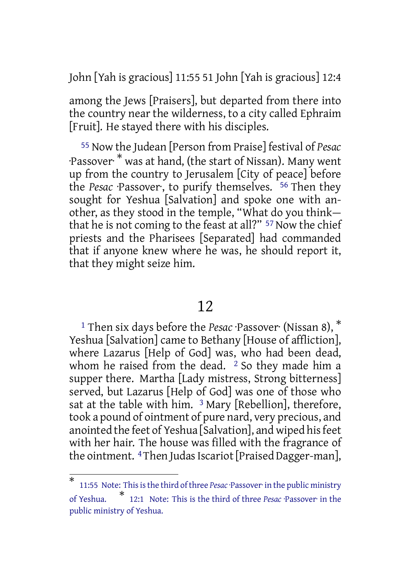John [Yah is gracious] 11:55 51 John [Yah is gracious] 12:4

among the Jews [Praisers], but departed from there into the country near the wilderness, to a city called Ephraim [Fruit]. He stayed there with his disciples.

55 Now the Judean [Person from Praise] festival of *Pesac* ·Passover· \* was at hand, (the start of Nissan). Many went up from the country to Jerusalem [City of peace] before the *Pesac* ·Passover·, to purify themselves. 56 Then they sought for Yeshua [Salvation] and spoke one with another, as they stood in the temple, "What do you think that he is not coming to the feast at all?" <sup>57</sup> Now the chief priests and the Pharisees [Separated] had commanded that if anyone knew where he was, he should report it, that they might seize him.

# 12

<sup>1</sup> Then six days before the *Pesac* ·Passover· (Nissan 8), \* Yeshua [Salvation] came to Bethany [House of affliction], where Lazarus [Help of God] was, who had been dead, whom he raised from the dead.  $2$  So they made him a supper there. Martha [Lady mistress, Strong bitterness] served, but Lazarus [Help of God] was one of those who sat at the table with him.  $3$  Mary [Rebellion], therefore, took a pound of ointment of pure nard, very precious, and anointed the feet of Yeshua [Salvation], and wiped hisfeet with her hair. The house was filled with the fragrance of the ointment.  $4$ Then Judas Iscariot [Praised Dagger-man],

<sup>\*</sup> 11:55 Note: This is the third of three *Pesac*·Passover· in the public ministry of Yeshua. \* 12:1 Note: This is the third of three *Pesac* ·Passover· in the public ministry of Yeshua.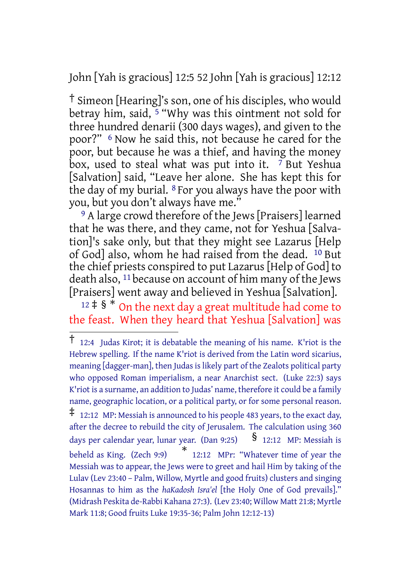John [Yah is gracious] 12:5 52 John [Yah is gracious] 12:12

† Simeon [Hearing]'s son, one of his disciples, who would betray him, said, <sup>5</sup> "Why was this ointment not sold for three hundred denarii (300 days wages), and given to the poor?" 6 Now he said this, not because he cared for the poor, but because he was a thief, and having the money box, used to steal what was put into it. 7 But Yeshua [Salvation] said, "Leave her alone. She has kept this for the day of my burial. 8 For you always have the poor with you, but you don't always have me."

<sup>9</sup> A large crowd therefore of the Jews [Praisers] learned that he was there, and they came, not for Yeshua [Salvation]'s sake only, but that they might see Lazarus [Help of God] also, whom he had raised from the dead. 10 But the chief priests conspired to put Lazarus[Help of God] to death also, 11 because on account of him many of the Jews [Praisers] went away and believed in Yeshua [Salvation].

 $12 \div 8$  \* On the next day a great multitude had come to the feast. When they heard that Yeshua [Salvation] was

<sup>†</sup> 12:4 Judas Kirot; it is debatable the meaning of his name. K'riot is the Hebrew spelling. If the name K'riot is derived from the Latin word sicarius, meaning [dagger-man], then Judas is likely part of the Zealots political party who opposed Roman imperialism, a near Anarchist sect. (Luke 22:3) says K'riot is a surname, an addition to Judas' name, therefore it could be a family name, geographic location, or a political party, or for some personal reason.  $\ddagger$  12:12 MP: Messiah is announced to his people 483 years, to the exact day, after the decree to rebuild the city of Jerusalem. The calculation using 360 days per calendar year, lunar year. (Dan 9:25) **§** 12:12 MP: Messiah is beheld as King. (Zech 9:9) \* 12:12 MPr: "Whatever time of year the Messiah was to appear, the Jews were to greet and hail Him by taking of the Lulav (Lev 23:40 – Palm, Willow, Myrtle and good fruits) clusters and singing Hosannas to him as the *haKadosh Isra'el* [the Holy One of God prevails]." (Midrash Peskita de-Rabbi Kahana 27:3). (Lev 23:40; Willow Matt 21:8; Myrtle Mark 11:8; Good fruits Luke 19:35-36; Palm John 12:12-13)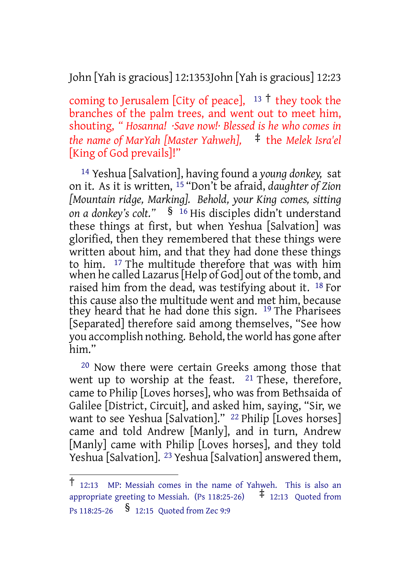John [Yah is gracious] 12:1353John [Yah is gracious] 12:23

coming to Jerusalem [City of peace],  $13 \text{ †}$  they took the branches of the palm trees, and went out to meet him, shouting, *" Hosanna! ·Save now!· Blessed is he who comes in the name of MarYah [Master Yahweh],* ‡ the *Melek Isra'el* [King of God prevails]!"

14 Yeshua [Salvation], having found a *young donkey,* sat on it. As it is written, 15 "Don't be afraid, *daughter of Zion [Mountain ridge, Marking]. Behold, your King comes, sitting on a donkey's colt."* § <sup>16</sup> His disciples didn't understand these things at first, but when Yeshua [Salvation] was glorified, then they remembered that these things were written about him, and that they had done these things to him. 17 The multitude therefore that was with him when he called Lazarus[Help of God] out of the tomb, and raised him from the dead, was testifying about it. 18 For this cause also the multitude went and met him, because they heard that he had done this sign. 19 The Pharisees [Separated] therefore said among themselves, "See how you accomplish nothing. Behold, the world has gone after him."

20 Now there were certain Greeks among those that went up to worship at the feast. 21 These, therefore, came to Philip [Loves horses], who was from Bethsaida of Galilee [District, Circuit], and asked him, saying, "Sir, we want to see Yeshua [Salvation]." <sup>22</sup> Philip [Loves horses] came and told Andrew [Manly], and in turn, Andrew [Manly] came with Philip [Loves horses], and they told Yeshua [Salvation]. <sup>23</sup> Yeshua [Salvation] answered them,

 $\frac{1}{12:13}$  MP: Messiah comes in the name of Yahweh. This is also an appropriate greeting to Messiah. (Ps 118:25-26)  $\stackrel{+}{\pm}$  12:13 Quoted from appropriate greeting to Messiah. (Ps 118:25-26) Ps 118:25-26 § 12:15 Quoted from Zec 9:9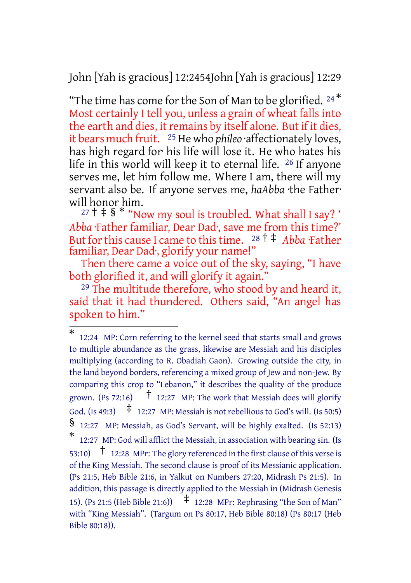John [Yah is gracious] 12:2454John [Yah is gracious] 12:29

"The time has come for the Son of Man to be glorified. <sup>24\*</sup> Most certainly I tell you, unless a grain of wheat falls into the earth and dies, it remains by itself alone. But if it dies, it bears much fruit. 25 He who *phileo* ·affectionately loves, has high regard for· his life will lose it. He who hates his life in this world will keep it to eternal life. 26 If anyone serves me, let him follow me. Where I am, there will my servant also be. If anyone serves me, *haAbba* ·the Father· will honor him.

 $27 + 12 + 8$  \* "Now my soul is troubled. What shall I say? " *Abba* ·Father familiar, Dear Dad·, save me from this time?' But forthis cause I came to thistime. <sup>28</sup> † ‡ *Abba* ·Father familiar, Dear Dad·, glorify your name!"

Then there came a voice out of the sky, saying, "I have both glorified it, and will glorify it again."

<sup>29</sup> The multitude therefore, who stood by and heard it, said that it had thundered. Others said, "An angel has spoken to him."

<sup>\*</sup> 12:24 MP: Corn referring to the kernel seed that starts small and grows to multiple abundance as the grass, likewise are Messiah and his disciples multiplying (according to R. Obadiah Gaon). Growing outside the city, in the land beyond borders, referencing a mixed group of Jew and non-Jew. By comparing this crop to "Lebanon," it describes the quality of the produce grown. (Ps 72:16)  $\uparrow$  12:27 MP: The work that Messiah does will glorify God. (Is 49:3)  $\uparrow$  12:27 MP: Messiah is not rebellious to God's will. (Is 50:5) § 12:27 MP: Messiah, as God's Servant, will be highly exalted. (Is 52:13) \* 12:27 MP: God will afflict the Messiah, in association with bearing sin. (Is 53:10)  $\uparrow$  12:28 MPr: The glory referenced in the first clause of this verse is of the King Messiah. The second clause is proof of its Messianic application. (Ps 21:5, Heb Bible 21:6, in Yalkut on Numbers 27:20, Midrash Ps 21:5). In addition, this passage is directly applied to the Messiah in (Midrash Genesis 15). (Ps 21:5 (Heb Bible 21:6))  $\pm$  12:28 MPr: Rephrasing "the Son of Man" with "King Messiah". (Targum on Ps 80:17, Heb Bible 80:18) (Ps 80:17 (Heb Bible 80:18)).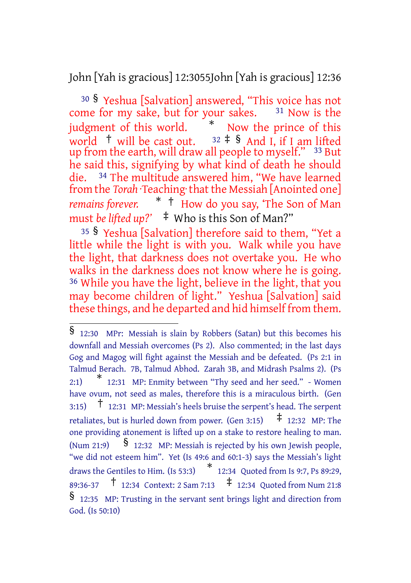John [Yah is gracious] 12:3055John [Yah is gracious] 12:36

<sup>30</sup> § Yeshua [Salvation] answered, "This voice has not come for my sake, but for your sakes. <sup>31</sup> Now is the judgment of this world. \* Now the prince of this world  $\uparrow$  will be cast out.  $32 \uparrow$  § And I, if I am lifted up from the earth, will draw all people to myself." <sup>33</sup> But he said this, signifying by what kind of death he should die. 34 The multitude answered him, "We have learned from the *Torah* ·Teaching· that the Messiah [Anointed one] *remains forever.* \* † How do you say, 'The Son of Man must *be lifted*  $up$ ?'  $\pm$  Who is this Son of Man?"

<sup>35</sup> § Yeshua [Salvation] therefore said to them, "Yet a little while the light is with you. Walk while you have the light, that darkness does not overtake you. He who walks in the darkness does not know where he is going. 36 While you have the light, believe in the light, that you may become children of light." Yeshua [Salvation] said these things, and he departed and hid himself from them.

<sup>§</sup> 12:30 MPr: Messiah is slain by Robbers (Satan) but this becomes his downfall and Messiah overcomes (Ps 2). Also commented; in the last days Gog and Magog will fight against the Messiah and be defeated. (Ps 2:1 in Talmud Berach. 7B, Talmud Abhod. Zarah 3B, and Midrash Psalms 2). (Ps  $2.1$ 12:31 MP: Enmity between "Thy seed and her seed." - Women have ovum, not seed as males, therefore this is a miraculous birth. (Gen 3:15) † 12:31 MP: Messiah's heels bruise the serpent's head. The serpent retaliates, but is hurled down from power. (Gen 3:15)  $\pm$  12:32 MP: The one providing atonement is lifted up on a stake to restore healing to man. (Num 21:9)  $\frac{1}{2}$  12:32 MP: Messiah is rejected by his own Jewish people, "we did not esteem him". Yet (Is 49:6 and 60:1-3) says the Messiah's light draws the Gentiles to Him. (Is 53:3) \* 12:34 Quoted from Is 9:7, Ps 89:29, 89:36-37  $\uparrow$  12:34 Context: 2 Sam 7:13  $\uparrow$  12:34 Ouoted from Num 21:8 § 12:35 MP: Trusting in the servant sent brings light and direction from God. (Is 50:10)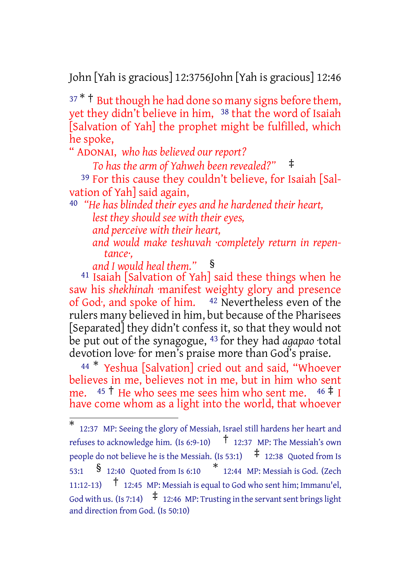John [Yah is gracious] 12:3756John [Yah is gracious] 12:46

 $37 * †$  But though he had done so many signs before them, yet they didn't believe in him, <sup>38</sup> that the word of Isaiah [Salvation of Yah] the prophet might be fulfilled, which he spoke,

" ADONAI, *who has believed our report?*

*To has the arm of Yahweh been revealed?"* ‡

39 For this cause they couldn't believe, for Isaiah [Salvation of Yah] said again,

40 *"He has blinded their eyes and he hardened their heart,*

*lest they should see with their eyes,*

*and perceive with their heart,*

*and would make teshuvah ·completely return in repentance·,*

*and I would heal them."* §

41 Isaiah [Salvation of Yah] said these things when he saw his *shekhinah* ·manifest weighty glory and presence of God·, and spoke of him. 42 Nevertheless even of the rulers many believed in him, but because of the Pharisees [Separated] they didn't confess it, so that they would not be put out of the synagogue, 43 for they had *agapao* ·total devotion love· for men's praise more than God's praise.

<sup>44</sup> \* Yeshua [Salvation] cried out and said, "Whoever believes in me, believes not in me, but in him who sent me.  $45 \text{ }^{\text{+}}$  He who sees me sees him who sent me.  $46 \text{ }^{\text{+}}$  I have come whom as a light into the world, that whoever

<sup>\*</sup> 12:37 MP: Seeing the glory of Messiah, Israel still hardens her heart and refuses to acknowledge him. (Is 6:9-10) † 12:37 MP: The Messiah's own people do not believe he is the Messiah. (Is 53:1)  $\quad \neq 12:38$  Quoted from Is 53:1 § 12:40 Quoted from Is 6:10 \* 12:44 MP: Messiah is God. (Zech 11:12-13) † 12:45 MP: Messiah is equal to God who sent him; Immanu'el, God with us. (Is 7:14)  $\uparrow$  12:46 MP: Trusting in the servant sent brings light and direction from God. (Is 50:10)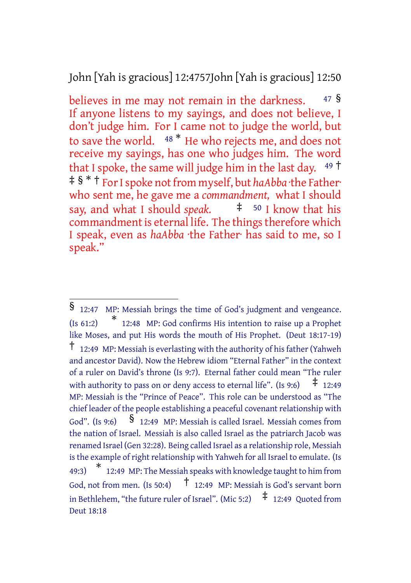## John [Yah is gracious] 12:4757John [Yah is gracious] 12:50

believes in me may not remain in the darkness. 47 § If anyone listens to my sayings, and does not believe, I don't judge him. For I came not to judge the world, but to save the world. <sup>48</sup> \* He who rejects me, and does not receive my sayings, has one who judges him. The word that I spoke, the same will judge him in the last day.  $49 \text{ }^{\circ}$ ‡ § \* † ForIspoke notfrom myself, but *haAbba* ·the Father· who sent me, he gave me a *commandment,* what I should say, and what I should *speak.*  $\qquad \qquad \dagger \qquad$  <sup>50</sup> I know that his commandment is eternal life. The things therefore which I speak, even as *haAbba* ·the Father· has said to me, so I speak."

<sup>§</sup> 12:47 MP: Messiah brings the time of God's judgment and vengeance. (Is 61:2) \* 12:48 MP: God confirms His intention to raise up a Prophet like Moses, and put His words the mouth of His Prophet. (Deut 18:17-19)  $\uparrow$  12:49 MP: Messiah is everlasting with the authority of his father (Yahweh and ancestor David). Now the Hebrew idiom "Eternal Father" in the context of a ruler on David's throne (Is 9:7). Eternal father could mean "The ruler with authority to pass on or deny access to eternal life". (Is 9:6)  $\pm$  12:49 MP: Messiah is the "Prince of Peace". This role can be understood as "The chief leader of the people establishing a peaceful covenant relationship with God". (Is 9:6)  $\frac{\$}{\$}$  12:49 MP: Messiah is called Israel. Messiah comes from the nation of Israel. Messiah is also called Israel as the patriarch Jacob was renamed Israel (Gen 32:28). Being called Israel as a relationship role, Messiah is the example of right relationship with Yahweh for all Israel to emulate. (Is 49:3) \* 12:49 MP: The Messiah speaks with knowledge taught to him from God, not from men. (Is 50:4)  $\uparrow$  12:49 MP: Messiah is God's servant born in Bethlehem, "the future ruler of Israel". (Mic 5:2)  $\pm$  12:49 Ouoted from Deut 18:18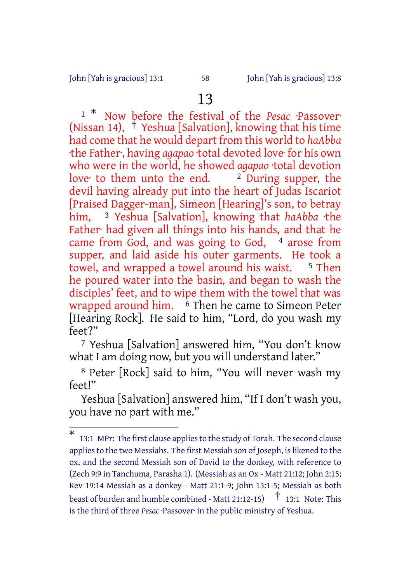#### John [Yah is gracious] 13:1 58 John [Yah is gracious] 13:8

# 13

<sup>1</sup> \* Now before the festival of the *Pesac* ·Passover· (Nissan 14), † Yeshua [Salvation], knowing that his time had come that he would depart from this world to *haAbba* ·the Father·, having *agapao* ·total devoted love· for his own who were in the world, he showed *agapao* ·total devotion love to them unto the end.  $\frac{2 \text{ During super}}{2}$ devil having already put into the heart of Judas Iscariot [Praised Dagger-man], Simeon [Hearing]'s son, to betray him, 3 Yeshua [Salvation], knowing that *haAbba* ·the Father<sup>·</sup> had given all things into his hands, and that he came from God, and was going to God, <sup>4</sup> arose from supper, and laid aside his outer garments. He took a towel, and wrapped a towel around his waist.  $5$  Then he poured water into the basin, and began to wash the disciples' feet, and to wipe them with the towel that was wrapped around him.  $\delta$  Then he came to Simeon Peter [Hearing Rock]. He said to him, "Lord, do you wash my feet?"

7 Yeshua [Salvation] answered him, "You don't know what I am doing now, but you will understand later."

8 Peter [Rock] said to him, "You will never wash my feet!"

Yeshua [Salvation] answered him, "If I don't wash you, you have no part with me."

<sup>\*</sup> 13:1 MPr: The first clause appliesto the study of Torah. The second clause applies to the two Messiahs. The first Messiah son of Joseph, is likened to the ox, and the second Messiah son of David to the donkey, with reference to (Zech 9:9 in Tanchuma, Parasha 1). (Messiah as an Ox - Matt 21:12; John 2:15; Rev 19:14 Messiah as a donkey - Matt 21:1-9; John 13:1-5; Messiah as both beast of burden and humble combined - Matt 21:12-15)  $\uparrow$  13:1 Note: This is the third of three *Pesac* ·Passover· in the public ministry of Yeshua.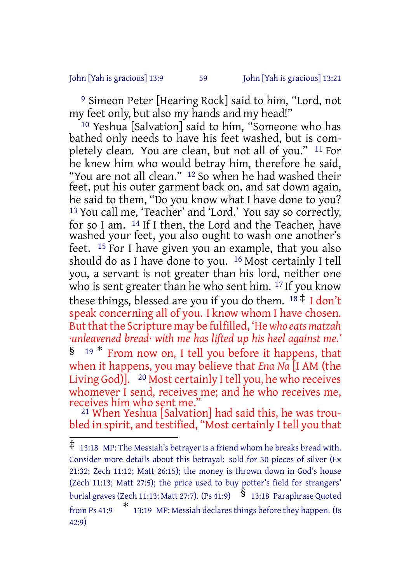John [Yah is gracious] 13:9 59 John [Yah is gracious] 13:21

9 Simeon Peter [Hearing Rock] said to him, "Lord, not my feet only, but also my hands and my head!"

<sup>10</sup> Yeshua [Salvation] said to him, "Someone who has bathed only needs to have his feet washed, but is completely clean. You are clean, but not all of you." 11 For he knew him who would betray him, therefore he said, "You are not all clean." 12 So when he had washed their feet, put his outer garment back on, and sat down again, he said to them, "Do you know what I have done to you? 13 You call me, 'Teacher' and 'Lord.' You say so correctly, for so I am. 14 If I then, the Lord and the Teacher, have washed your feet, you also ought to wash one another's feet. 15 For I have given you an example, that you also should do as I have done to you. 16 Most certainly I tell you, a servant is not greater than his lord, neither one who is sent greater than he who sent him. <sup>17</sup> If you know these things, blessed are you if you do them.  $18 \pm 1$  don't speak concerning all of you. I know whom I have chosen. But that the Scripture may be fulfilled, 'He who eats matzah *·unleavened bread· with me has lifted up his heel against me.'* § <sup>19</sup> \* From now on, I tell you before it happens, that when it happens, you may believe that *Ena Na* [I AM (the Living God)<sup>[20]</sup>. <sup>20</sup> Most certainly I tell you, he who receives whomever I send, receives me; and he who receives me, receives him who sent me."

21 When Yeshua [Salvation] had said this, he was troubled in spirit, and testified, "Most certainly I tell you that

<sup>‡</sup> 13:18 MP: The Messiah's betrayer is <sup>a</sup> friend whom he breaks bread with. Consider more details about this betrayal: sold for 30 pieces of silver (Ex 21:32; Zech 11:12; Matt 26:15); the money is thrown down in God's house (Zech 11:13; Matt 27:5); the price used to buy potter's field for strangers' burial graves (Zech 11:13; Matt 27:7). (Ps 41:9)  $\hat{\S}$  13:18 Paraphrase Quoted from Ps 41:9 \* 13:19 MP: Messiah declares things before they happen. (Is 42:9)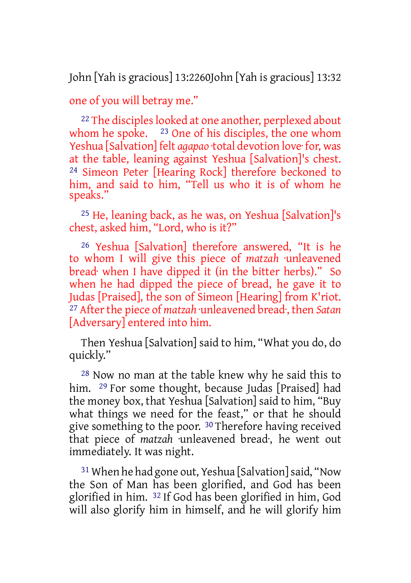John [Yah is gracious] 13:2260John [Yah is gracious] 13:32

one of you will betray me."

<sup>22</sup> The disciples looked at one another, perplexed about whom he spoke.  $23$  One of his disciples, the one whom Yeshua [Salvation] felt *agapao* ·total devotion love· for, was at the table, leaning against Yeshua [Salvation]'s chest. 24 Simeon Peter [Hearing Rock] therefore beckoned to him, and said to him, "Tell us who it is of whom he speaks."

25 He, leaning back, as he was, on Yeshua [Salvation]'s chest, asked him, "Lord, who is it?"

26 Yeshua [Salvation] therefore answered, "It is he to whom I will give this piece of *matzah* ·unleavened bread· when I have dipped it (in the bitter herbs)." So when he had dipped the piece of bread, he gave it to Judas [Praised], the son of Simeon [Hearing] from K'riot. <sup>27</sup> After the piece of *matzah* unleavened bread; then *Satan* [Adversary] entered into him.

Then Yeshua [Salvation] said to him, "What you do, do quickly."

28 Now no man at the table knew why he said this to him. <sup>29</sup> For some thought, because Judas [Praised] had the money box, that Yeshua [Salvation] said to him, "Buy what things we need for the feast," or that he should give something to the poor. 30 Therefore having received that piece of *matzah* ·unleavened bread·, he went out immediately. It was night.

31 When he had gone out, Yeshua [Salvation]said, "Now the Son of Man has been glorified, and God has been glorified in him. 32 If God has been glorified in him, God will also glorify him in himself, and he will glorify him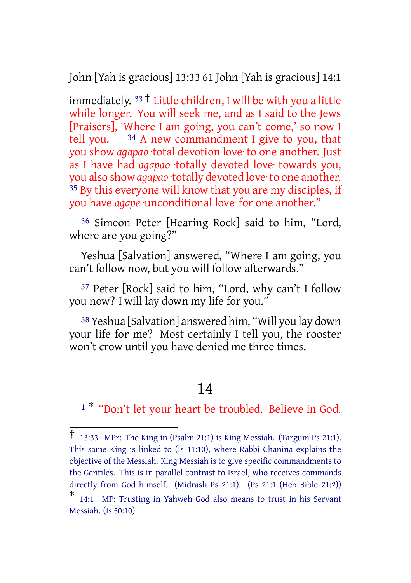John [Yah is gracious] 13:33 61 John [Yah is gracious] 14:1

immediately.  $33 \dagger$  Little children, I will be with you a little while longer. You will seek me, and as I said to the Jews [Praisers], 'Where I am going, you can't come,' so now I tell you.  $34$  A new commandment I give to you, that you show *agapao* ·total devotion love· to one another. Just as I have had *agapao* ·totally devoted love· towards you, you also show *agapao* ·totally devoted love· to one another. <sup>35</sup> By this everyone will know that you are my disciples, if you have *agape* ·unconditional love· for one another."

36 Simeon Peter [Hearing Rock] said to him, "Lord, where are you going?"

Yeshua [Salvation] answered, "Where I am going, you can't follow now, but you will follow afterwards."

37 Peter [Rock] said to him, "Lord, why can't I follow you now? I will lay down my life for you."

38 Yeshua [Salvation] answered him, "Will you lay down your life for me? Most certainly I tell you, the rooster won't crow until you have denied me three times.

# 14

<sup>1</sub> \*</sup> "Don't let your heart be troubled. Believe in God.

<sup>†</sup> 13:33 MPr: The King in (Psalm 21:1) is King Messiah. (Targum Ps 21:1). This same King is linked to (Is 11:10), where Rabbi Chanina explains the objective of the Messiah. King Messiah is to give specific commandments to the Gentiles. This is in parallel contrast to Israel, who receives commands directly from God himself. (Midrash Ps 21:1). (Ps 21:1 (Heb Bible 21:2))

<sup>\*</sup> 14:1 MP: Trusting in Yahweh God also means to trust in his Servant Messiah. (Is 50:10)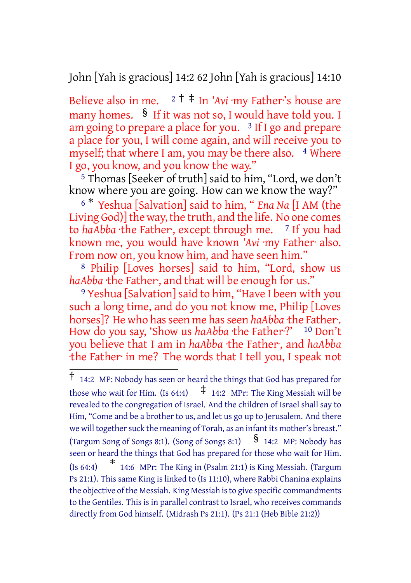John [Yah is gracious] 14:2 62 John [Yah is gracious] 14:10

Believe also in me. <sup>2</sup> † ‡ In *'Avi* ·my Father·'s house are many homes. § If it was not so, I would have told you. I am going to prepare a place for you. 3 If I go and prepare a place for you, I will come again, and will receive you to myself; that where I am, you may be there also. 4 Where I go, you know, and you know the way."

 $5$  Thomas [Seeker of truth] said to him, "Lord, we don't know where you are going. How can we know the way?"

<sup>6</sup> \* Yeshua [Salvation] said to him, " *Ena Na* [I AM (the Living God)] the way, the truth, and the life. No one comes to *haAbba* the Father, except through me. <sup>7</sup> If you had known me, you would have known *'Avi* ·my Father· also. From now on, you know him, and have seen him."

8 Philip [Loves horses] said to him, "Lord, show us *haAbba* ·the Father·, and that will be enough for us."

9 Yeshua [Salvation] said to him, "Have I been with you such a long time, and do you not know me, Philip [Loves horses]? He who has seen me has seen *haAbba* the Father. How do you say, 'Show us *haAbba* ·the Father<sup>.?' 10</sup> Don't you believe that I am in *haAbba* ·the Father·, and *haAbba* ·the Father· in me? The words that I tell you, I speak not

<sup>†</sup> 14:2 MP: Nobody has seen or heard the things that God has prepared for those who wait for Him. (Is 64:4)  $\uparrow$  14:2 MPr: The King Messiah will be revealed to the congregation of Israel. And the children of Israel shall say to Him, "Come and be a brother to us, and let us go up to Jerusalem. And there we will together suck the meaning of Torah, as an infant its mother's breast." (Targum Song of Songs 8:1). (Song of Songs 8:1)  $\frac{1}{3}$  14:2 MP: Nobody has seen or heard the things that God has prepared for those who wait for Him.  $(Is 64:4)$ 14:6 MPr: The King in (Psalm 21:1) is King Messiah. (Targum Ps 21:1). This same King is linked to (Is 11:10), where Rabbi Chanina explains the objective of the Messiah. King Messiah is to give specific commandments to the Gentiles. This is in parallel contrast to Israel, who receives commands directly from God himself. (Midrash Ps 21:1). (Ps 21:1 (Heb Bible 21:2))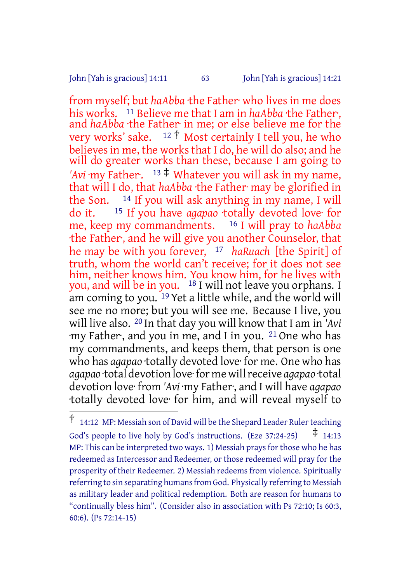John [Yah is gracious] 14:11 63 John [Yah is gracious] 14:21

from myself; but *haAbba* ·the Father· who lives in me does his works. <sup>11</sup> Believe me that I am in *haAbba* ·the Father. and *haAbba* ·the Father· in me; or else believe me for the very works' sake.  $12 \dagger$  Most certainly I tell you, he who believes in me, the works that I do, he will do also; and he will do greater works than these, because I am going to 'Avi ·my Father.  $13 \neq$  Whatever you will ask in my name, that will I do, that *haAbba* ·the Father· may be glorified in the Son. 14 If you will ask anything in my name, I will do it. 15 If you have *agapao* ·totally devoted love· for me, keep my commandments. 16 I will pray to *haAbba* ·the Father·, and he will give you another Counselor, that he may be with you forever, 17 *haRuach* [the Spirit] of truth, whom the world can't receive; for it does not see him, neither knows him. You know him, for he lives with you, and will be in you. 18 I will not leave you orphans. I am coming to you. 19 Yet a little while, and the world will see me no more; but you will see me. Because I live, you will live also. 20 In that day you will know that I am in *'Avi* ·my Father·, and you in me, and I in you. 21 One who has my commandments, and keeps them, that person is one who has *agapao* ·totally devoted love· for me. One who has *agapao* ·total devotion love·for me willreceive *agapao* ·total devotion love· from *'Avi* ·my Father·, and I will have *agapao* ·totally devoted love· for him, and will reveal myself to

<sup>†</sup> 14:12 MP: Messiah son of David will be the Shepard Leader Rulerteaching God's people to live holy by God's instructions. (Eze 37:24-25)  $\pm$  14:13 MP: This can be interpreted two ways. 1) Messiah prays for those who he has redeemed as Intercessor and Redeemer, or those redeemed will pray for the prosperity of their Redeemer. 2) Messiah redeems from violence. Spiritually referring to sin separating humans from God. Physically referring to Messiah as military leader and political redemption. Both are reason for humans to "continually bless him". (Consider also in association with Ps 72:10; Is 60:3, 60:6). (Ps 72:14-15)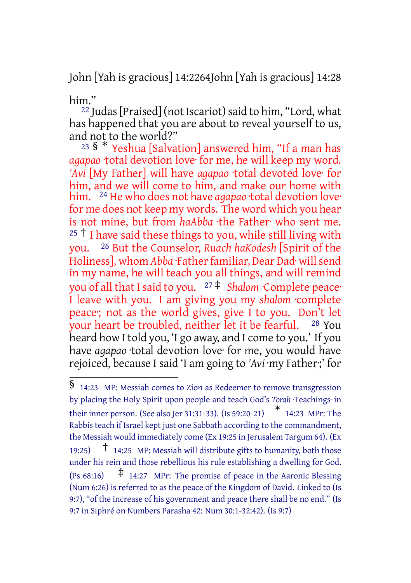John [Yah is gracious] 14:2264John [Yah is gracious] 14:28

him."

<sup>22</sup> Judas [Praised] (not Iscariot) said to him, "Lord, what has happened that you are about to reveal yourself to us, and not to the world?"

<sup>23</sup> §  $*$  Yeshua [Salvation] answered him, "If a man has *agapao* ·total devotion love· for me, he will keep my word. *'Avi* [My Father] will have *agapao* ·total devoted love· for him, and we will come to him, and make our home with him. 24 He who does not have *agapao* ·total devotion love· for me does not keep my words. The word which you hear is not mine, but from *haAbba* ·the Father· who sent me. <sup>25</sup> <sup>†</sup> I have said these things to you, while still living with you. 26 But the Counselor, *Ruach haKodesh* [Spirit of the Holiness], whom *Abba* ·Father familiar, Dear Dad· will send in my name, he will teach you all things, and will remind you of all that Isaid to you. <sup>27</sup> ‡ *Shalom* ·Complete peace· I leave with you. I am giving you my *shalom* ·complete peace·; not as the world gives, give I to you. Don't let your heart be troubled, neither let it be fearful. 28 You heard how I told you, 'I go away, and I come to you.' If you have *agapao* ·total devotion love· for me, you would have rejoiced, because I said 'I am going to *'Avi* ·my Father·;' for

<sup>§</sup> 14:23 MP: Messiah comes to Zion as Redeemer to remove transgression by placing the Holy Spirit upon people and teach God's *Torah* ·Teachings· in their inner person. (See also Jer 31:31-33). (Is 59:20-21) \* 14:23 MPr: The Rabbis teach if Israel kept just one Sabbath according to the commandment, the Messiah would immediately come (Ex 19:25 in Jerusalem Targum 64). (Ex 19:25)  $\uparrow$  14:25 MP: Messiah will distribute gifts to humanity, both those under his rein and those rebellious his rule establishing a dwelling for God. (Ps  $68:16$ )  $\qquad$   $\ddagger$  14:27 MPr: The promise of peace in the Aaronic Blessing (Num 6:26) is referred to as the peace of the Kingdom of David. Linked to (Is 9:7), "of the increase of his government and peace there shall be no end." (Is 9:7 in Siphré on Numbers Parasha 42: Num 30:1-32:42). (Is 9:7)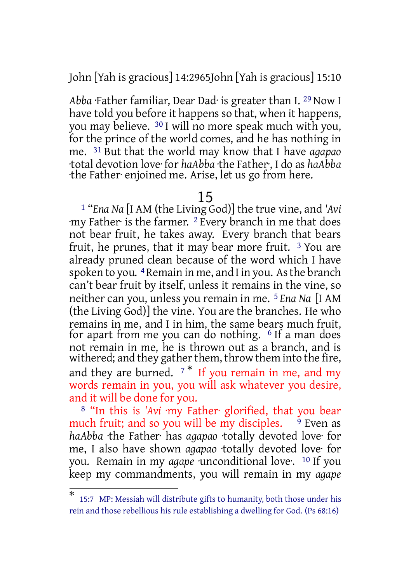John [Yah is gracious] 14:2965John [Yah is gracious] 15:10

*Abba* ·Father familiar, Dear Dad· is greater than I. 29 Now I have told you before it happens so that, when it happens, you may believe. 30 I will no more speak much with you, for the prince of the world comes, and he has nothing in me. 31 But that the world may know that I have *agapao* ·total devotion love· for *haAbba* ·the Father·, I do as *haAbba* ·the Father· enjoined me. Arise, let us go from here.

#### 15

1 "*Ena Na* [I AM (the Living God)] the true vine, and *'Avi* ·my Father· is the farmer. 2 Every branch in me that does not bear fruit, he takes away. Every branch that bears fruit, he prunes, that it may bear more fruit.  $3$  You are already pruned clean because of the word which I have spoken to you.  $4$  Remain in me, and I in you. As the branch can't bear fruit by itself, unless it remains in the vine, so neither can you, unless you remain in me. 5 *Ena Na* [I AM (the Living God)] the vine. You are the branches. He who remains in me, and I in him, the same bears much fruit, for apart from me you can do nothing. 6 If a man does not remain in me, he is thrown out as a branch, and is withered; and they gather them, throw them into the fire, and they are burned.  $7 *$  If you remain in me, and my words remain in you, you will ask whatever you desire, and it will be done for you.

8 "In this is *'Avi* ·my Father· glorified, that you bear much fruit; and so you will be my disciples.  $\frac{9}{9}$  Even as *haAbba* ·the Father· has *agapao* ·totally devoted love· for me, I also have shown *agapao* ·totally devoted love· for you. Remain in my *agape* unconditional love. <sup>10</sup> If you keep my commandments, you will remain in my *agape*

<sup>\*</sup> 15:7 MP: Messiah will distribute gifts to humanity, both those under his rein and those rebellious his rule establishing a dwelling for God. (Ps 68:16)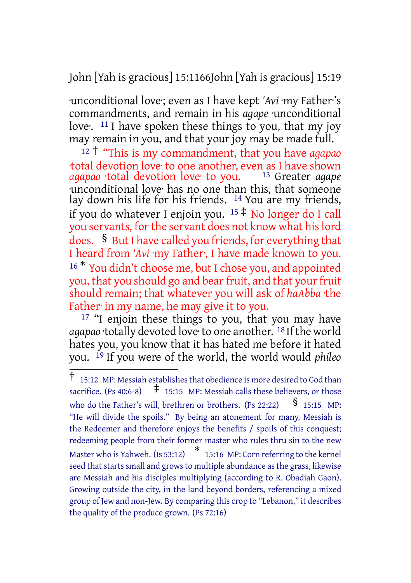John [Yah is gracious] 15:1166John [Yah is gracious] 15:19

·unconditional love·; even as I have kept *'Avi* ·my Father·'s commandments, and remain in his *agape* ·unconditional love.  $11$  I have spoken these things to you, that my joy may remain in you, and that your joy may be made full.

<sup>12</sup> † "This is my commandment, that you have *agapao* total devotion love to one another, even as I have shown<br>agapao total devotion love to you. 13 Greater agape *agapao* ·total devotion love· to you. ·unconditional love· has no one than this, that someone lay down his life for his friends. <sup>14</sup> You are my friends, if you do whatever I enjoin you.  $15 \ddagger$  No longer do I call you servants, for the servant does not know what his lord does. § But I have called you friends, for everything that I heard from 'Avi ·my Father<sup>,</sup> I have made known to you. <sup>16</sup> \* You didn't choose me, but I chose you, and appointed you, that you should go and bear fruit, and that your fruit should remain; that whatever you will ask of *haAbba* ·the Father in my name, he may give it to you.

<sup>17</sup> "I enjoin these things to you, that you may have agapao ·totally devoted love·to one another. <sup>18</sup> If the world hates you, you know that it has hated me before it hated you. 19 If you were of the world, the world would *phileo*

<sup>†</sup> 15:12 MP: Messiah establishesthat obedience is more desired to God than sacrifice. (Ps 40:6-8)  $\quad$   $\ddagger$  15:15 MP: Messiah calls these believers, or those who do the Father's will, brethren or brothers. (Ps 22:22)  $\frac{\$}{}$  15:15 MP: "He will divide the spoils." By being an atonement for many, Messiah is the Redeemer and therefore enjoys the benefits / spoils of this conquest; redeeming people from their former master who rules thru sin to the new Master who is Yahweh. (Is 53:12) \* 15:16 MP: Corn referring to the kernel seed that starts small and grows to multiple abundance as the grass, likewise are Messiah and his disciples multiplying (according to R. Obadiah Gaon). Growing outside the city, in the land beyond borders, referencing a mixed group of Jew and non-Jew. By comparing this crop to "Lebanon," it describes the quality of the produce grown. (Ps 72:16)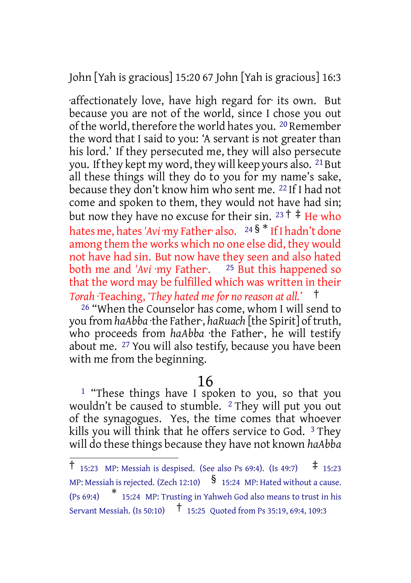John [Yah is gracious] 15:20 67 John [Yah is gracious] 16:3

·affectionately love, have high regard for· its own. But because you are not of the world, since I chose you out of the world, therefore the world hates you. 20 Remember the word that I said to you: 'A servant is not greater than his lord.' If they persecuted me, they will also persecute you. If they kept my word, they will keep yours also. <sup>21</sup> But all these things will they do to you for my name's sake, because they don't know him who sent me. 22 If I had not come and spoken to them, they would not have had sin; but now they have no excuse for their sin.  $23 \dagger \ddagger$  He who hates me, hates*'Avi* ·my Father· also. <sup>24</sup> § \* IfI hadn't done among them the works which no one else did, they would not have had sin. But now have they seen and also hated both me and *'Avi* ·my Father·. 25 But this happened so that the word may be fulfilled which was written in their *Torah* ·Teaching, *'They hated me for no reason at all.'* †

26 "When the Counselor has come, whom I will send to you from *haAbba* ·the Father, *haRuach* [the Spirit] of truth, who proceeds from *haAbba* ·the Father·, he will testify about me. 27 You will also testify, because you have been with me from the beginning.

## 16

<sup>1</sup> "These things have I spoken to you, so that you wouldn't be caused to stumble. <sup>2</sup> They will put you out of the synagogues. Yes, the time comes that whoever kills you will think that he offers service to God. 3 They will do these things because they have not known *haAbba*

<sup>†</sup> 15:23 MP: Messiah is despised. (See also Ps 69:4). (Is 49:7) ‡ 15:23 MP: Messiah is rejected. (Zech 12:10)  $\S$  15:24 MP: Hated without a cause. (Ps 69:4) \* 15:24 MP: Trusting in Yahweh God also means to trust in his Servant Messiah. (Is 50:10) † 15:25 Quoted from Ps 35:19, 69:4, 109:3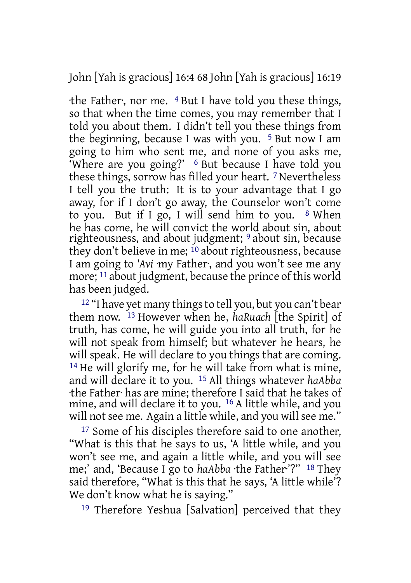John [Yah is gracious] 16:4 68 John [Yah is gracious] 16:19

·the Father·, nor me. 4 But I have told you these things, so that when the time comes, you may remember that I told you about them. I didn't tell you these things from the beginning, because I was with you. 5 But now I am going to him who sent me, and none of you asks me, 'Where are you going?' 6 But because I have told you these things, sorrow has filled your heart. 7 Nevertheless I tell you the truth: It is to your advantage that I go away, for if I don't go away, the Counselor won't come to you. But if I go, I will send him to you.  $8$  When he has come, he will convict the world about sin, about righteousness, and about judgment; 9 about sin, because they don't believe in me; 10 about righteousness, because I am going to *'Avi* ·my Father·, and you won't see me any more; 11 about judgment, because the prince of this world has been judged.

<sup>12</sup> "I have yet many things to tell you, but you can't bear them now. 13 However when he, *haRuach* [the Spirit] of truth, has come, he will guide you into all truth, for he will not speak from himself; but whatever he hears, he will speak. He will declare to you things that are coming. <sup>14</sup> He will glorify me, for he will take from what is mine, and will declare it to you. 15 All things whatever *haAbba* ·the Father· has are mine; therefore I said that he takes of mine, and will declare it to you. <sup>16</sup> A little while, and you will not see me. Again a little while, and you will see me."

<sup>17</sup> Some of his disciples therefore said to one another, "What is this that he says to us, 'A little while, and you won't see me, and again a little while, and you will see me;' and, 'Because I go to *haAbba* ·the Father·'?" 18 They said therefore, "What is this that he says, 'A little while'? We don't know what he is saying."

19 Therefore Yeshua [Salvation] perceived that they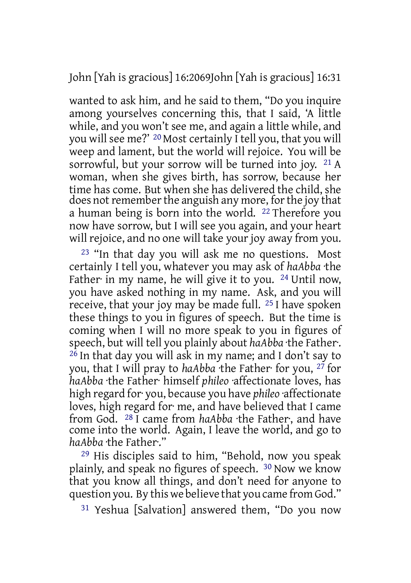John [Yah is gracious] 16:2069John [Yah is gracious] 16:31

wanted to ask him, and he said to them, "Do you inquire among yourselves concerning this, that I said, 'A little while, and you won't see me, and again a little while, and you will see me?' 20 Most certainly I tell you, that you will weep and lament, but the world will rejoice. You will be sorrowful, but your sorrow will be turned into joy. 21 A woman, when she gives birth, has sorrow, because her time has come. But when she has delivered the child, she does not remember the anguish any more, for the joy that a human being is born into the world. 22 Therefore you now have sorrow, but I will see you again, and your heart will rejoice, and no one will take your joy away from you.

23 "In that day you will ask me no questions. Most certainly I tell you, whatever you may ask of *haAbba* ·the Father· in my name, he will give it to you. <sup>24</sup> Until now, you have asked nothing in my name. Ask, and you will receive, that your joy may be made full. 25 I have spoken these things to you in figures of speech. But the time is coming when I will no more speak to you in figures of speech, but will tell you plainly about *haAbba* ·the Father·.  $^{26}$  In that day you will ask in my name; and I don't say to you, that I will pray to *haAbba* ·the Father· for you, 27 for *haAbba* ·the Father· himself *phileo* ·affectionate loves, has high regard for· you, because you have *phileo* ·affectionate loves, high regard for· me, and have believed that I came from God. 28 I came from *haAbba* ·the Father·, and have come into the world. Again, I leave the world, and go to *haAbba* ·the Father·."

29 His disciples said to him, "Behold, now you speak plainly, and speak no figures of speech. 30 Now we know that you know all things, and don't need for anyone to question you. By this we believe that you came from God."

31 Yeshua [Salvation] answered them, "Do you now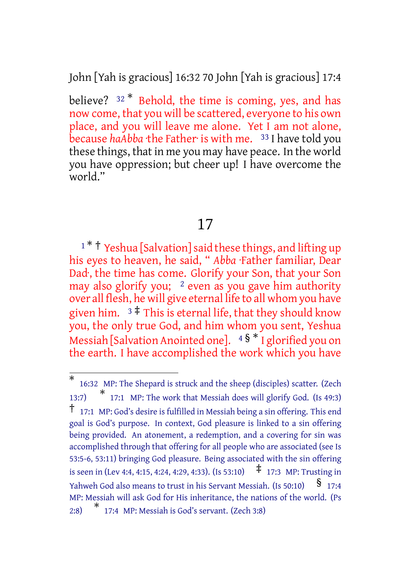John [Yah is gracious] 16:32 70 John [Yah is gracious] 17:4

believe?  $32 *$  Behold, the time is coming, yes, and has now come, that you will be scattered, everyone to his own place, and you will leave me alone. Yet I am not alone, because *haAbba* ·the Father· is with me. <sup>33</sup> I have told you these things, that in me you may have peace. In the world you have oppression; but cheer up! I have overcome the world."

# 17

<sup>1</sup> \* <sup>†</sup> Yeshua [Salvation] said these things, and lifting up his eyes to heaven, he said, " *Abba* ·Father familiar, Dear Dad·, the time has come. Glorify your Son, that your Son may also glorify you;  $2$  even as you gave him authority over all flesh, he will give eternal life to all whom you have given him.  $3 \neq$  This is eternal life, that they should know you, the only true God, and him whom you sent, Yeshua Messiah [Salvation Anointed one].  $4\frac{1}{8}$  \* I glorified you on the earth. I have accomplished the work which you have

<sup>\*</sup> 16:32 MP: The Shepard is struck and the sheep (disciples) scatter. (Zech 13:7) \* 17:1 MP: The work that Messiah does will glorify God. (Is 49:3) † 17:1 MP: God's desire is fulfilled in Messiah being <sup>a</sup> sin offering. This end goal is God's purpose. In context, God pleasure is linked to a sin offering being provided. An atonement, a redemption, and a covering for sin was accomplished through that offering for all people who are associated (see Is 53:5-6, 53:11) bringing God pleasure. Being associated with the sin offering is seen in (Lev 4:4, 4:15, 4:24, 4:29, 4:33). (Is 53:10)  $\pm$  17:3 MP: Trusting in Yahweh God also means to trust in his Servant Messiah. (Is 50:10)  $\frac{\$}{}$  17:4 MP: Messiah will ask God for His inheritance, the nations of the world. (Ps 2:8) \* 17:4 MP: Messiah is God's servant. (Zech 3:8)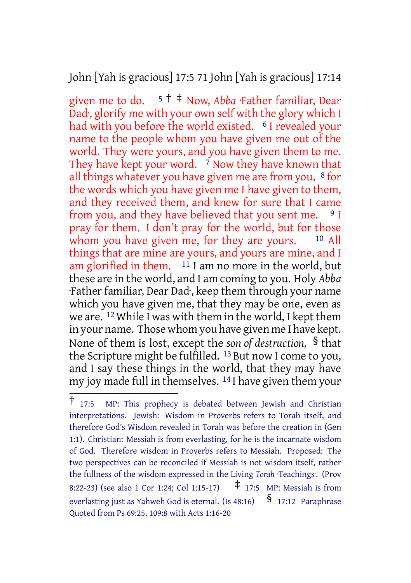John [Yah is gracious] 17:5 71 John [Yah is gracious] 17:14

given me to do. <sup>5</sup> † ‡ Now, *Abba* ·Father familiar, Dear Dad·, glorify me with your own self with the glory which I had with you before the world existed. <sup>6</sup> I revealed your name to the people whom you have given me out of the world. They were yours, and you have given them to me. They have kept your word.  $\frac{7}{1}$  Now they have known that all things whatever you have given me are from you,  $8$  for the words which you have given me I have given to them, and they received them, and knew for sure that I came from you, and they have believed that you sent me.  $9 I$ pray for them. I don't pray for the world, but for those whom you have given me, for they are yours.  $10$  All things that are mine are yours, and yours are mine, and I am glorified in them.  $11$  I am no more in the world, but these are in the world, and I am coming to you. Holy *Abba* ·Father familiar, Dear Dad·, keep them through your name which you have given me, that they may be one, even as we are. 12 While I was with them in the world, I kept them in your name. Those whom you have given me I have kept. None of them is lost, except the *son of destruction,* § that the Scripture might be fulfilled. 13 But now I come to you, and I say these things in the world, that they may have my joy made full in themselves. 14 I have given them your

<sup>†</sup> 17:5 MP: This prophecy is debated between Jewish and Christian interpretations. Jewish: Wisdom in Proverbs refers to Torah itself, and therefore God's Wisdom revealed in Torah was before the creation in (Gen 1:1). Christian: Messiah is from everlasting, for he is the incarnate wisdom of God. Therefore wisdom in Proverbs refers to Messiah. Proposed: The two perspectives can be reconciled if Messiah is not wisdom itself, rather the fullness of the wisdom expressed in the Living *Torah* ·Teachings·. (Prov 8:22-23) (see also 1 Cor 1:24; Col 1:15-17)  $\uparrow$  17:5 MP: Messiah is from everlasting just as Yahweh God is eternal. (Is  $48:16$ )  $\frac{17:12}{17:12}$  Paraphrase Quoted from Ps 69:25, 109:8 with Acts 1:16-20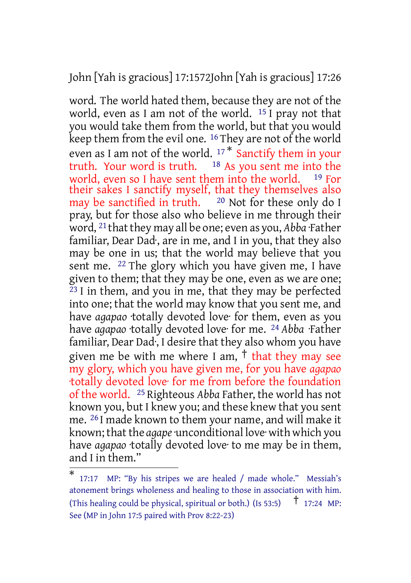John [Yah is gracious] 17:1572John [Yah is gracious] 17:26

word. The world hated them, because they are not of the world, even as I am not of the world. 15 I pray not that you would take them from the world, but that you would keep them from the evil one. <sup>16</sup> They are not of the world even as I am not of the world.  $17 *$  Sanctify them in your<br>truth. Your word is truth.  $18$  As you sent me into the  $18$  As you sent me into the world, even so I have sent them into the world. <sup>19</sup> For their sakes I sanctify myself, that they themselves also may be sanctified in truth. 20 Not for these only do I pray, but for those also who believe in me through their word, <sup>21</sup> that they may all be one; even as you, *Abba* ·Father familiar, Dear Dad·, are in me, and I in you, that they also may be one in us; that the world may believe that you sent me. 22 The glory which you have given me, I have given to them; that they may be one, even as we are one;  $23$  I in them, and you in me, that they may be perfected into one; that the world may know that you sent me, and have *agapao* ·totally devoted love· for them, even as you have *agapao* ·totally devoted love· for me. 24 *Abba* ·Father familiar, Dear Dad·, I desire that they also whom you have given me be with me where I am,  $\dagger$  that they may see my glory, which you have given me, for you have *agapao* ·totally devoted love· for me from before the foundation of the world. 25 Righteous *Abba* Father, the world has not known you, but I knew you; and these knew that you sent me. 26 I made known to them your name, and will make it known; thatthe *agape*·unconditional love· with which you have *agapao* ·totally devoted love· to me may be in them, and I in them."

<sup>\*</sup> 17:17 MP: "By his stripes we are healed / made whole." Messiah's atonement brings wholeness and healing to those in association with him. (This healing could be physical, spiritual or both.) (Is 53:5) † 17:24 MP: See (MP in John 17:5 paired with Prov 8:22-23)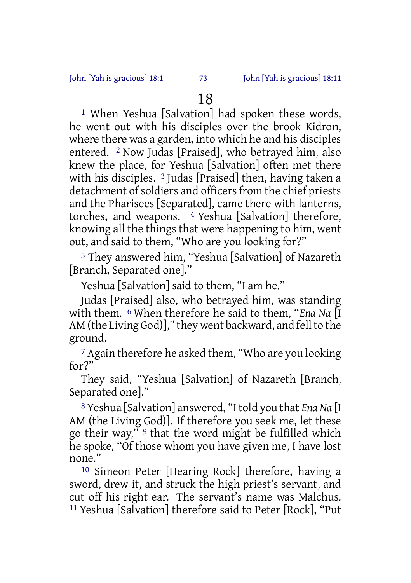1 When Yeshua [Salvation] had spoken these words, he went out with his disciples over the brook Kidron, where there was a garden, into which he and his disciples entered. 2 Now Judas [Praised], who betrayed him, also knew the place, for Yeshua [Salvation] often met there with his disciples. 3 Judas [Praised] then, having taken a detachment of soldiers and officers from the chief priests and the Pharisees [Separated], came there with lanterns, torches, and weapons. 4 Yeshua [Salvation] therefore, knowing all the things that were happening to him, went out, and said to them, "Who are you looking for?"

5 They answered him, "Yeshua [Salvation] of Nazareth [Branch, Separated one]."

Yeshua [Salvation] said to them, "I am he."

Judas [Praised] also, who betrayed him, was standing with them. 6 When therefore he said to them, "*Ena Na* [I AM (the Living God)]," they went backward, and fell to the ground.

7 Again therefore he asked them, "Who are you looking for?"

They said, "Yeshua [Salvation] of Nazareth [Branch, Separated one]."

8 Yeshua [Salvation] answered, "I told you that *Ena Na* [I AM (the Living God)]. If therefore you seek me, let these go their way," 9 that the word might be fulfilled which he spoke, "Of those whom you have given me, I have lost none."

10 Simeon Peter [Hearing Rock] therefore, having a sword, drew it, and struck the high priest's servant, and cut off his right ear. The servant's name was Malchus. 11 Yeshua [Salvation] therefore said to Peter [Rock], "Put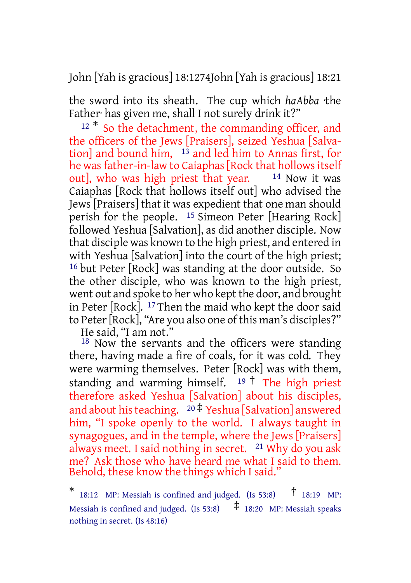John [Yah is gracious] 18:1274John [Yah is gracious] 18:21

the sword into its sheath. The cup which *haAbba* ·the Father· has given me, shall I not surely drink it?"

<sup>12 \*</sup> So the detachment, the commanding officer, and the officers of the Jews [Praisers], seized Yeshua [Salvation] and bound him, 13 and led him to Annas first, for he was father-in-law to Caiaphas [Rock that hollows itself out], who was high priest that year.  $14$  Now it was Caiaphas [Rock that hollows itself out] who advised the Jews [Praisers] that it was expedient that one man should perish for the people. 15 Simeon Peter [Hearing Rock] followed Yeshua [Salvation], as did another disciple. Now that disciple was known to the high priest, and entered in with Yeshua [Salvation] into the court of the high priest; 16 but Peter [Rock] was standing at the door outside. So the other disciple, who was known to the high priest, went out and spoke to her who kept the door, and brought in Peter [Rock]. 17 Then the maid who kept the door said to Peter[Rock], "Are you also one of this man's disciples?"

He said, "I am not."

<sup>18</sup> Now the servants and the officers were standing there, having made a fire of coals, for it was cold. They were warming themselves. Peter [Rock] was with them, standing and warming himself.  $19 \text{ }^+\text{ }$  The high priest therefore asked Yeshua [Salvation] about his disciples, and about his teaching.  $20 \frac{4}{7}$  Yeshua [Salvation] answered him, "I spoke openly to the world. I always taught in synagogues, and in the temple, where the Jews [Praisers] always meet. I said nothing in secret. 21 Why do you ask me? Ask those who have heard me what I said to them. Behold, these know the things which I said."

<sup>\*</sup> 18:12 MP: Messiah is confined and judged. (Is 53:8) † 18:19 MP: Messiah is confined and judged. (Is 53:8)  $\uparrow$  18:20 MP: Messiah speaks nothing in secret. (Is 48:16)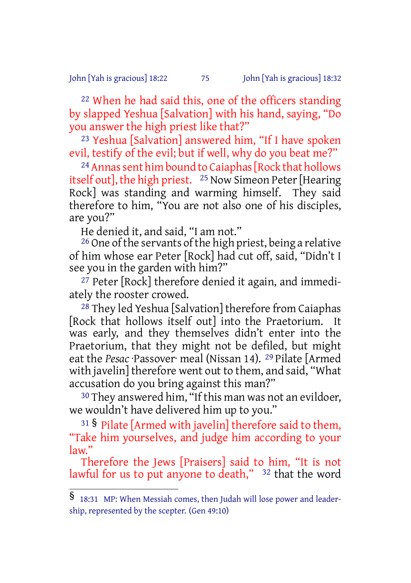John [Yah is gracious] 18:22 75 John [Yah is gracious] 18:32

22 When he had said this, one of the officers standing by slapped Yeshua [Salvation] with his hand, saying, "Do you answer the high priest like that?"

23 Yeshua [Salvation] answered him, "If I have spoken evil, testify of the evil; but if well, why do you beat me?"

<sup>24</sup> Annas sent him bound to Caiaphas [Rock that hollows itself out], the high priest.  $25$  Now Simeon Peter [Hearing] Rock] was standing and warming himself. They said therefore to him, "You are not also one of his disciples, are you?"

He denied it, and said, "I am not."

<sup>26</sup> One of the servants of the high priest, being a relative of him whose ear Peter [Rock] had cut off, said, "Didn't I see you in the garden with him?"

<sup>27</sup> Peter [Rock] therefore denied it again, and immediately the rooster crowed.

28 They led Yeshua [Salvation] therefore from Caiaphas [Rock that hollows itself out] into the Praetorium. It was early, and they themselves didn't enter into the Praetorium, that they might not be defiled, but might eat the *Pesac* ·Passover· meal (Nissan 14). 29 Pilate [Armed with javelin] therefore went out to them, and said, "What accusation do you bring against this man?"

30 They answered him, "If this man was not an evildoer, we wouldn't have delivered him up to you."

<sup>31</sup> § Pilate [Armed with javelin] therefore said to them, "Take him yourselves, and judge him according to your law."

Therefore the Jews [Praisers] said to him, "It is not lawful for us to put anyone to death," <sup>32</sup> that the word

 $\overline{\$}$  18:31 MP: When Messiah comes, then Judah will lose power and leadership, represented by the scepter. (Gen 49:10)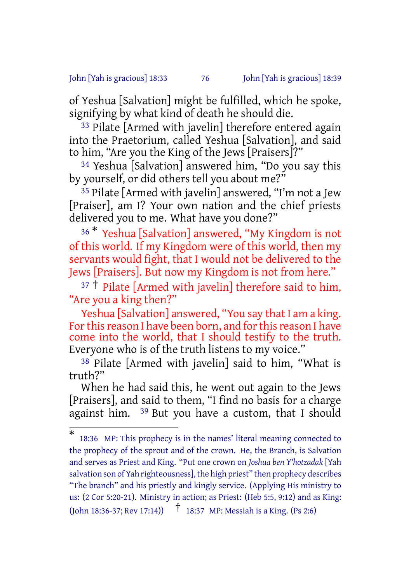### John [Yah is gracious] 18:33 76 John [Yah is gracious] 18:39

of Yeshua [Salvation] might be fulfilled, which he spoke, signifying by what kind of death he should die.

33 Pilate [Armed with javelin] therefore entered again into the Praetorium, called Yeshua [Salvation], and said to him, "Are you the King of the Jews [Praisers]?"

34 Yeshua [Salvation] answered him, "Do you say this by yourself, or did others tell you about me?"

35 Pilate [Armed with javelin] answered, "I'm not a Jew [Praiser], am I? Your own nation and the chief priests delivered you to me. What have you done?"

<sup>36</sup> \* Yeshua [Salvation] answered, "My Kingdom is not of this world. If my Kingdom were of this world, then my servants would fight, that I would not be delivered to the Jews [Praisers]. But now my Kingdom is not from here."

 $37 \dagger$  Pilate [Armed with javelin] therefore said to him, "Are you a king then?"

Yeshua [Salvation] answered, "You say that I am a king. For this reason I have been born, and for this reason I have come into the world, that I should testify to the truth. Everyone who is of the truth listens to my voice."

38 Pilate [Armed with javelin] said to him, "What is truth?"

When he had said this, he went out again to the Jews [Praisers], and said to them, "I find no basis for a charge against him. 39 But you have a custom, that I should

<sup>\*</sup> 18:36 MP: This prophecy is in the names' literal meaning connected to the prophecy of the sprout and of the crown. He, the Branch, is Salvation and serves as Priest and King. "Put one crown on *Joshua ben Y'hotzadak* [Yah salvation son of Yah righteousness], the high priest" then prophecy describes "The branch" and his priestly and kingly service. (Applying His ministry to us: (2 Cor 5:20-21). Ministry in action; as Priest: (Heb 5:5, 9:12) and as King: (John 18:36-37; Rev 17:14)) † 18:37 MP: Messiah is <sup>a</sup> King. (Ps 2:6)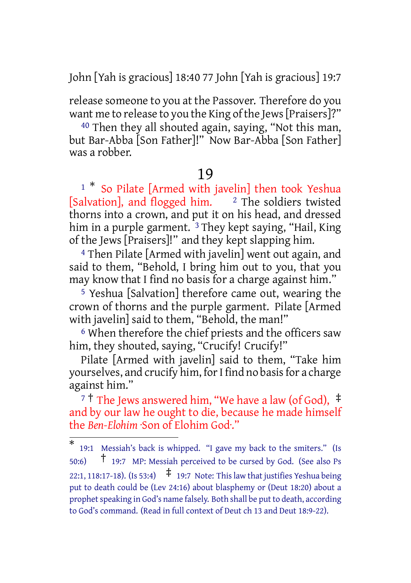John [Yah is gracious] 18:40 77 John [Yah is gracious] 19:7

release someone to you at the Passover. Therefore do you want me to release to you the King of the Jews [Praisers]?"

40 Then they all shouted again, saying, "Not this man, but Bar-Abba [Son Father]!" Now Bar-Abba [Son Father] was a robber.

## 19

<sup>1 \*</sup> So Pilate [Armed with javelin] then took Yeshua [Salvation], and flogged him.  $\frac{2}{7}$  The soldiers twisted thorns into a crown, and put it on his head, and dressed him in a purple garment.  $3$  They kept saying, "Hail, King of the Jews [Praisers]!" and they kept slapping him.

4 Then Pilate [Armed with javelin] went out again, and said to them, "Behold, I bring him out to you, that you may know that I find no basis for a charge against him."

5 Yeshua [Salvation] therefore came out, wearing the crown of thorns and the purple garment. Pilate [Armed with javelin] said to them, "Behold, the man!"

6 When therefore the chief priests and the officers saw him, they shouted, saying, "Crucify! Crucify!"

Pilate [Armed with javelin] said to them, "Take him yourselves, and crucify him, for I find no basis for a charge against him."

<sup>7</sup> <sup>†</sup> The Jews answered him, "We have a law (of God),  $\pm$ and by our law he ought to die, because he made himself the *Ben-Elohim* ·Son of Elohim God·."

<sup>\*</sup> 19:1 Messiah's back is whipped. "I gave my back to the smiters." (Is 50:6) † 19:7 MP: Messiah perceived to be cursed by God. (See also Ps 22:1, 118:17-18). (Is 53:4)  $\uparrow$  19:7 Note: This law that justifies Yeshua being put to death could be (Lev 24:16) about blasphemy or (Deut 18:20) about a prophet speaking in God's name falsely. Both shall be put to death, according to God's command. (Read in full context of Deut ch 13 and Deut 18:9-22).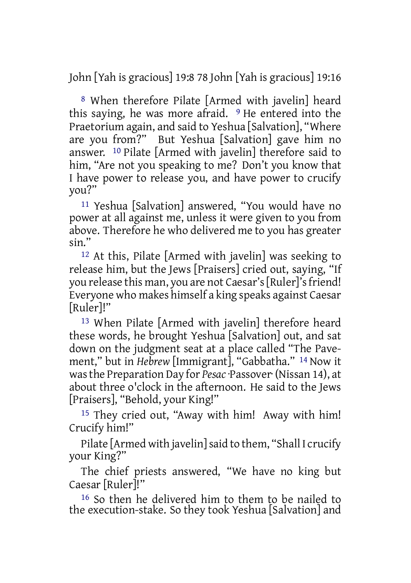John [Yah is gracious] 19:8 78 John [Yah is gracious] 19:16

8 When therefore Pilate [Armed with javelin] heard this saying, he was more afraid. 9 He entered into the Praetorium again, and said to Yeshua [Salvation], "Where are you from?" But Yeshua [Salvation] gave him no answer. 10 Pilate [Armed with javelin] therefore said to him, "Are not you speaking to me? Don't you know that I have power to release you, and have power to crucify you?"

11 Yeshua [Salvation] answered, "You would have no power at all against me, unless it were given to you from above. Therefore he who delivered me to you has greater sin."

12 At this, Pilate [Armed with javelin] was seeking to release him, but the Jews [Praisers] cried out, saying, "If you release this man, you are not Caesar's [Ruler]'s friend! Everyone who makes himself a king speaks against Caesar [Ruler]!"

13 When Pilate [Armed with javelin] therefore heard these words, he brought Yeshua [Salvation] out, and sat down on the judgment seat at a place called "The Pavement," but in *Hebrew* [Immigrant], "Gabbatha." 14 Now it wasthe Preparation Day for *Pesac*·Passover· (Nissan 14), at about three o'clock in the afternoon. He said to the Jews [Praisers], "Behold, your King!"

15 They cried out, "Away with him! Away with him! Crucify him!"

Pilate [Armed with javelin]said to them, "Shall I crucify your King?"

The chief priests answered, "We have no king but Caesar [Ruler]!"

16 So then he delivered him to them to be nailed to the execution-stake. So they took Yeshua [Salvation] and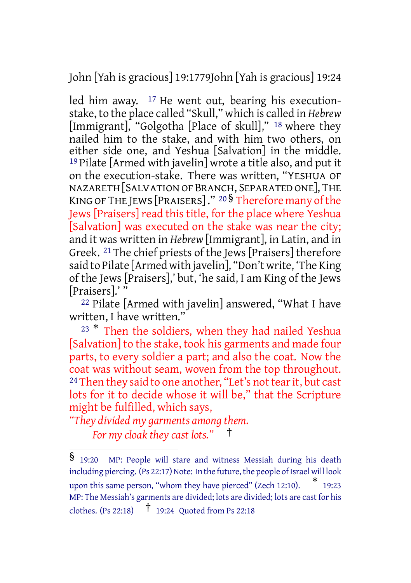John [Yah is gracious] 19:1779John [Yah is gracious] 19:24

led him away.  $17$  He went out, bearing his executionstake, to the place called "Skull," which is called in *Hebrew* [Immigrant], "Golgotha [Place of skull]," 18 where they nailed him to the stake, and with him two others, on either side one, and Yeshua [Salvation] in the middle. 19 Pilate [Armed with javelin] wrote a title also, and put it on the execution-stake. There was written, "YESHUA OF NAZARETH[SALVATIONOF BRANCH, SEPARATED ONE], THE KING OF THE JEWS [PRAISERS]." 20 § Therefore many of the Jews [Praisers] read this title, for the place where Yeshua [Salvation] was executed on the stake was near the city; and it was written in *Hebrew* [Immigrant], in Latin, and in Greek. 21 The chief priests of the Jews [Praisers] therefore said to Pilate [Armed with javelin], "Don't write, 'The King of the Jews [Praisers],' but, 'he said, I am King of the Jews [Praisers].' "

22 Pilate [Armed with javelin] answered, "What I have written, I have written."

<sup>23</sup> \* Then the soldiers, when they had nailed Yeshua [Salvation] to the stake, took his garments and made four parts, to every soldier a part; and also the coat. Now the coat was without seam, woven from the top throughout. <sup>24</sup> Then they said to one another, "Let's not tear it, but cast lots for it to decide whose it will be," that the Scripture might be fulfilled, which says,

*"They divided my garments among them.*

*For my cloak they cast lots."* †

<sup>§</sup> 19:20 MP: People will stare and witness Messiah during his death including piercing.  $(Ps 22:17)$  Note: In the future, the people of Israel will look upon this same person, "whom they have pierced" (Zech 12:10). \* 19:23 MP: The Messiah's garments are divided; lots are divided; lots are cast for his clothes. (Ps 22:18)  $\uparrow$  19:24 Quoted from Ps 22:18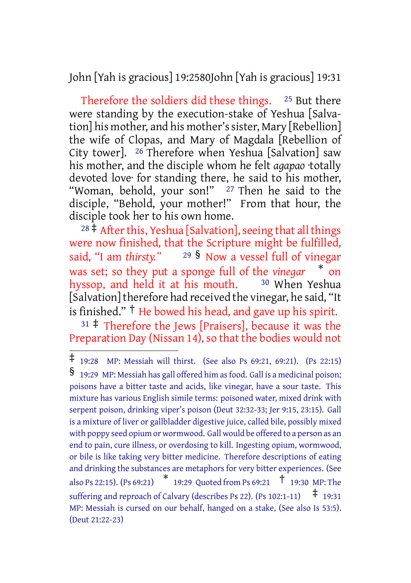John [Yah is gracious] 19:2580John [Yah is gracious] 19:31

Therefore the soldiers did these things. 25 But there were standing by the execution-stake of Yeshua [Salvation] his mother, and his mother's sister, Mary [Rebellion] the wife of Clopas, and Mary of Magdala [Rebellion of City tower]. 26 Therefore when Yeshua [Salvation] saw his mother, and the disciple whom he felt *agapao* ·totally devoted love· for standing there, he said to his mother, "Woman, behold, your son!" <sup>27</sup> Then he said to the disciple, "Behold, your mother!" From that hour, the disciple took her to his own home.

 $28 \frac{1}{3}$  After this, Yeshua [Salvation], seeing that all things were now finished, that the Scripture might be fulfilled, said, "I am *thirsty."* <sup>29</sup> § Now a vessel full of vinegar was set; so they put a sponge full of the *vinegar* \* on hyssop, and held it at his mouth. <sup>30</sup> When Yeshua [Salvation] therefore had received the vinegar, he said, "It is finished." † He bowed his head, and gave up his spirit.

 $31 \div$  Therefore the Jews [Praisers], because it was the Preparation Day (Nissan 14), so that the bodies would not

<sup>‡</sup> 19:28 MP: Messiah will thirst. (See also Ps 69:21, 69:21). (Ps 22:15) § 19:29 MP: Messiah has gall offered him asfood. Gall is <sup>a</sup> medicinal poison; poisons have a bitter taste and acids, like vinegar, have a sour taste. This mixture has various English simile terms: poisoned water, mixed drink with serpent poison, drinking viper's poison (Deut 32:32-33; Jer 9:15, 23:15). Gall is a mixture of liver or gallbladder digestive juice, called bile, possibly mixed with poppy seed opium or wormwood. Gall would be offered to a person as an end to pain, cure illness, or overdosing to kill. Ingesting opium, wormwood, or bile is like taking very bitter medicine. Therefore descriptions of eating and drinking the substances are metaphors for very bitter experiences. (See also Ps 22:15). (Ps 69:21) \* 19:29 Quoted from Ps 69:21 † 19:30 MP: The suffering and reproach of Calvary (describes Ps 22). (Ps 102:1-11)  $\pm$  19:31 MP: Messiah is cursed on our behalf, hanged on a stake, (See also Is 53:5). (Deut 21:22-23)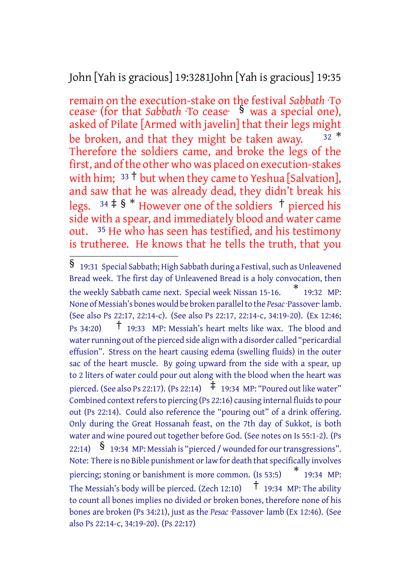John [Yah is gracious] 19:3281John [Yah is gracious] 19:35

remain on the execution-stake on the festival *Sabbath* ·To cease· (for that *Sabbath* ·To cease· § was a special one), asked of Pilate [Armed with javelin] that their legs might be broken, and that they might be taken away.  $32 *$ Therefore the soldiers came, and broke the legs of the first, and ofthe other who was placed on execution-stakes with him;  $33 \text{ } \dagger$  but when they came to Yeshua [Salvation], and saw that he was already dead, they didn't break his legs.  $34 \pm 8$  \* However one of the soldiers  $\pm$  pierced his side with a spear, and immediately blood and water came out. 35 He who has seen has testified, and his testimony is trutheree. He knows that he tells the truth, that you

 $\overline{\$}$  19:31 Special Sabbath; High Sabbath during a Festival, such as Unleavened Bread week. The first day of Unleavened Bread is a holy convocation, then the weekly Sabbath came next. Special week Nissan 15-16. \* 19:32 MP: None of Messiah's bones would be broken parallelto the *Pesac*·Passover· lamb. (See also Ps 22:17, 22:14-c). (See also Ps 22:17, 22:14-c, 34:19-20). (Ex 12:46; Ps 34:20) † 19:33 MP: Messiah's heart melts like wax. The blood and water running out of the pierced side align with a disorder called "pericardial effusion". Stress on the heart causing edema (swelling fluids) in the outer sac of the heart muscle. By going upward from the side with a spear, up to 2 liters of water could pour out along with the blood when the heart was pierced. (See also Ps 22:17). (Ps 22:14)  $\pm$  19:34 MP: "Poured out like water" Combined context refers to piercing (Ps 22:16) causing internal fluids to pour out (Ps 22:14). Could also reference the "pouring out" of a drink offering. Only during the Great Hossanah feast, on the 7th day of Sukkot, is both water and wine poured out together before God. (See notes on Is 55:1-2). (Ps 22:14)  $\mathcal{S}$  19:34 MP: Messiah is "pierced / wounded for our transgressions". Note: There is no Bible punishment or law for death that specifically involves piercing; stoning or banishment is more common. (Is 53:5) \* 19:34 MP: The Messiah's body will be pierced. (Zech 12:10)  $\uparrow$  19:34 MP: The ability to count all bones implies no divided or broken bones, therefore none of his bones are broken (Ps 34:21), just as the *Pesac* ·Passover· lamb (Ex 12:46). (See also Ps 22:14-c, 34:19-20). (Ps 22:17)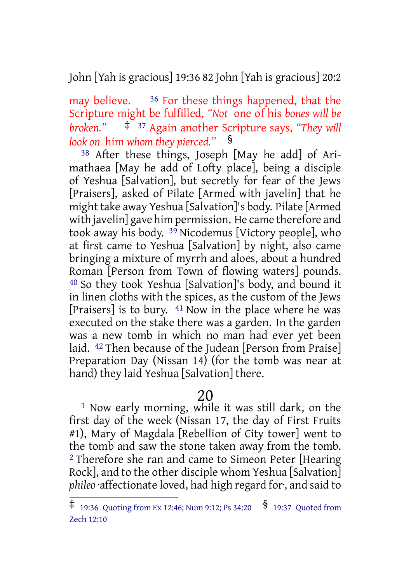John [Yah is gracious] 19:36 82 John [Yah is gracious] 20:2

may believe.  $36$  For these things happened, that the Scripture might be fulfilled, *"Not* one of his *bones will be broken."* ‡ <sup>37</sup> Again another Scripture says, *"They will look on* him *whom they pierced."* §

38 After these things, Joseph [May he add] of Arimathaea [May he add of Lofty place], being a disciple of Yeshua [Salvation], but secretly for fear of the Jews [Praisers], asked of Pilate [Armed with javelin] that he might take away Yeshua [Salvation]'s body. Pilate [Armed with javelin] gave him permission. He came therefore and took away his body. 39 Nicodemus [Victory people], who at first came to Yeshua [Salvation] by night, also came bringing a mixture of myrrh and aloes, about a hundred Roman [Person from Town of flowing waters] pounds. 40 So they took Yeshua [Salvation]'s body, and bound it in linen cloths with the spices, as the custom of the Jews [Praisers] is to bury. 41 Now in the place where he was executed on the stake there was a garden. In the garden was a new tomb in which no man had ever yet been laid. 42 Then because of the Judean [Person from Praise] Preparation Day (Nissan 14) (for the tomb was near at hand) they laid Yeshua [Salvation] there.

# 20

1 Now early morning, while it was still dark, on the first day of the week (Nissan 17, the day of First Fruits #1), Mary of Magdala [Rebellion of City tower] went to the tomb and saw the stone taken away from the tomb. <sup>2</sup> Therefore she ran and came to Simeon Peter [Hearing] Rock], and to the other disciple whom Yeshua [Salvation] *phileo* ·affectionate loved, had high regard for·, and said to

 $\ddagger$  19:36 Quoting from Ex 12:46; Num 9:12; Ps 34:20  $\frac{\$}{\$}$  19:37 Quoted from Zech 12:10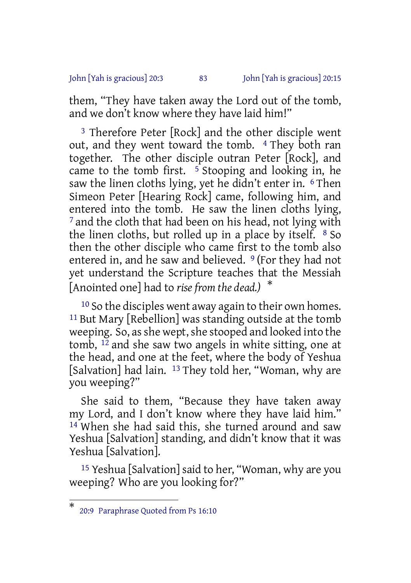## John [Yah is gracious] 20:3 83 John [Yah is gracious] 20:15

them, "They have taken away the Lord out of the tomb, and we don't know where they have laid him!"

3 Therefore Peter [Rock] and the other disciple went out, and they went toward the tomb. <sup>4</sup> They both ran together. The other disciple outran Peter [Rock], and came to the tomb first.  $5$  Stooping and looking in, he saw the linen cloths lying, yet he didn't enter in. <sup>6</sup> Then Simeon Peter [Hearing Rock] came, following him, and entered into the tomb. He saw the linen cloths lying, <sup>7</sup> and the cloth that had been on his head, not lying with the linen cloths, but rolled up in a place by itself. 8 So then the other disciple who came first to the tomb also entered in, and he saw and believed. <sup>9</sup> (For they had not yet understand the Scripture teaches that the Messiah [Anointed one] had to *rise from the dead.)* \*

10 So the disciples went away again to their own homes. 11 But Mary [Rebellion] was standing outside at the tomb weeping. So, as she wept, she stooped and looked into the tomb, 12 and she saw two angels in white sitting, one at the head, and one at the feet, where the body of Yeshua [Salvation] had lain. <sup>13</sup> They told her, "Woman, why are you weeping?"

She said to them, "Because they have taken away my Lord, and I don't know where they have laid him." 14 When she had said this, she turned around and saw Yeshua [Salvation] standing, and didn't know that it was Yeshua [Salvation].

15 Yeshua [Salvation] said to her, "Woman, why are you weeping? Who are you looking for?"

<sup>\*</sup> 20:9 Paraphrase Quoted from Ps 16:10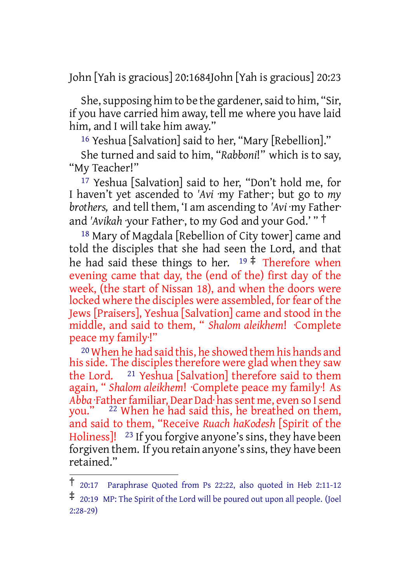John [Yah is gracious] 20:1684John [Yah is gracious] 20:23

She, supposing him to be the gardener, said to him, "Sir, if you have carried him away, tell me where you have laid him, and I will take him away."

16 Yeshua [Salvation] said to her, "Mary [Rebellion]."

She turned and said to him, "*Rabboni*!" which is to say, "My Teacher!"

17 Yeshua [Salvation] said to her, "Don't hold me, for I haven't yet ascended to *'Avi* ·my Father·; but go to *my brothers,* and tell them, 'I am ascending to *'Avi* ·my Father· and *'Avikah* ·your Father·, to my God and your God.' " †

18 Mary of Magdala [Rebellion of City tower] came and told the disciples that she had seen the Lord, and that he had said these things to her.  $19 \div$  Therefore when evening came that day, the (end of the) first day of the week, (the start of Nissan 18), and when the doors were locked where the disciples were assembled, for fear of the Jews [Praisers], Yeshua [Salvation] came and stood in the middle, and said to them, " *Shalom aleikhem*! ·Complete peace my family·!"

20 When he had said this, he showed them his hands and his side. The disciples therefore were glad when they saw the Lord. 21 Yeshua [Salvation] therefore said to them again, " *Shalom aleikhem*! ·Complete peace my family·! As Abba· Father familiar, Dear Dad· has sent me, even so I send you." <sup>22</sup> When he had said this, he breathed on them, and said to them, "Receive *Ruach haKodesh* [Spirit of the Holiness]! <sup>23</sup> If you forgive anyone's sins, they have been forgiven them. If you retain anyone's sins, they have been retained."

<sup>†</sup> 20:17 Paraphrase Quoted from Ps 22:22, also quoted in Heb 2:11-12

<sup>‡</sup> 20:19 MP: The Spirit of the Lord will be poured out upon all people. (Joel 2:28-29)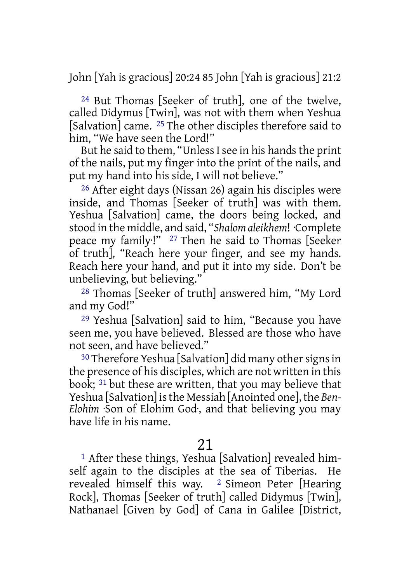John [Yah is gracious] 20:24 85 John [Yah is gracious] 21:2

24 But Thomas [Seeker of truth], one of the twelve, called Didymus [Twin], was not with them when Yeshua [Salvation] came. <sup>25</sup> The other disciples therefore said to him, "We have seen the Lord!"

But he said to them, "Unless I see in his hands the print of the nails, put my finger into the print of the nails, and put my hand into his side, I will not believe."

26 After eight days (Nissan 26) again his disciples were inside, and Thomas [Seeker of truth] was with them. Yeshua [Salvation] came, the doors being locked, and stood in the middle, and said, "*Shalom aleikhem*! ·Complete peace my family·!" 27 Then he said to Thomas [Seeker of truth], "Reach here your finger, and see my hands. Reach here your hand, and put it into my side. Don't be unbelieving, but believing."

28 Thomas [Seeker of truth] answered him, "My Lord and my God!"

29 Yeshua [Salvation] said to him, "Because you have seen me, you have believed. Blessed are those who have not seen, and have believed."

<sup>30</sup> Therefore Yeshua [Salvation] did many other signs in the presence of his disciples, which are not written in this book; 31 but these are written, that you may believe that Yeshua [Salvation] isthe Messiah [Anointed one], the *Ben-Elohim* ·Son of Elohim God·, and that believing you may have life in his name.

## 21

1 After these things, Yeshua [Salvation] revealed himself again to the disciples at the sea of Tiberias. He revealed himself this way. 2 Simeon Peter [Hearing Rock], Thomas [Seeker of truth] called Didymus [Twin], Nathanael [Given by God] of Cana in Galilee [District,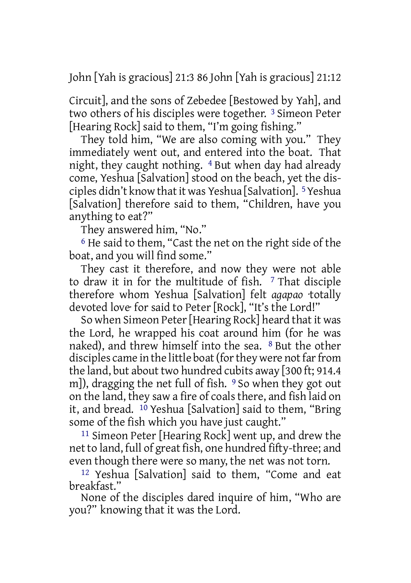John [Yah is gracious] 21:3 86 John [Yah is gracious] 21:12

Circuit], and the sons of Zebedee [Bestowed by Yah], and two others of his disciples were together. 3 Simeon Peter [Hearing Rock] said to them, "I'm going fishing."

They told him, "We are also coming with you." They immediately went out, and entered into the boat. That night, they caught nothing. 4 But when day had already come, Yeshua [Salvation] stood on the beach, yet the disciples didn't know thatit was Yeshua [Salvation]. 5Yeshua [Salvation] therefore said to them, "Children, have you anything to eat?"

They answered him, "No."

6 He said to them, "Cast the net on the right side of the boat, and you will find some."

They cast it therefore, and now they were not able to draw it in for the multitude of fish. <sup>7</sup> That disciple therefore whom Yeshua [Salvation] felt *agapao* ·totally devoted love· for said to Peter [Rock], "It's the Lord!"

So when Simeon Peter[Hearing Rock] heard that it was the Lord, he wrapped his coat around him (for he was naked), and threw himself into the sea. 8 But the other disciples came in the little boat (for they were not far from the land, but about two hundred cubits away [300 ft; 914.4 m]), dragging the net full of fish. <sup>9</sup> So when they got out on the land, they saw a fire of coals there, and fish laid on it, and bread. 10 Yeshua [Salvation] said to them, "Bring some of the fish which you have just caught."

11 Simeon Peter [Hearing Rock] went up, and drew the net to land, full of great fish, one hundred fifty-three; and even though there were so many, the net was not torn.

12 Yeshua [Salvation] said to them, "Come and eat breakfast."

None of the disciples dared inquire of him, "Who are you?" knowing that it was the Lord.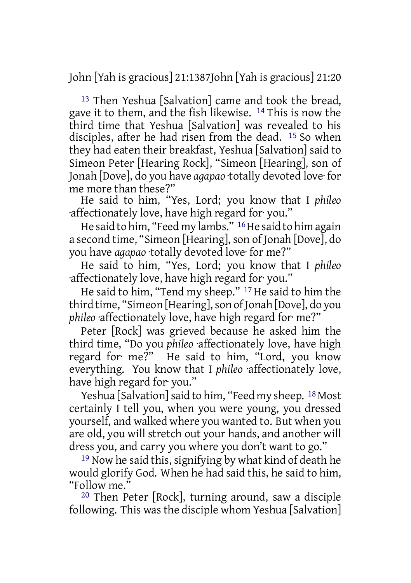John [Yah is gracious] 21:1387John [Yah is gracious] 21:20

13 Then Yeshua [Salvation] came and took the bread, gave it to them, and the fish likewise. 14 This is now the third time that Yeshua [Salvation] was revealed to his disciples, after he had risen from the dead. 15 So when they had eaten their breakfast, Yeshua [Salvation] said to Simeon Peter [Hearing Rock], "Simeon [Hearing], son of Jonah [Dove], do you have *agapao* ·totally devoted love· for me more than these?"

He said to him, "Yes, Lord; you know that I *phileo* ·affectionately love, have high regard for· you."

He said to him, "Feed my lambs." 16He said to him again a second time, "Simeon [Hearing], son of Jonah [Dove], do you have *agapao* ·totally devoted love· for me?"

He said to him, "Yes, Lord; you know that I *phileo* ·affectionately love, have high regard for· you."

He said to him, "Tend my sheep." 17 He said to him the third time, "Simeon [Hearing], son of Jonah [Dove], do you *phileo* ·affectionately love, have high regard for· me?"

Peter [Rock] was grieved because he asked him the third time, "Do you *phileo* ·affectionately love, have high regard for· me?" He said to him, "Lord, you know everything. You know that I *phileo* ·affectionately love, have high regard for· you."

Yeshua [Salvation] said to him, "Feed my sheep. <sup>18</sup> Most certainly I tell you, when you were young, you dressed yourself, and walked where you wanted to. But when you are old, you will stretch out your hands, and another will dress you, and carry you where you don't want to go."

19 Now he said this, signifying by what kind of death he would glorify God. When he had said this, he said to him, "Follow me."

20 Then Peter [Rock], turning around, saw a disciple following. This was the disciple whom Yeshua [Salvation]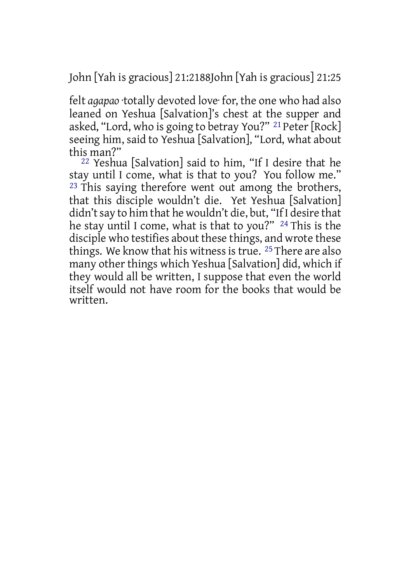John [Yah is gracious] 21:2188John [Yah is gracious] 21:25

felt *agapao* ·totally devoted love· for, the one who had also leaned on Yeshua [Salvation]'s chest at the supper and asked, "Lord, who is going to betray You?" <sup>21</sup> Peter [Rock] seeing him, said to Yeshua [Salvation], "Lord, what about this man?"

 $22$  Yeshua [Salvation] said to him, "If I desire that he stay until I come, what is that to you? You follow me." <sup>23</sup> This saying therefore went out among the brothers, that this disciple wouldn't die. Yet Yeshua [Salvation] didn't say to him that he wouldn't die, but, "If I desire that he stay until I come, what is that to you?" 24 This is the disciple who testifies about these things, and wrote these things. We know that his witness is true. <sup>25</sup> There are also many other things which Yeshua [Salvation] did, which if they would all be written, I suppose that even the world itself would not have room for the books that would be written.